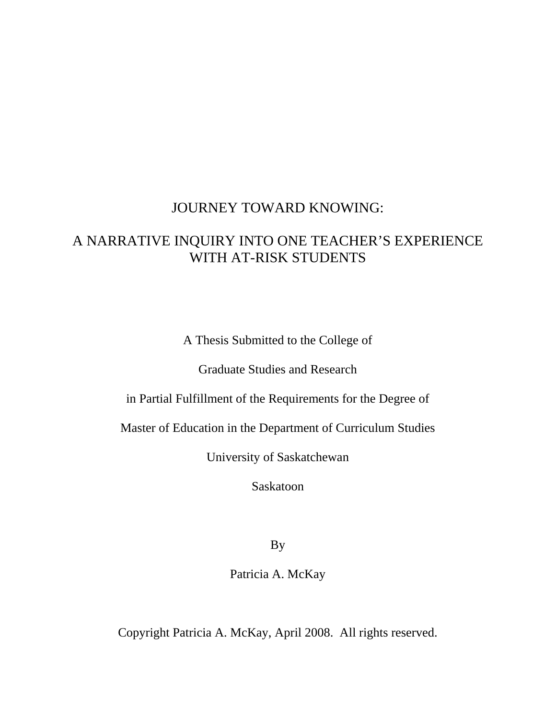### JOURNEY TOWARD KNOWING:

## A NARRATIVE INQUIRY INTO ONE TEACHER'S EXPERIENCE WITH AT-RISK STUDENTS

A Thesis Submitted to the College of

Graduate Studies and Research

in Partial Fulfillment of the Requirements for the Degree of

Master of Education in the Department of Curriculum Studies

University of Saskatchewan

Saskatoon

By

Patricia A. McKay

Copyright Patricia A. McKay, April 2008. All rights reserved.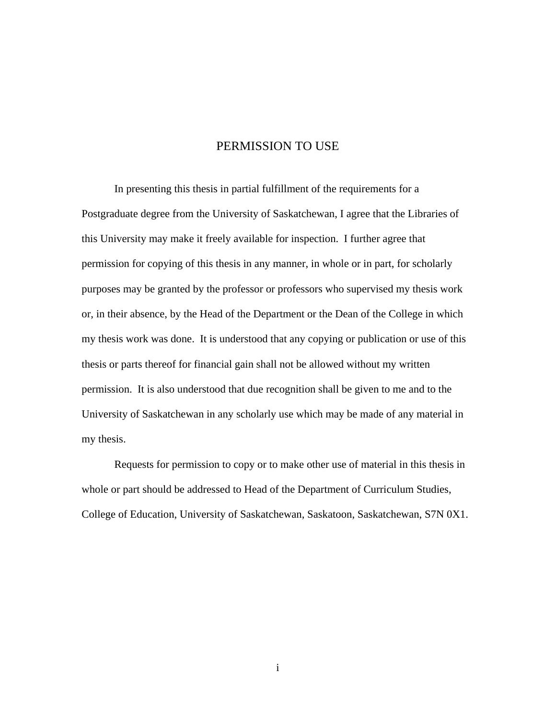### PERMISSION TO USE

 In presenting this thesis in partial fulfillment of the requirements for a Postgraduate degree from the University of Saskatchewan, I agree that the Libraries of this University may make it freely available for inspection. I further agree that permission for copying of this thesis in any manner, in whole or in part, for scholarly purposes may be granted by the professor or professors who supervised my thesis work or, in their absence, by the Head of the Department or the Dean of the College in which my thesis work was done. It is understood that any copying or publication or use of this thesis or parts thereof for financial gain shall not be allowed without my written permission. It is also understood that due recognition shall be given to me and to the University of Saskatchewan in any scholarly use which may be made of any material in my thesis.

 Requests for permission to copy or to make other use of material in this thesis in whole or part should be addressed to Head of the Department of Curriculum Studies, College of Education, University of Saskatchewan, Saskatoon, Saskatchewan, S7N 0X1.

i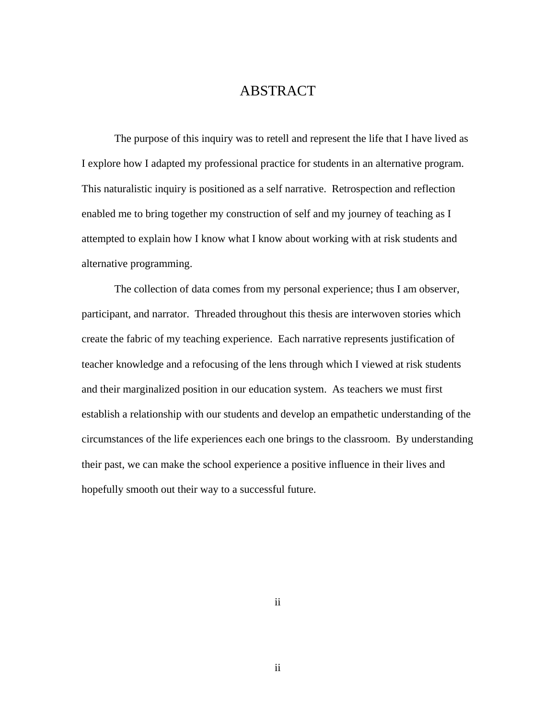### ABSTRACT

The purpose of this inquiry was to retell and represent the life that I have lived as I explore how I adapted my professional practice for students in an alternative program. This naturalistic inquiry is positioned as a self narrative. Retrospection and reflection enabled me to bring together my construction of self and my journey of teaching as I attempted to explain how I know what I know about working with at risk students and alternative programming.

The collection of data comes from my personal experience; thus I am observer, participant, and narrator. Threaded throughout this thesis are interwoven stories which create the fabric of my teaching experience. Each narrative represents justification of teacher knowledge and a refocusing of the lens through which I viewed at risk students and their marginalized position in our education system. As teachers we must first establish a relationship with our students and develop an empathetic understanding of the circumstances of the life experiences each one brings to the classroom. By understanding their past, we can make the school experience a positive influence in their lives and hopefully smooth out their way to a successful future.

ii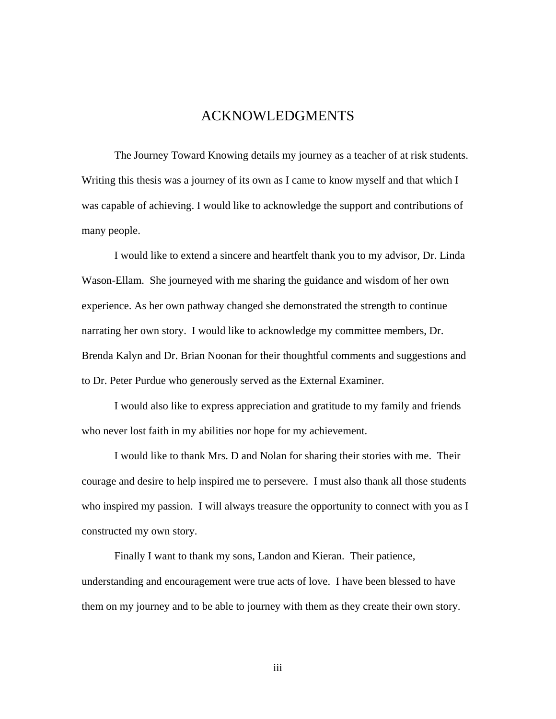### ACKNOWLEDGMENTS

 The Journey Toward Knowing details my journey as a teacher of at risk students. Writing this thesis was a journey of its own as I came to know myself and that which I was capable of achieving. I would like to acknowledge the support and contributions of many people.

 I would like to extend a sincere and heartfelt thank you to my advisor, Dr. Linda Wason-Ellam. She journeyed with me sharing the guidance and wisdom of her own experience. As her own pathway changed she demonstrated the strength to continue narrating her own story. I would like to acknowledge my committee members, Dr. Brenda Kalyn and Dr. Brian Noonan for their thoughtful comments and suggestions and to Dr. Peter Purdue who generously served as the External Examiner.

 I would also like to express appreciation and gratitude to my family and friends who never lost faith in my abilities nor hope for my achievement.

 I would like to thank Mrs. D and Nolan for sharing their stories with me. Their courage and desire to help inspired me to persevere. I must also thank all those students who inspired my passion. I will always treasure the opportunity to connect with you as I constructed my own story.

 Finally I want to thank my sons, Landon and Kieran. Their patience, understanding and encouragement were true acts of love. I have been blessed to have them on my journey and to be able to journey with them as they create their own story.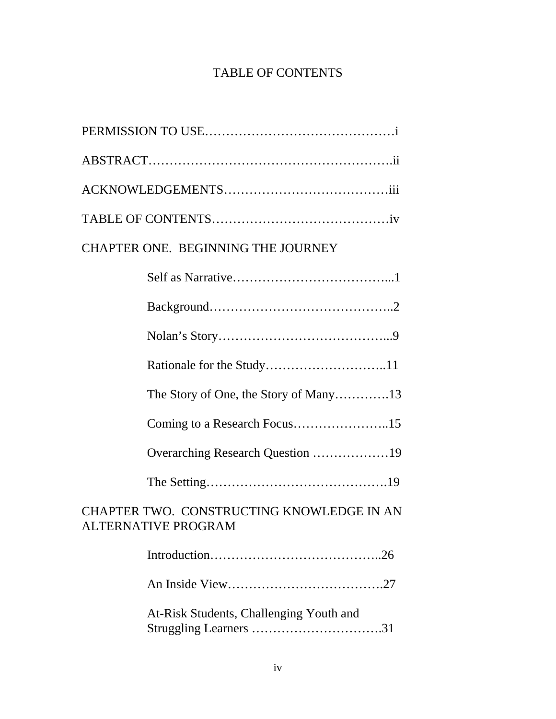## TABLE OF CONTENTS

| <b>CHAPTER ONE. BEGINNING THE JOURNEY</b>                         |  |  |
|-------------------------------------------------------------------|--|--|
|                                                                   |  |  |
|                                                                   |  |  |
|                                                                   |  |  |
|                                                                   |  |  |
|                                                                   |  |  |
| Coming to a Research Focus15                                      |  |  |
| Overarching Research Question 19                                  |  |  |
|                                                                   |  |  |
| CHAPTER TWO. CONSTRUCTING KNOWLEDGE IN AN<br>ALTERNATIVE PROGRAM  |  |  |
|                                                                   |  |  |
|                                                                   |  |  |
| At-Risk Students, Challenging Youth and<br>Struggling Learners 31 |  |  |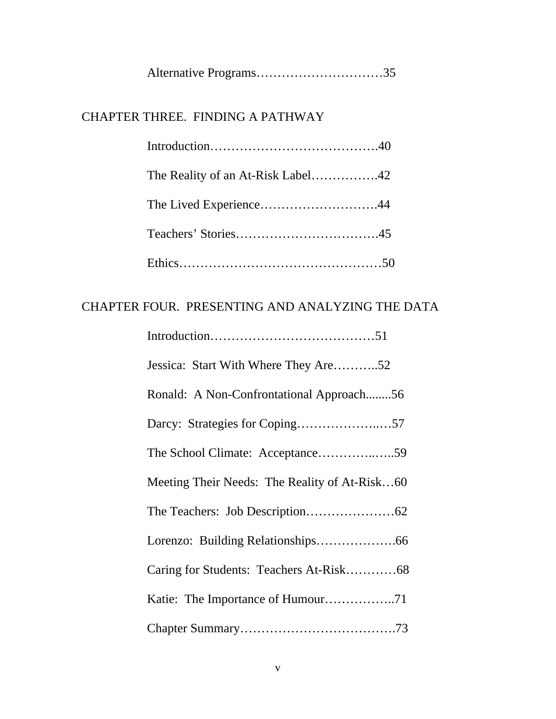|--|--|

### CHAPTER THREE. FINDING A PATHWAY

### CHAPTER FOUR. PRESENTING AND ANALYZING THE DATA

| Jessica: Start With Where They Are52          |
|-----------------------------------------------|
| Ronald: A Non-Confrontational Approach56      |
|                                               |
|                                               |
| Meeting Their Needs: The Reality of At-Risk60 |
|                                               |
|                                               |
|                                               |
|                                               |
|                                               |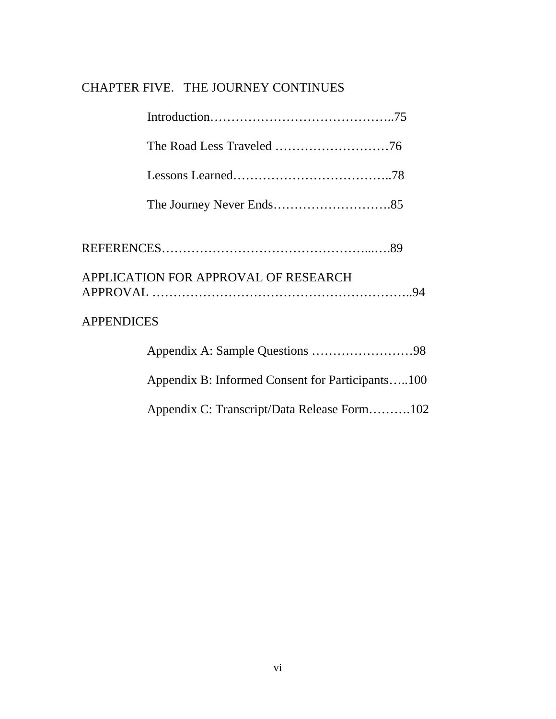# CHAPTER FIVE. THE JOURNEY CONTINUES

|                   | APPLICATION FOR APPROVAL OF RESEARCH             |  |
|-------------------|--------------------------------------------------|--|
| <b>APPENDICES</b> |                                                  |  |
|                   |                                                  |  |
|                   | Appendix B: Informed Consent for Participants100 |  |
|                   | Appendix C: Transcript/Data Release Form102      |  |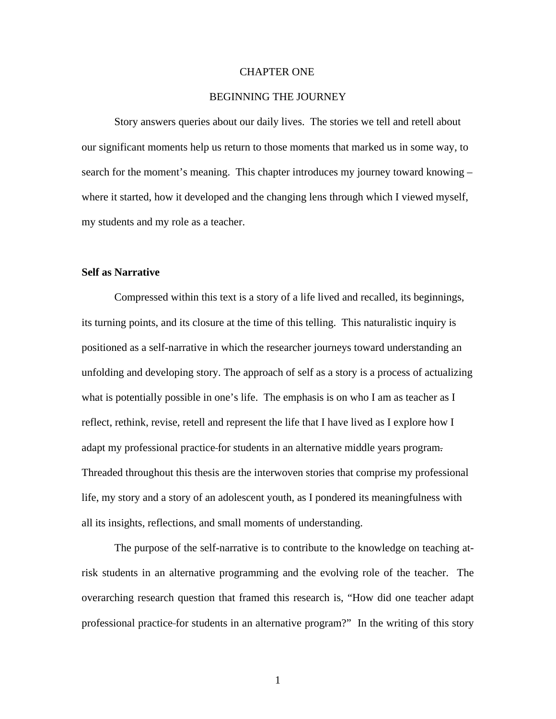#### CHAPTER ONE

#### BEGINNING THE JOURNEY

 Story answers queries about our daily lives. The stories we tell and retell about our significant moments help us return to those moments that marked us in some way, to search for the moment's meaning. This chapter introduces my journey toward knowing – where it started, how it developed and the changing lens through which I viewed myself, my students and my role as a teacher.

#### **Self as Narrative**

 Compressed within this text is a story of a life lived and recalled, its beginnings, its turning points, and its closure at the time of this telling. This naturalistic inquiry is positioned as a self-narrative in which the researcher journeys toward understanding an unfolding and developing story. The approach of self as a story is a process of actualizing what is potentially possible in one's life. The emphasis is on who I am as teacher as I reflect, rethink, revise, retell and represent the life that I have lived as I explore how I adapt my professional practice for students in an alternative middle years program. Threaded throughout this thesis are the interwoven stories that comprise my professional life, my story and a story of an adolescent youth, as I pondered its meaningfulness with all its insights, reflections, and small moments of understanding.

 The purpose of the self-narrative is to contribute to the knowledge on teaching atrisk students in an alternative programming and the evolving role of the teacher. The overarching research question that framed this research is, "How did one teacher adapt professional practice for students in an alternative program?" In the writing of this story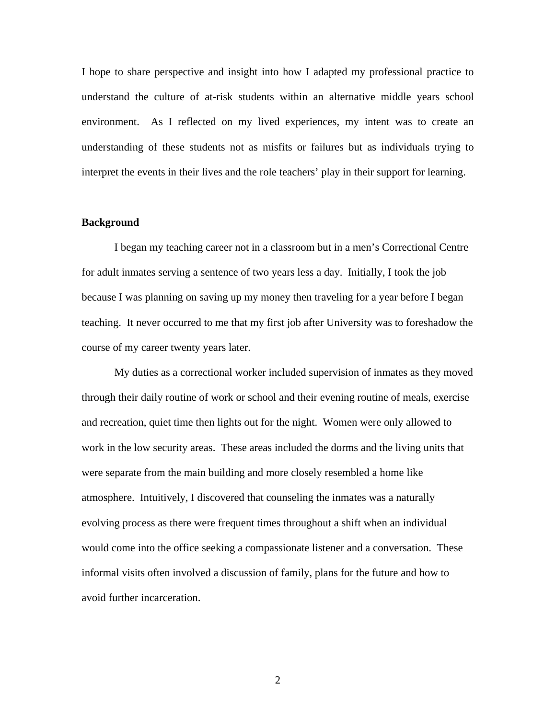I hope to share perspective and insight into how I adapted my professional practice to understand the culture of at-risk students within an alternative middle years school environment. As I reflected on my lived experiences, my intent was to create an understanding of these students not as misfits or failures but as individuals trying to interpret the events in their lives and the role teachers' play in their support for learning.

#### **Background**

 I began my teaching career not in a classroom but in a men's Correctional Centre for adult inmates serving a sentence of two years less a day. Initially, I took the job because I was planning on saving up my money then traveling for a year before I began teaching. It never occurred to me that my first job after University was to foreshadow the course of my career twenty years later.

 My duties as a correctional worker included supervision of inmates as they moved through their daily routine of work or school and their evening routine of meals, exercise and recreation, quiet time then lights out for the night. Women were only allowed to work in the low security areas. These areas included the dorms and the living units that were separate from the main building and more closely resembled a home like atmosphere. Intuitively, I discovered that counseling the inmates was a naturally evolving process as there were frequent times throughout a shift when an individual would come into the office seeking a compassionate listener and a conversation. These informal visits often involved a discussion of family, plans for the future and how to avoid further incarceration.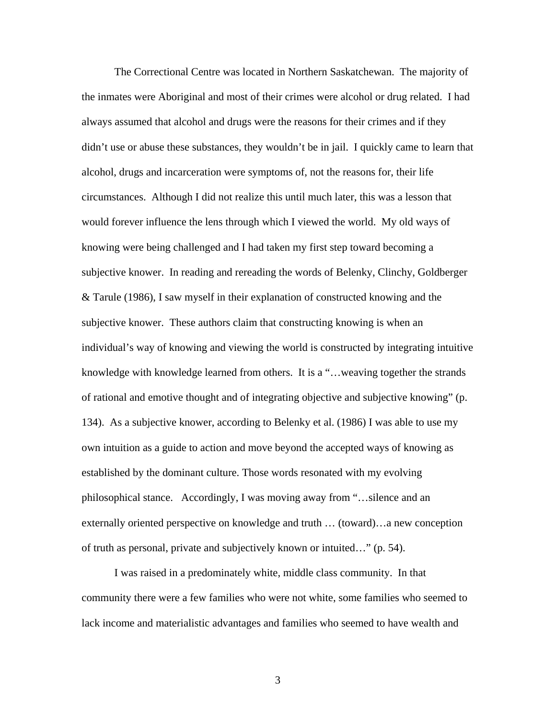The Correctional Centre was located in Northern Saskatchewan. The majority of the inmates were Aboriginal and most of their crimes were alcohol or drug related. I had always assumed that alcohol and drugs were the reasons for their crimes and if they didn't use or abuse these substances, they wouldn't be in jail. I quickly came to learn that alcohol, drugs and incarceration were symptoms of, not the reasons for, their life circumstances. Although I did not realize this until much later, this was a lesson that would forever influence the lens through which I viewed the world. My old ways of knowing were being challenged and I had taken my first step toward becoming a subjective knower. In reading and rereading the words of Belenky, Clinchy, Goldberger & Tarule (1986), I saw myself in their explanation of constructed knowing and the subjective knower. These authors claim that constructing knowing is when an individual's way of knowing and viewing the world is constructed by integrating intuitive knowledge with knowledge learned from others. It is a "…weaving together the strands of rational and emotive thought and of integrating objective and subjective knowing" (p. 134). As a subjective knower, according to Belenky et al. (1986) I was able to use my own intuition as a guide to action and move beyond the accepted ways of knowing as established by the dominant culture. Those words resonated with my evolving philosophical stance. Accordingly, I was moving away from "…silence and an externally oriented perspective on knowledge and truth … (toward)…a new conception of truth as personal, private and subjectively known or intuited…" (p. 54).

 I was raised in a predominately white, middle class community. In that community there were a few families who were not white, some families who seemed to lack income and materialistic advantages and families who seemed to have wealth and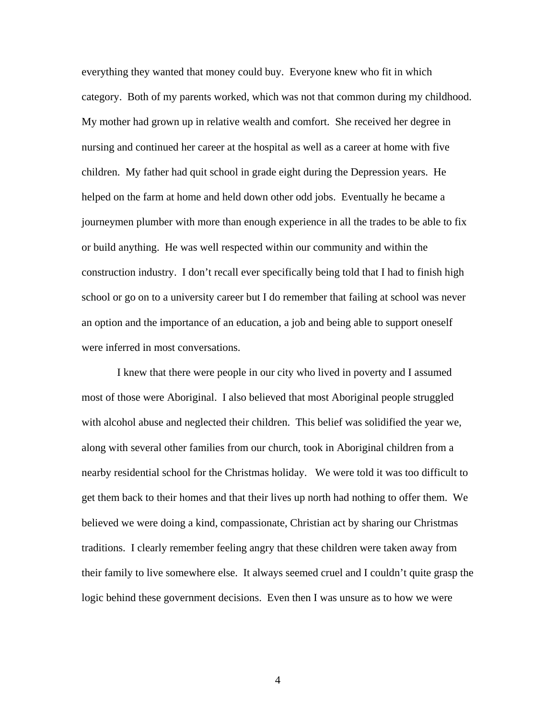everything they wanted that money could buy. Everyone knew who fit in which category. Both of my parents worked, which was not that common during my childhood. My mother had grown up in relative wealth and comfort. She received her degree in nursing and continued her career at the hospital as well as a career at home with five children. My father had quit school in grade eight during the Depression years. He helped on the farm at home and held down other odd jobs. Eventually he became a journeymen plumber with more than enough experience in all the trades to be able to fix or build anything. He was well respected within our community and within the construction industry. I don't recall ever specifically being told that I had to finish high school or go on to a university career but I do remember that failing at school was never an option and the importance of an education, a job and being able to support oneself were inferred in most conversations.

 I knew that there were people in our city who lived in poverty and I assumed most of those were Aboriginal. I also believed that most Aboriginal people struggled with alcohol abuse and neglected their children. This belief was solidified the year we, along with several other families from our church, took in Aboriginal children from a nearby residential school for the Christmas holiday. We were told it was too difficult to get them back to their homes and that their lives up north had nothing to offer them. We believed we were doing a kind, compassionate, Christian act by sharing our Christmas traditions. I clearly remember feeling angry that these children were taken away from their family to live somewhere else. It always seemed cruel and I couldn't quite grasp the logic behind these government decisions. Even then I was unsure as to how we were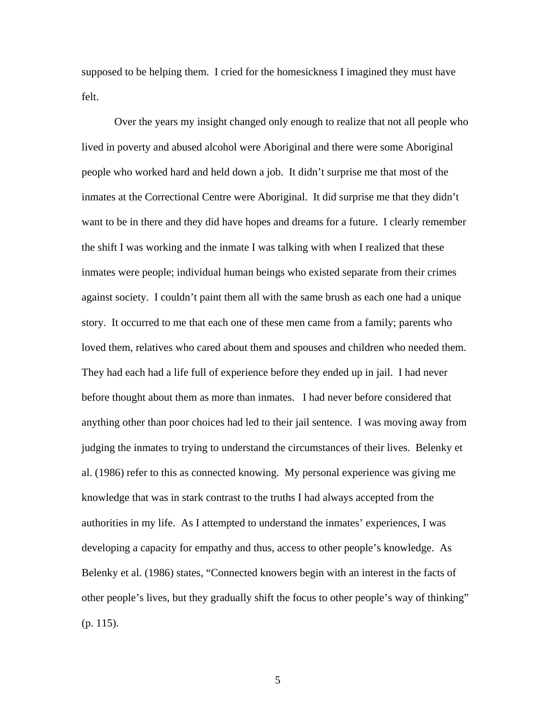supposed to be helping them. I cried for the homesickness I imagined they must have felt.

Over the years my insight changed only enough to realize that not all people who lived in poverty and abused alcohol were Aboriginal and there were some Aboriginal people who worked hard and held down a job. It didn't surprise me that most of the inmates at the Correctional Centre were Aboriginal. It did surprise me that they didn't want to be in there and they did have hopes and dreams for a future. I clearly remember the shift I was working and the inmate I was talking with when I realized that these inmates were people; individual human beings who existed separate from their crimes against society. I couldn't paint them all with the same brush as each one had a unique story. It occurred to me that each one of these men came from a family; parents who loved them, relatives who cared about them and spouses and children who needed them. They had each had a life full of experience before they ended up in jail. I had never before thought about them as more than inmates. I had never before considered that anything other than poor choices had led to their jail sentence. I was moving away from judging the inmates to trying to understand the circumstances of their lives. Belenky et al. (1986) refer to this as connected knowing. My personal experience was giving me knowledge that was in stark contrast to the truths I had always accepted from the authorities in my life. As I attempted to understand the inmates' experiences, I was developing a capacity for empathy and thus, access to other people's knowledge. As Belenky et al. (1986) states, "Connected knowers begin with an interest in the facts of other people's lives, but they gradually shift the focus to other people's way of thinking" (p. 115).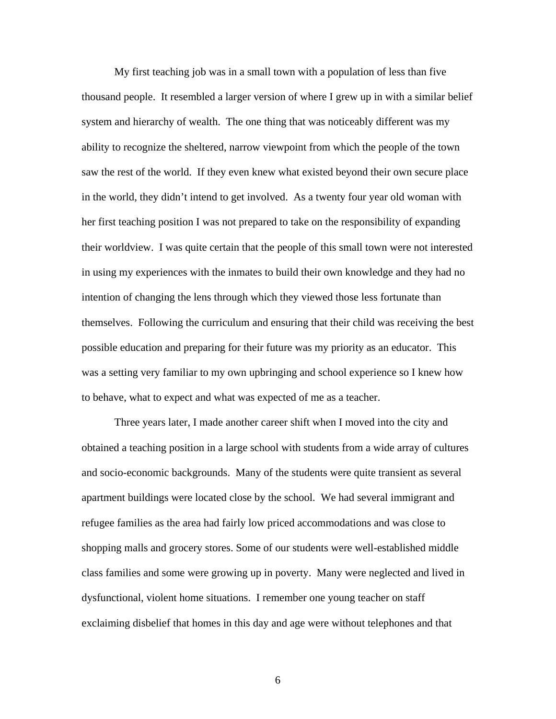My first teaching job was in a small town with a population of less than five thousand people. It resembled a larger version of where I grew up in with a similar belief system and hierarchy of wealth. The one thing that was noticeably different was my ability to recognize the sheltered, narrow viewpoint from which the people of the town saw the rest of the world. If they even knew what existed beyond their own secure place in the world, they didn't intend to get involved. As a twenty four year old woman with her first teaching position I was not prepared to take on the responsibility of expanding their worldview. I was quite certain that the people of this small town were not interested in using my experiences with the inmates to build their own knowledge and they had no intention of changing the lens through which they viewed those less fortunate than themselves. Following the curriculum and ensuring that their child was receiving the best possible education and preparing for their future was my priority as an educator. This was a setting very familiar to my own upbringing and school experience so I knew how to behave, what to expect and what was expected of me as a teacher.

Three years later, I made another career shift when I moved into the city and obtained a teaching position in a large school with students from a wide array of cultures and socio-economic backgrounds. Many of the students were quite transient as several apartment buildings were located close by the school. We had several immigrant and refugee families as the area had fairly low priced accommodations and was close to shopping malls and grocery stores. Some of our students were well-established middle class families and some were growing up in poverty. Many were neglected and lived in dysfunctional, violent home situations. I remember one young teacher on staff exclaiming disbelief that homes in this day and age were without telephones and that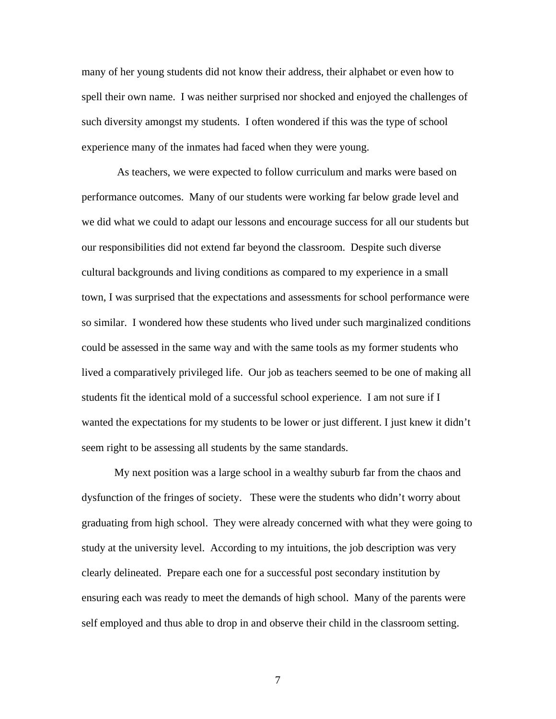many of her young students did not know their address, their alphabet or even how to spell their own name. I was neither surprised nor shocked and enjoyed the challenges of such diversity amongst my students. I often wondered if this was the type of school experience many of the inmates had faced when they were young.

 As teachers, we were expected to follow curriculum and marks were based on performance outcomes. Many of our students were working far below grade level and we did what we could to adapt our lessons and encourage success for all our students but our responsibilities did not extend far beyond the classroom. Despite such diverse cultural backgrounds and living conditions as compared to my experience in a small town, I was surprised that the expectations and assessments for school performance were so similar. I wondered how these students who lived under such marginalized conditions could be assessed in the same way and with the same tools as my former students who lived a comparatively privileged life. Our job as teachers seemed to be one of making all students fit the identical mold of a successful school experience. I am not sure if I wanted the expectations for my students to be lower or just different. I just knew it didn't seem right to be assessing all students by the same standards.

My next position was a large school in a wealthy suburb far from the chaos and dysfunction of the fringes of society. These were the students who didn't worry about graduating from high school. They were already concerned with what they were going to study at the university level. According to my intuitions, the job description was very clearly delineated. Prepare each one for a successful post secondary institution by ensuring each was ready to meet the demands of high school. Many of the parents were self employed and thus able to drop in and observe their child in the classroom setting.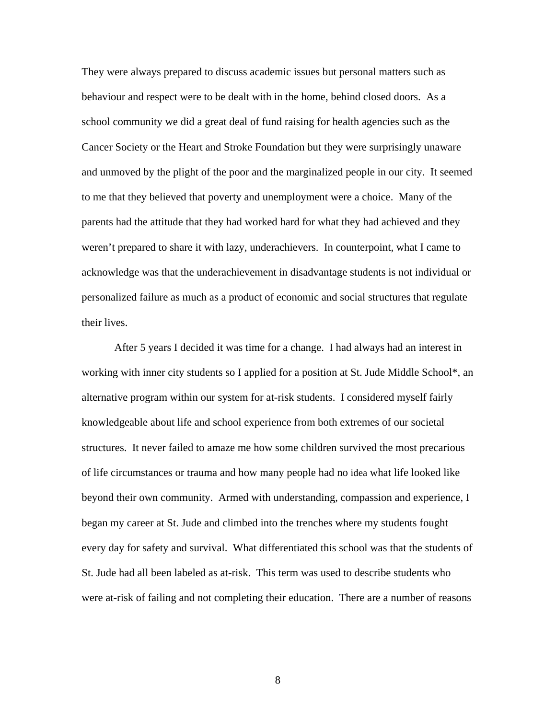They were always prepared to discuss academic issues but personal matters such as behaviour and respect were to be dealt with in the home, behind closed doors. As a school community we did a great deal of fund raising for health agencies such as the Cancer Society or the Heart and Stroke Foundation but they were surprisingly unaware and unmoved by the plight of the poor and the marginalized people in our city. It seemed to me that they believed that poverty and unemployment were a choice. Many of the parents had the attitude that they had worked hard for what they had achieved and they weren't prepared to share it with lazy, underachievers. In counterpoint, what I came to acknowledge was that the underachievement in disadvantage students is not individual or personalized failure as much as a product of economic and social structures that regulate their lives.

After 5 years I decided it was time for a change. I had always had an interest in working with inner city students so I applied for a position at St. Jude Middle School\*, an alternative program within our system for at-risk students. I considered myself fairly knowledgeable about life and school experience from both extremes of our societal structures. It never failed to amaze me how some children survived the most precarious of life circumstances or trauma and how many people had no idea what life looked like beyond their own community. Armed with understanding, compassion and experience, I began my career at St. Jude and climbed into the trenches where my students fought every day for safety and survival. What differentiated this school was that the students of St. Jude had all been labeled as at-risk. This term was used to describe students who were at-risk of failing and not completing their education. There are a number of reasons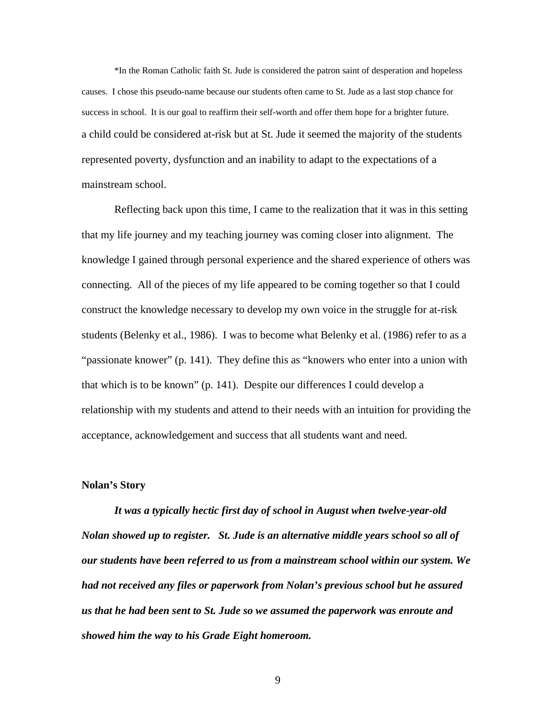\*In the Roman Catholic faith St. Jude is considered the patron saint of desperation and hopeless causes. I chose this pseudo-name because our students often came to St. Jude as a last stop chance for success in school. It is our goal to reaffirm their self-worth and offer them hope for a brighter future. a child could be considered at-risk but at St. Jude it seemed the majority of the students represented poverty, dysfunction and an inability to adapt to the expectations of a mainstream school.

Reflecting back upon this time, I came to the realization that it was in this setting that my life journey and my teaching journey was coming closer into alignment. The knowledge I gained through personal experience and the shared experience of others was connecting. All of the pieces of my life appeared to be coming together so that I could construct the knowledge necessary to develop my own voice in the struggle for at-risk students (Belenky et al., 1986). I was to become what Belenky et al. (1986) refer to as a "passionate knower" (p. 141). They define this as "knowers who enter into a union with that which is to be known" (p. 141). Despite our differences I could develop a relationship with my students and attend to their needs with an intuition for providing the acceptance, acknowledgement and success that all students want and need.

#### **Nolan's Story**

*It was a typically hectic first day of school in August when twelve-year-old Nolan showed up to register. St. Jude is an alternative middle years school so all of our students have been referred to us from a mainstream school within our system. We had not received any files or paperwork from Nolan's previous school but he assured us that he had been sent to St. Jude so we assumed the paperwork was enroute and showed him the way to his Grade Eight homeroom.*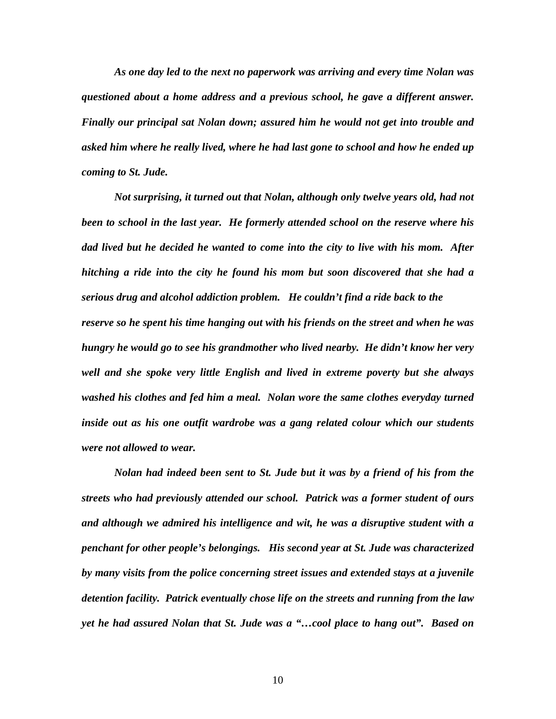*As one day led to the next no paperwork was arriving and every time Nolan was questioned about a home address and a previous school, he gave a different answer. Finally our principal sat Nolan down; assured him he would not get into trouble and asked him where he really lived, where he had last gone to school and how he ended up coming to St. Jude.* 

*Not surprising, it turned out that Nolan, although only twelve years old, had not been to school in the last year. He formerly attended school on the reserve where his dad lived but he decided he wanted to come into the city to live with his mom. After hitching a ride into the city he found his mom but soon discovered that she had a serious drug and alcohol addiction problem. He couldn't find a ride back to the reserve so he spent his time hanging out with his friends on the street and when he was hungry he would go to see his grandmother who lived nearby. He didn't know her very well and she spoke very little English and lived in extreme poverty but she always washed his clothes and fed him a meal. Nolan wore the same clothes everyday turned inside out as his one outfit wardrobe was a gang related colour which our students were not allowed to wear.* 

*Nolan had indeed been sent to St. Jude but it was by a friend of his from the streets who had previously attended our school. Patrick was a former student of ours and although we admired his intelligence and wit, he was a disruptive student with a penchant for other people's belongings. His second year at St. Jude was characterized by many visits from the police concerning street issues and extended stays at a juvenile detention facility. Patrick eventually chose life on the streets and running from the law yet he had assured Nolan that St. Jude was a "…cool place to hang out". Based on*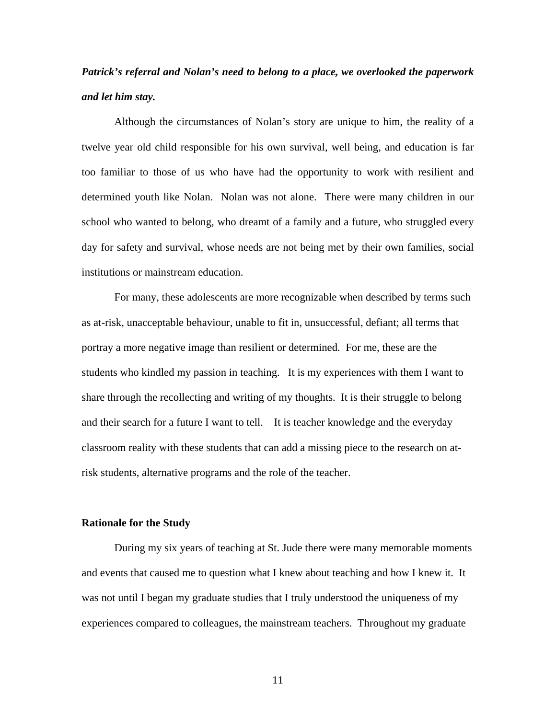# *Patrick's referral and Nolan's need to belong to a place, we overlooked the paperwork and let him stay.*

Although the circumstances of Nolan's story are unique to him, the reality of a twelve year old child responsible for his own survival, well being, and education is far too familiar to those of us who have had the opportunity to work with resilient and determined youth like Nolan. Nolan was not alone. There were many children in our school who wanted to belong, who dreamt of a family and a future, who struggled every day for safety and survival, whose needs are not being met by their own families, social institutions or mainstream education.

 For many, these adolescents are more recognizable when described by terms such as at-risk, unacceptable behaviour, unable to fit in, unsuccessful, defiant; all terms that portray a more negative image than resilient or determined. For me, these are the students who kindled my passion in teaching. It is my experiences with them I want to share through the recollecting and writing of my thoughts. It is their struggle to belong and their search for a future I want to tell. It is teacher knowledge and the everyday classroom reality with these students that can add a missing piece to the research on atrisk students, alternative programs and the role of the teacher.

#### **Rationale for the Study**

 During my six years of teaching at St. Jude there were many memorable moments and events that caused me to question what I knew about teaching and how I knew it. It was not until I began my graduate studies that I truly understood the uniqueness of my experiences compared to colleagues, the mainstream teachers. Throughout my graduate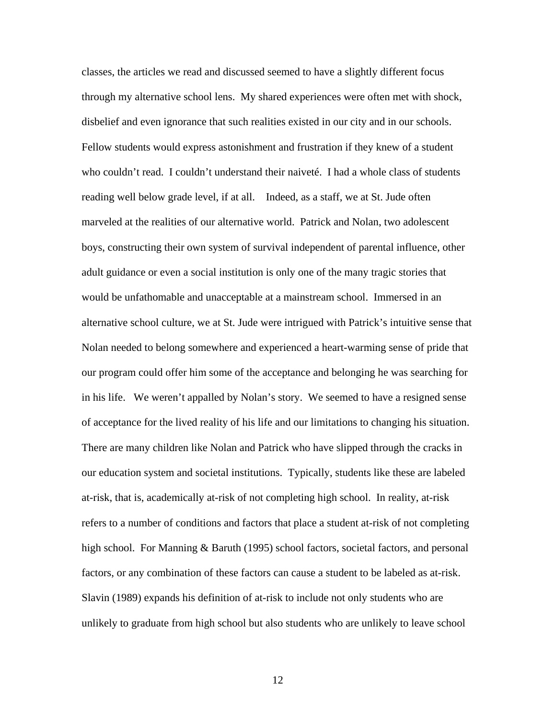classes, the articles we read and discussed seemed to have a slightly different focus through my alternative school lens. My shared experiences were often met with shock, disbelief and even ignorance that such realities existed in our city and in our schools. Fellow students would express astonishment and frustration if they knew of a student who couldn't read. I couldn't understand their naiveté. I had a whole class of students reading well below grade level, if at all. Indeed, as a staff, we at St. Jude often marveled at the realities of our alternative world. Patrick and Nolan, two adolescent boys, constructing their own system of survival independent of parental influence, other adult guidance or even a social institution is only one of the many tragic stories that would be unfathomable and unacceptable at a mainstream school. Immersed in an alternative school culture, we at St. Jude were intrigued with Patrick's intuitive sense that Nolan needed to belong somewhere and experienced a heart-warming sense of pride that our program could offer him some of the acceptance and belonging he was searching for in his life. We weren't appalled by Nolan's story. We seemed to have a resigned sense of acceptance for the lived reality of his life and our limitations to changing his situation. There are many children like Nolan and Patrick who have slipped through the cracks in our education system and societal institutions. Typically, students like these are labeled at-risk, that is, academically at-risk of not completing high school. In reality, at-risk refers to a number of conditions and factors that place a student at-risk of not completing high school. For Manning & Baruth (1995) school factors, societal factors, and personal factors, or any combination of these factors can cause a student to be labeled as at-risk. Slavin (1989) expands his definition of at-risk to include not only students who are unlikely to graduate from high school but also students who are unlikely to leave school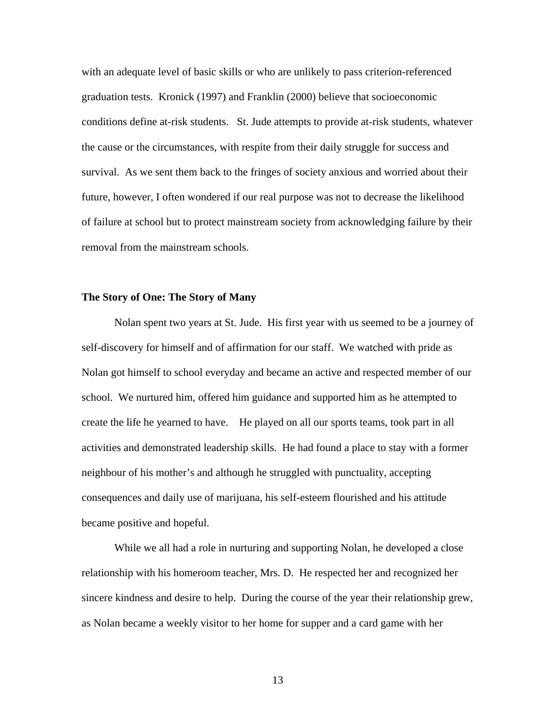with an adequate level of basic skills or who are unlikely to pass criterion-referenced graduation tests. Kronick (1997) and Franklin (2000) believe that socioeconomic conditions define at-risk students. St. Jude attempts to provide at-risk students, whatever the cause or the circumstances, with respite from their daily struggle for success and survival. As we sent them back to the fringes of society anxious and worried about their future, however, I often wondered if our real purpose was not to decrease the likelihood of failure at school but to protect mainstream society from acknowledging failure by their removal from the mainstream schools.

#### **The Story of One: The Story of Many**

 Nolan spent two years at St. Jude. His first year with us seemed to be a journey of self-discovery for himself and of affirmation for our staff. We watched with pride as Nolan got himself to school everyday and became an active and respected member of our school. We nurtured him, offered him guidance and supported him as he attempted to create the life he yearned to have. He played on all our sports teams, took part in all activities and demonstrated leadership skills. He had found a place to stay with a former neighbour of his mother's and although he struggled with punctuality, accepting consequences and daily use of marijuana, his self-esteem flourished and his attitude became positive and hopeful.

 While we all had a role in nurturing and supporting Nolan, he developed a close relationship with his homeroom teacher, Mrs. D. He respected her and recognized her sincere kindness and desire to help. During the course of the year their relationship grew, as Nolan became a weekly visitor to her home for supper and a card game with her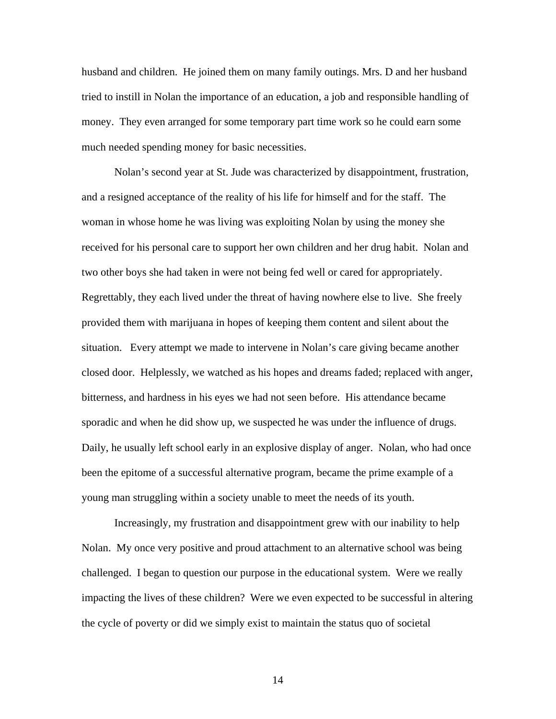husband and children. He joined them on many family outings. Mrs. D and her husband tried to instill in Nolan the importance of an education, a job and responsible handling of money. They even arranged for some temporary part time work so he could earn some much needed spending money for basic necessities.

 Nolan's second year at St. Jude was characterized by disappointment, frustration, and a resigned acceptance of the reality of his life for himself and for the staff. The woman in whose home he was living was exploiting Nolan by using the money she received for his personal care to support her own children and her drug habit. Nolan and two other boys she had taken in were not being fed well or cared for appropriately. Regrettably, they each lived under the threat of having nowhere else to live. She freely provided them with marijuana in hopes of keeping them content and silent about the situation. Every attempt we made to intervene in Nolan's care giving became another closed door. Helplessly, we watched as his hopes and dreams faded; replaced with anger, bitterness, and hardness in his eyes we had not seen before. His attendance became sporadic and when he did show up, we suspected he was under the influence of drugs. Daily, he usually left school early in an explosive display of anger. Nolan, who had once been the epitome of a successful alternative program, became the prime example of a young man struggling within a society unable to meet the needs of its youth.

Increasingly, my frustration and disappointment grew with our inability to help Nolan. My once very positive and proud attachment to an alternative school was being challenged. I began to question our purpose in the educational system. Were we really impacting the lives of these children? Were we even expected to be successful in altering the cycle of poverty or did we simply exist to maintain the status quo of societal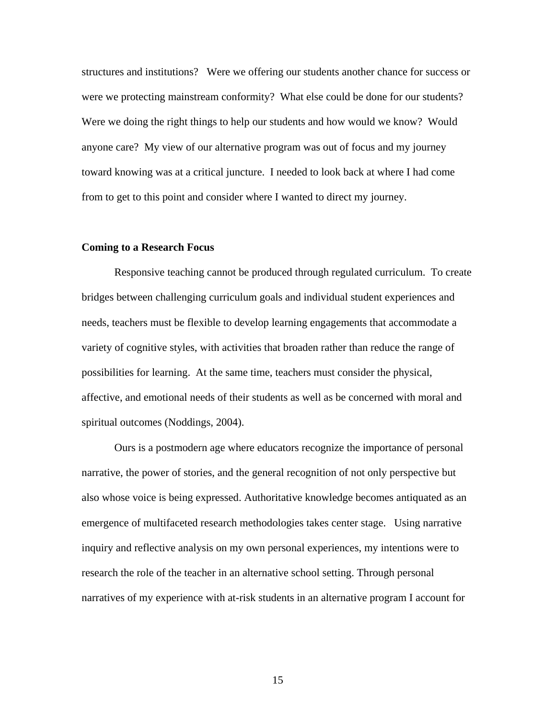structures and institutions? Were we offering our students another chance for success or were we protecting mainstream conformity? What else could be done for our students? Were we doing the right things to help our students and how would we know? Would anyone care? My view of our alternative program was out of focus and my journey toward knowing was at a critical juncture. I needed to look back at where I had come from to get to this point and consider where I wanted to direct my journey.

#### **Coming to a Research Focus**

Responsive teaching cannot be produced through regulated curriculum. To create bridges between challenging curriculum goals and individual student experiences and needs, teachers must be flexible to develop learning engagements that accommodate a variety of cognitive styles, with activities that broaden rather than reduce the range of possibilities for learning. At the same time, teachers must consider the physical, affective, and emotional needs of their students as well as be concerned with moral and spiritual outcomes (Noddings, 2004).

 Ours is a postmodern age where educators recognize the importance of personal narrative, the power of stories, and the general recognition of not only perspective but also whose voice is being expressed. Authoritative knowledge becomes antiquated as an emergence of multifaceted research methodologies takes center stage. Using narrative inquiry and reflective analysis on my own personal experiences, my intentions were to research the role of the teacher in an alternative school setting. Through personal narratives of my experience with at-risk students in an alternative program I account for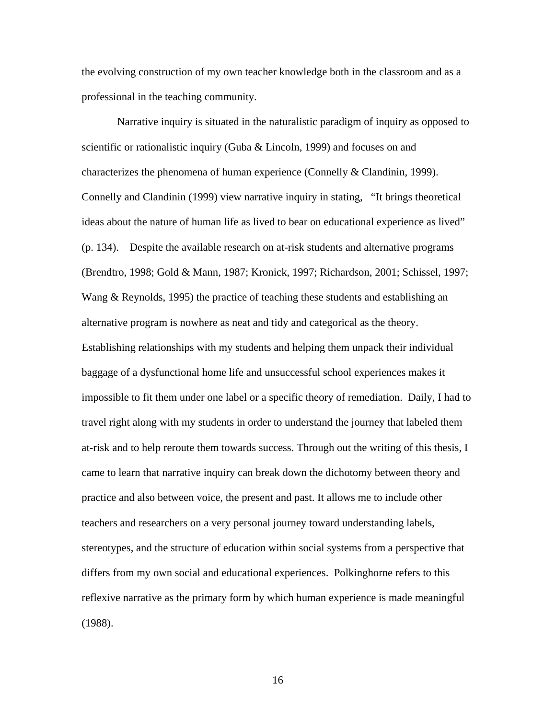the evolving construction of my own teacher knowledge both in the classroom and as a professional in the teaching community.

 Narrative inquiry is situated in the naturalistic paradigm of inquiry as opposed to scientific or rationalistic inquiry (Guba & Lincoln, 1999) and focuses on and characterizes the phenomena of human experience (Connelly & Clandinin, 1999). Connelly and Clandinin (1999) view narrative inquiry in stating, "It brings theoretical ideas about the nature of human life as lived to bear on educational experience as lived" (p. 134). Despite the available research on at-risk students and alternative programs (Brendtro, 1998; Gold & Mann, 1987; Kronick, 1997; Richardson, 2001; Schissel, 1997; Wang & Reynolds, 1995) the practice of teaching these students and establishing an alternative program is nowhere as neat and tidy and categorical as the theory. Establishing relationships with my students and helping them unpack their individual baggage of a dysfunctional home life and unsuccessful school experiences makes it impossible to fit them under one label or a specific theory of remediation. Daily, I had to travel right along with my students in order to understand the journey that labeled them at-risk and to help reroute them towards success. Through out the writing of this thesis, I came to learn that narrative inquiry can break down the dichotomy between theory and practice and also between voice, the present and past. It allows me to include other teachers and researchers on a very personal journey toward understanding labels, stereotypes, and the structure of education within social systems from a perspective that differs from my own social and educational experiences. Polkinghorne refers to this reflexive narrative as the primary form by which human experience is made meaningful (1988).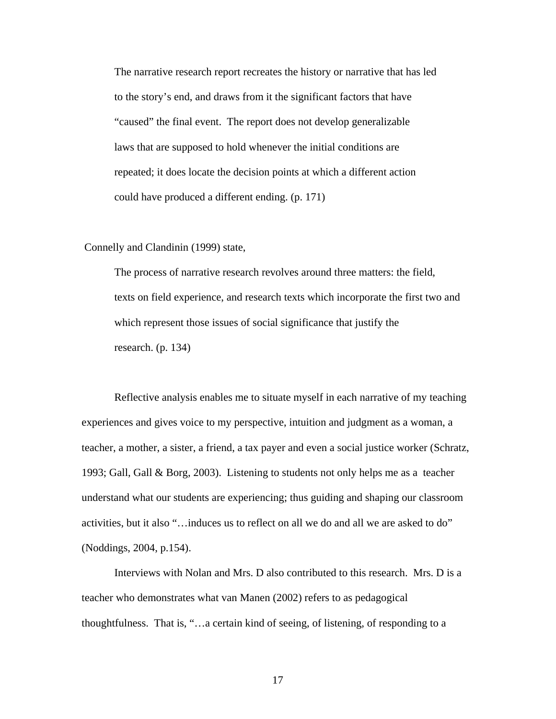The narrative research report recreates the history or narrative that has led to the story's end, and draws from it the significant factors that have "caused" the final event. The report does not develop generalizable laws that are supposed to hold whenever the initial conditions are repeated; it does locate the decision points at which a different action could have produced a different ending. (p. 171)

#### Connelly and Clandinin (1999) state,

 The process of narrative research revolves around three matters: the field, texts on field experience, and research texts which incorporate the first two and which represent those issues of social significance that justify the research. (p. 134)

Reflective analysis enables me to situate myself in each narrative of my teaching experiences and gives voice to my perspective, intuition and judgment as a woman, a teacher, a mother, a sister, a friend, a tax payer and even a social justice worker (Schratz, 1993; Gall, Gall & Borg, 2003). Listening to students not only helps me as a teacher understand what our students are experiencing; thus guiding and shaping our classroom activities, but it also "…induces us to reflect on all we do and all we are asked to do" (Noddings, 2004, p.154).

Interviews with Nolan and Mrs. D also contributed to this research. Mrs. D is a teacher who demonstrates what van Manen (2002) refers to as pedagogical thoughtfulness. That is, "…a certain kind of seeing, of listening, of responding to a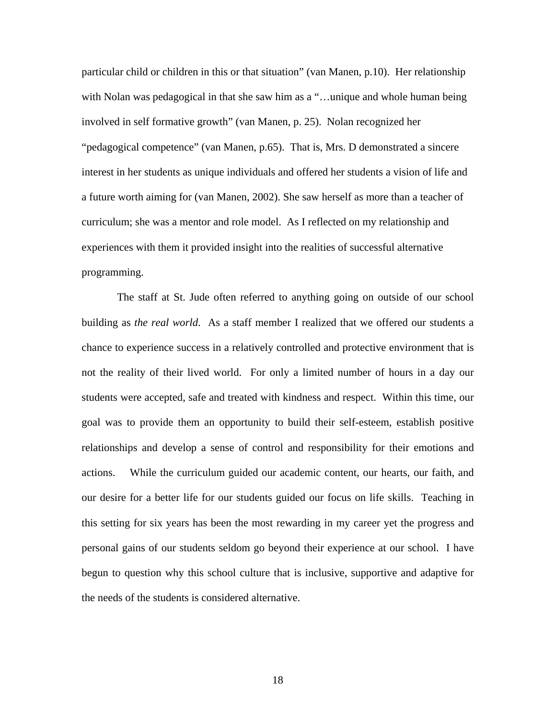particular child or children in this or that situation" (van Manen, p.10). Her relationship with Nolan was pedagogical in that she saw him as a "...unique and whole human being involved in self formative growth" (van Manen, p. 25). Nolan recognized her "pedagogical competence" (van Manen, p.65). That is, Mrs. D demonstrated a sincere interest in her students as unique individuals and offered her students a vision of life and a future worth aiming for (van Manen, 2002). She saw herself as more than a teacher of curriculum; she was a mentor and role model. As I reflected on my relationship and experiences with them it provided insight into the realities of successful alternative programming.

 The staff at St. Jude often referred to anything going on outside of our school building as *the real world*. As a staff member I realized that we offered our students a chance to experience success in a relatively controlled and protective environment that is not the reality of their lived world. For only a limited number of hours in a day our students were accepted, safe and treated with kindness and respect. Within this time, our goal was to provide them an opportunity to build their self-esteem, establish positive relationships and develop a sense of control and responsibility for their emotions and actions. While the curriculum guided our academic content, our hearts, our faith, and our desire for a better life for our students guided our focus on life skills. Teaching in this setting for six years has been the most rewarding in my career yet the progress and personal gains of our students seldom go beyond their experience at our school. I have begun to question why this school culture that is inclusive, supportive and adaptive for the needs of the students is considered alternative.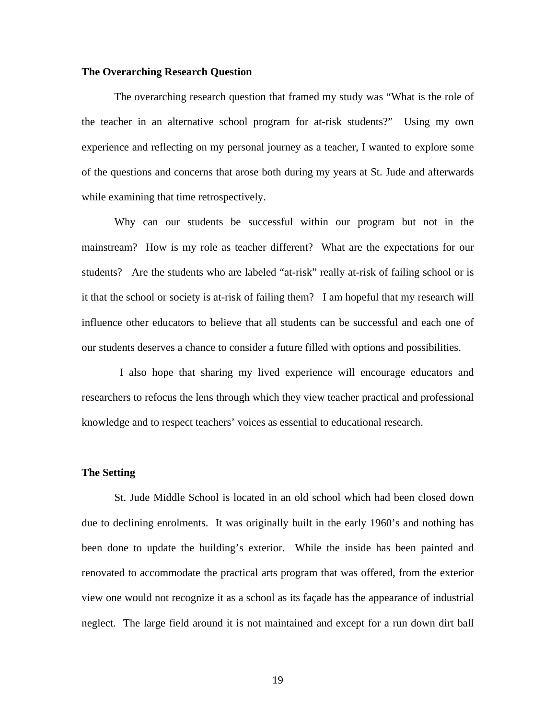#### **The Overarching Research Question**

 The overarching research question that framed my study was "What is the role of the teacher in an alternative school program for at-risk students?" Using my own experience and reflecting on my personal journey as a teacher, I wanted to explore some of the questions and concerns that arose both during my years at St. Jude and afterwards while examining that time retrospectively.

Why can our students be successful within our program but not in the mainstream? How is my role as teacher different? What are the expectations for our students? Are the students who are labeled "at-risk" really at-risk of failing school or is it that the school or society is at-risk of failing them? I am hopeful that my research will influence other educators to believe that all students can be successful and each one of our students deserves a chance to consider a future filled with options and possibilities.

 I also hope that sharing my lived experience will encourage educators and researchers to refocus the lens through which they view teacher practical and professional knowledge and to respect teachers' voices as essential to educational research.

#### **The Setting**

 St. Jude Middle School is located in an old school which had been closed down due to declining enrolments. It was originally built in the early 1960's and nothing has been done to update the building's exterior. While the inside has been painted and renovated to accommodate the practical arts program that was offered, from the exterior view one would not recognize it as a school as its façade has the appearance of industrial neglect. The large field around it is not maintained and except for a run down dirt ball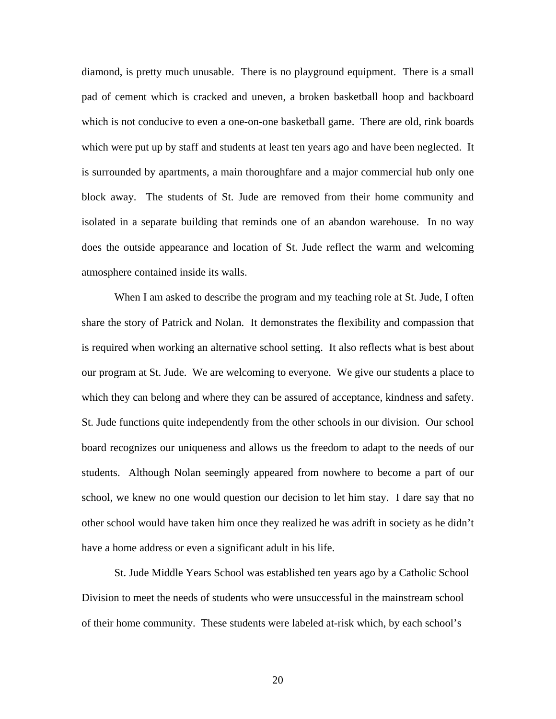diamond, is pretty much unusable. There is no playground equipment. There is a small pad of cement which is cracked and uneven, a broken basketball hoop and backboard which is not conducive to even a one-on-one basketball game. There are old, rink boards which were put up by staff and students at least ten years ago and have been neglected. It is surrounded by apartments, a main thoroughfare and a major commercial hub only one block away. The students of St. Jude are removed from their home community and isolated in a separate building that reminds one of an abandon warehouse. In no way does the outside appearance and location of St. Jude reflect the warm and welcoming atmosphere contained inside its walls.

When I am asked to describe the program and my teaching role at St. Jude, I often share the story of Patrick and Nolan. It demonstrates the flexibility and compassion that is required when working an alternative school setting. It also reflects what is best about our program at St. Jude. We are welcoming to everyone. We give our students a place to which they can belong and where they can be assured of acceptance, kindness and safety. St. Jude functions quite independently from the other schools in our division. Our school board recognizes our uniqueness and allows us the freedom to adapt to the needs of our students. Although Nolan seemingly appeared from nowhere to become a part of our school, we knew no one would question our decision to let him stay. I dare say that no other school would have taken him once they realized he was adrift in society as he didn't have a home address or even a significant adult in his life.

 St. Jude Middle Years School was established ten years ago by a Catholic School Division to meet the needs of students who were unsuccessful in the mainstream school of their home community. These students were labeled at-risk which, by each school's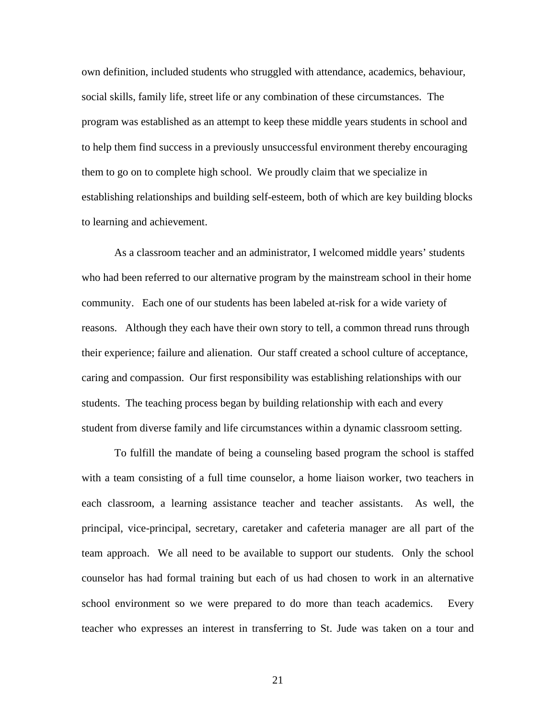own definition, included students who struggled with attendance, academics, behaviour, social skills, family life, street life or any combination of these circumstances. The program was established as an attempt to keep these middle years students in school and to help them find success in a previously unsuccessful environment thereby encouraging them to go on to complete high school. We proudly claim that we specialize in establishing relationships and building self-esteem, both of which are key building blocks to learning and achievement.

 As a classroom teacher and an administrator, I welcomed middle years' students who had been referred to our alternative program by the mainstream school in their home community. Each one of our students has been labeled at-risk for a wide variety of reasons. Although they each have their own story to tell, a common thread runs through their experience; failure and alienation. Our staff created a school culture of acceptance, caring and compassion. Our first responsibility was establishing relationships with our students. The teaching process began by building relationship with each and every student from diverse family and life circumstances within a dynamic classroom setting.

 To fulfill the mandate of being a counseling based program the school is staffed with a team consisting of a full time counselor, a home liaison worker, two teachers in each classroom, a learning assistance teacher and teacher assistants. As well, the principal, vice-principal, secretary, caretaker and cafeteria manager are all part of the team approach. We all need to be available to support our students. Only the school counselor has had formal training but each of us had chosen to work in an alternative school environment so we were prepared to do more than teach academics. Every teacher who expresses an interest in transferring to St. Jude was taken on a tour and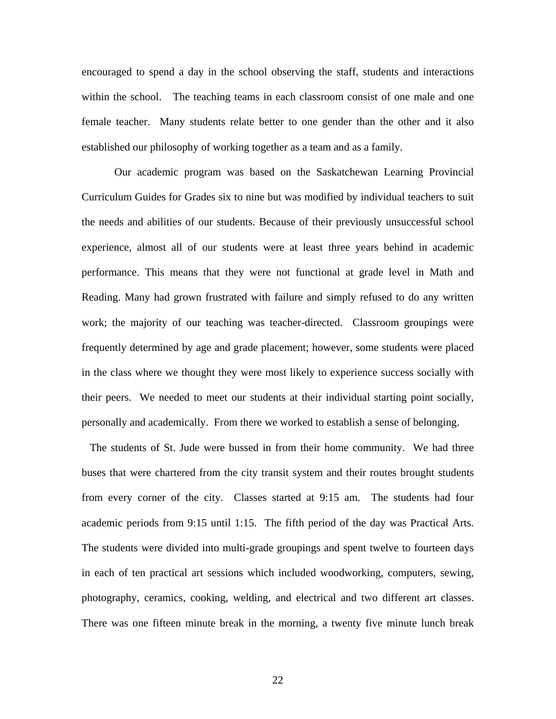encouraged to spend a day in the school observing the staff, students and interactions within the school. The teaching teams in each classroom consist of one male and one female teacher. Many students relate better to one gender than the other and it also established our philosophy of working together as a team and as a family.

 Our academic program was based on the Saskatchewan Learning Provincial Curriculum Guides for Grades six to nine but was modified by individual teachers to suit the needs and abilities of our students. Because of their previously unsuccessful school experience, almost all of our students were at least three years behind in academic performance. This means that they were not functional at grade level in Math and Reading. Many had grown frustrated with failure and simply refused to do any written work; the majority of our teaching was teacher-directed. Classroom groupings were frequently determined by age and grade placement; however, some students were placed in the class where we thought they were most likely to experience success socially with their peers. We needed to meet our students at their individual starting point socially, personally and academically. From there we worked to establish a sense of belonging.

 The students of St. Jude were bussed in from their home community. We had three buses that were chartered from the city transit system and their routes brought students from every corner of the city. Classes started at 9:15 am. The students had four academic periods from 9:15 until 1:15. The fifth period of the day was Practical Arts. The students were divided into multi-grade groupings and spent twelve to fourteen days in each of ten practical art sessions which included woodworking, computers, sewing, photography, ceramics, cooking, welding, and electrical and two different art classes. There was one fifteen minute break in the morning, a twenty five minute lunch break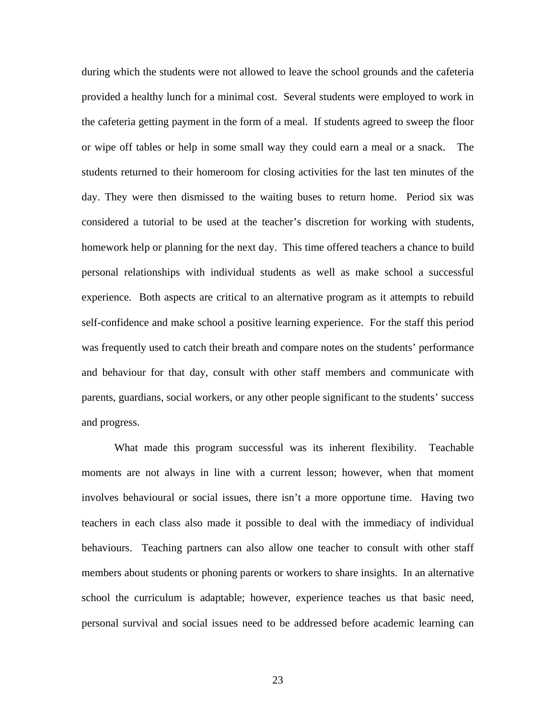during which the students were not allowed to leave the school grounds and the cafeteria provided a healthy lunch for a minimal cost. Several students were employed to work in the cafeteria getting payment in the form of a meal. If students agreed to sweep the floor or wipe off tables or help in some small way they could earn a meal or a snack. The students returned to their homeroom for closing activities for the last ten minutes of the day. They were then dismissed to the waiting buses to return home. Period six was considered a tutorial to be used at the teacher's discretion for working with students, homework help or planning for the next day. This time offered teachers a chance to build personal relationships with individual students as well as make school a successful experience. Both aspects are critical to an alternative program as it attempts to rebuild self-confidence and make school a positive learning experience. For the staff this period was frequently used to catch their breath and compare notes on the students' performance and behaviour for that day, consult with other staff members and communicate with parents, guardians, social workers, or any other people significant to the students' success and progress.

 What made this program successful was its inherent flexibility. Teachable moments are not always in line with a current lesson; however, when that moment involves behavioural or social issues, there isn't a more opportune time. Having two teachers in each class also made it possible to deal with the immediacy of individual behaviours. Teaching partners can also allow one teacher to consult with other staff members about students or phoning parents or workers to share insights. In an alternative school the curriculum is adaptable; however, experience teaches us that basic need, personal survival and social issues need to be addressed before academic learning can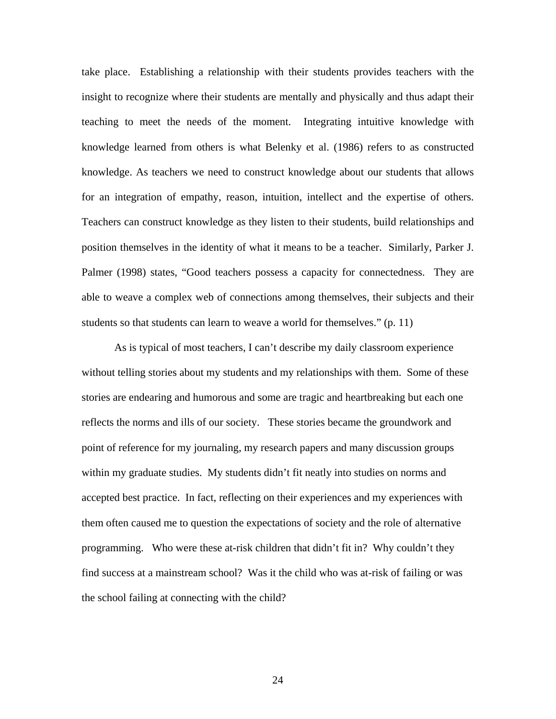take place. Establishing a relationship with their students provides teachers with the insight to recognize where their students are mentally and physically and thus adapt their teaching to meet the needs of the moment. Integrating intuitive knowledge with knowledge learned from others is what Belenky et al. (1986) refers to as constructed knowledge. As teachers we need to construct knowledge about our students that allows for an integration of empathy, reason, intuition, intellect and the expertise of others. Teachers can construct knowledge as they listen to their students, build relationships and position themselves in the identity of what it means to be a teacher. Similarly, Parker J. Palmer (1998) states, "Good teachers possess a capacity for connectedness. They are able to weave a complex web of connections among themselves, their subjects and their students so that students can learn to weave a world for themselves." (p. 11)

 As is typical of most teachers, I can't describe my daily classroom experience without telling stories about my students and my relationships with them. Some of these stories are endearing and humorous and some are tragic and heartbreaking but each one reflects the norms and ills of our society. These stories became the groundwork and point of reference for my journaling, my research papers and many discussion groups within my graduate studies. My students didn't fit neatly into studies on norms and accepted best practice. In fact, reflecting on their experiences and my experiences with them often caused me to question the expectations of society and the role of alternative programming. Who were these at-risk children that didn't fit in? Why couldn't they find success at a mainstream school? Was it the child who was at-risk of failing or was the school failing at connecting with the child?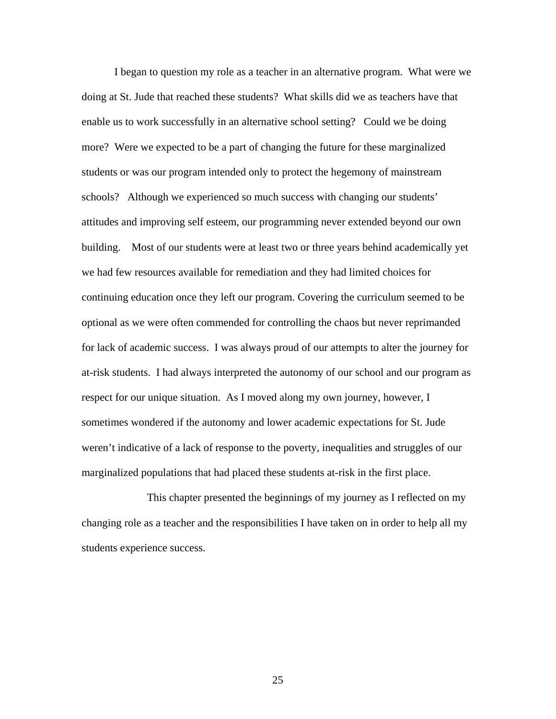I began to question my role as a teacher in an alternative program. What were we doing at St. Jude that reached these students? What skills did we as teachers have that enable us to work successfully in an alternative school setting? Could we be doing more? Were we expected to be a part of changing the future for these marginalized students or was our program intended only to protect the hegemony of mainstream schools? Although we experienced so much success with changing our students' attitudes and improving self esteem, our programming never extended beyond our own building. Most of our students were at least two or three years behind academically yet we had few resources available for remediation and they had limited choices for continuing education once they left our program. Covering the curriculum seemed to be optional as we were often commended for controlling the chaos but never reprimanded for lack of academic success. I was always proud of our attempts to alter the journey for at-risk students. I had always interpreted the autonomy of our school and our program as respect for our unique situation. As I moved along my own journey, however, I sometimes wondered if the autonomy and lower academic expectations for St. Jude weren't indicative of a lack of response to the poverty, inequalities and struggles of our marginalized populations that had placed these students at-risk in the first place.

 This chapter presented the beginnings of my journey as I reflected on my changing role as a teacher and the responsibilities I have taken on in order to help all my students experience success.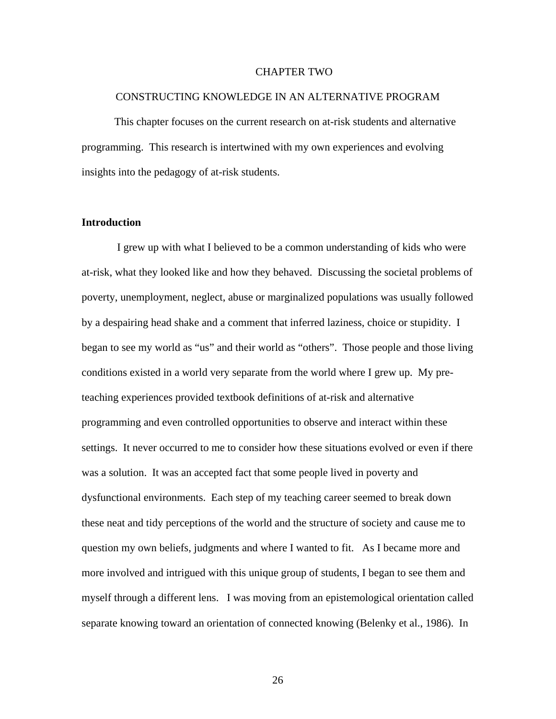#### CHAPTER TWO

#### CONSTRUCTING KNOWLEDGE IN AN ALTERNATIVE PROGRAM

 This chapter focuses on the current research on at-risk students and alternative programming. This research is intertwined with my own experiences and evolving insights into the pedagogy of at-risk students.

#### **Introduction**

 I grew up with what I believed to be a common understanding of kids who were at-risk, what they looked like and how they behaved. Discussing the societal problems of poverty, unemployment, neglect, abuse or marginalized populations was usually followed by a despairing head shake and a comment that inferred laziness, choice or stupidity. I began to see my world as "us" and their world as "others". Those people and those living conditions existed in a world very separate from the world where I grew up. My preteaching experiences provided textbook definitions of at-risk and alternative programming and even controlled opportunities to observe and interact within these settings. It never occurred to me to consider how these situations evolved or even if there was a solution. It was an accepted fact that some people lived in poverty and dysfunctional environments. Each step of my teaching career seemed to break down these neat and tidy perceptions of the world and the structure of society and cause me to question my own beliefs, judgments and where I wanted to fit. As I became more and more involved and intrigued with this unique group of students, I began to see them and myself through a different lens. I was moving from an epistemological orientation called separate knowing toward an orientation of connected knowing (Belenky et al., 1986). In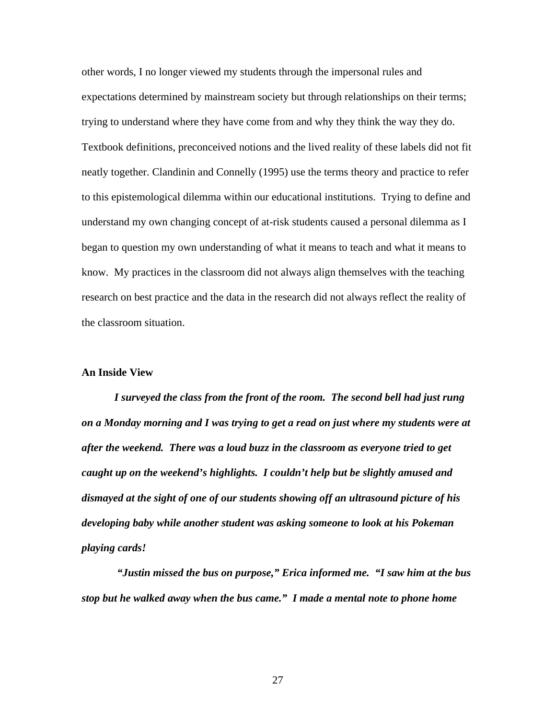other words, I no longer viewed my students through the impersonal rules and expectations determined by mainstream society but through relationships on their terms; trying to understand where they have come from and why they think the way they do. Textbook definitions, preconceived notions and the lived reality of these labels did not fit neatly together. Clandinin and Connelly (1995) use the terms theory and practice to refer to this epistemological dilemma within our educational institutions. Trying to define and understand my own changing concept of at-risk students caused a personal dilemma as I began to question my own understanding of what it means to teach and what it means to know. My practices in the classroom did not always align themselves with the teaching research on best practice and the data in the research did not always reflect the reality of the classroom situation.

#### **An Inside View**

*I surveyed the class from the front of the room. The second bell had just rung on a Monday morning and I was trying to get a read on just where my students were at after the weekend. There was a loud buzz in the classroom as everyone tried to get caught up on the weekend's highlights. I couldn't help but be slightly amused and dismayed at the sight of one of our students showing off an ultrasound picture of his developing baby while another student was asking someone to look at his Pokeman playing cards!* 

 *"Justin missed the bus on purpose," Erica informed me. "I saw him at the bus stop but he walked away when the bus came." I made a mental note to phone home*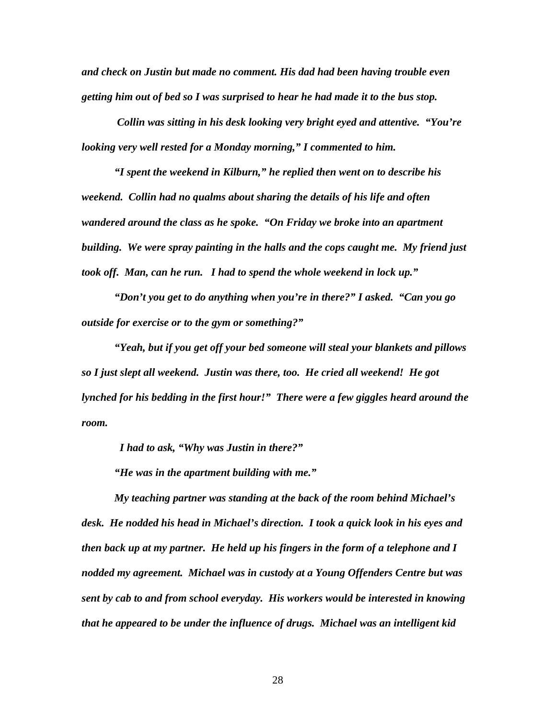*and check on Justin but made no comment. His dad had been having trouble even getting him out of bed so I was surprised to hear he had made it to the bus stop.* 

 *Collin was sitting in his desk looking very bright eyed and attentive. "You're looking very well rested for a Monday morning," I commented to him.* 

*"I spent the weekend in Kilburn," he replied then went on to describe his weekend. Collin had no qualms about sharing the details of his life and often wandered around the class as he spoke. "On Friday we broke into an apartment building. We were spray painting in the halls and the cops caught me. My friend just took off. Man, can he run. I had to spend the whole weekend in lock up."* 

*"Don't you get to do anything when you're in there?" I asked. "Can you go outside for exercise or to the gym or something?"* 

*"Yeah, but if you get off your bed someone will steal your blankets and pillows so I just slept all weekend. Justin was there, too. He cried all weekend! He got lynched for his bedding in the first hour!" There were a few giggles heard around the room.* 

 *I had to ask, "Why was Justin in there?"* 

*"He was in the apartment building with me."* 

*My teaching partner was standing at the back of the room behind Michael's desk. He nodded his head in Michael's direction. I took a quick look in his eyes and then back up at my partner. He held up his fingers in the form of a telephone and I nodded my agreement. Michael was in custody at a Young Offenders Centre but was sent by cab to and from school everyday. His workers would be interested in knowing that he appeared to be under the influence of drugs. Michael was an intelligent kid*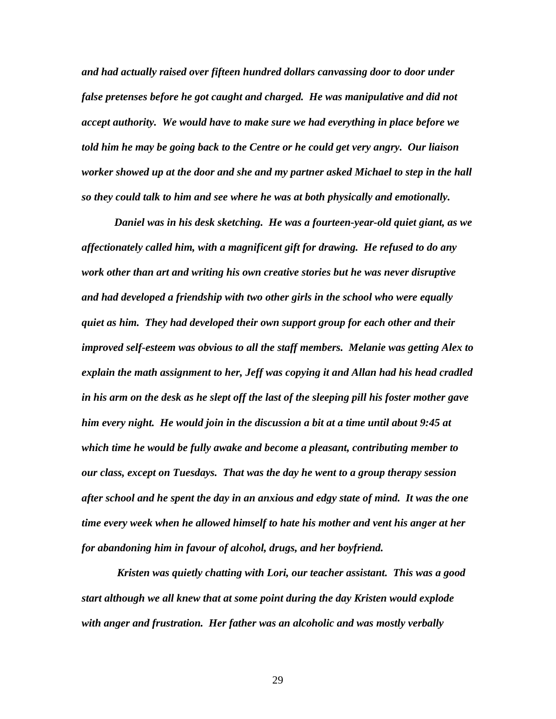*and had actually raised over fifteen hundred dollars canvassing door to door under false pretenses before he got caught and charged. He was manipulative and did not accept authority. We would have to make sure we had everything in place before we told him he may be going back to the Centre or he could get very angry. Our liaison worker showed up at the door and she and my partner asked Michael to step in the hall so they could talk to him and see where he was at both physically and emotionally.* 

*Daniel was in his desk sketching. He was a fourteen-year-old quiet giant, as we affectionately called him, with a magnificent gift for drawing. He refused to do any work other than art and writing his own creative stories but he was never disruptive and had developed a friendship with two other girls in the school who were equally quiet as him. They had developed their own support group for each other and their improved self-esteem was obvious to all the staff members. Melanie was getting Alex to explain the math assignment to her, Jeff was copying it and Allan had his head cradled in his arm on the desk as he slept off the last of the sleeping pill his foster mother gave him every night. He would join in the discussion a bit at a time until about 9:45 at which time he would be fully awake and become a pleasant, contributing member to our class, except on Tuesdays. That was the day he went to a group therapy session after school and he spent the day in an anxious and edgy state of mind. It was the one time every week when he allowed himself to hate his mother and vent his anger at her for abandoning him in favour of alcohol, drugs, and her boyfriend.* 

 *Kristen was quietly chatting with Lori, our teacher assistant. This was a good start although we all knew that at some point during the day Kristen would explode with anger and frustration. Her father was an alcoholic and was mostly verbally*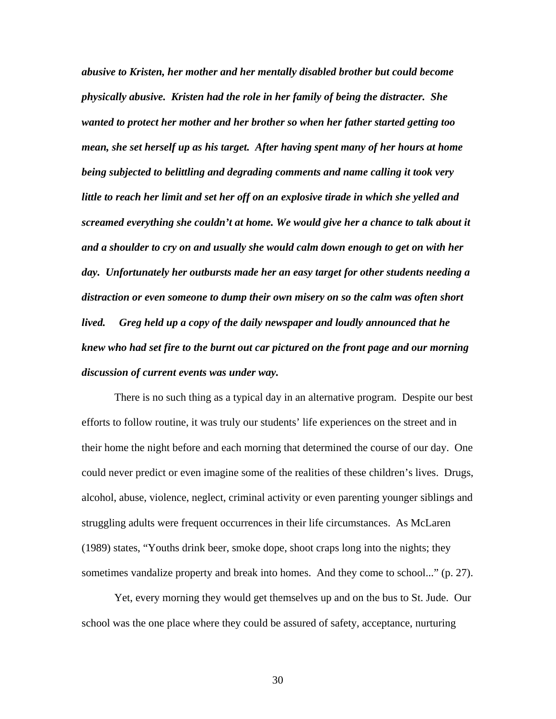*abusive to Kristen, her mother and her mentally disabled brother but could become physically abusive. Kristen had the role in her family of being the distracter. She wanted to protect her mother and her brother so when her father started getting too mean, she set herself up as his target. After having spent many of her hours at home being subjected to belittling and degrading comments and name calling it took very little to reach her limit and set her off on an explosive tirade in which she yelled and screamed everything she couldn't at home. We would give her a chance to talk about it and a shoulder to cry on and usually she would calm down enough to get on with her day. Unfortunately her outbursts made her an easy target for other students needing a distraction or even someone to dump their own misery on so the calm was often short lived. Greg held up a copy of the daily newspaper and loudly announced that he knew who had set fire to the burnt out car pictured on the front page and our morning discussion of current events was under way.* 

There is no such thing as a typical day in an alternative program. Despite our best efforts to follow routine, it was truly our students' life experiences on the street and in their home the night before and each morning that determined the course of our day. One could never predict or even imagine some of the realities of these children's lives. Drugs, alcohol, abuse, violence, neglect, criminal activity or even parenting younger siblings and struggling adults were frequent occurrences in their life circumstances. As McLaren (1989) states, "Youths drink beer, smoke dope, shoot craps long into the nights; they sometimes vandalize property and break into homes. And they come to school..." (p. 27).

Yet, every morning they would get themselves up and on the bus to St. Jude. Our school was the one place where they could be assured of safety, acceptance, nurturing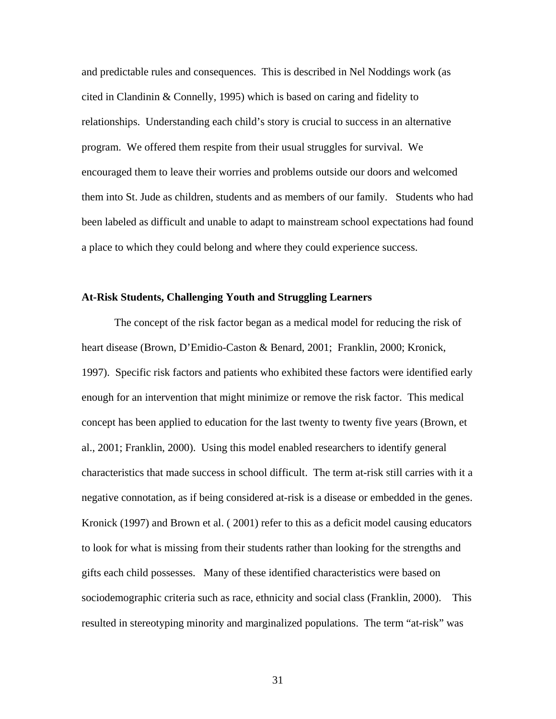and predictable rules and consequences. This is described in Nel Noddings work (as cited in Clandinin & Connelly, 1995) which is based on caring and fidelity to relationships. Understanding each child's story is crucial to success in an alternative program. We offered them respite from their usual struggles for survival. We encouraged them to leave their worries and problems outside our doors and welcomed them into St. Jude as children, students and as members of our family. Students who had been labeled as difficult and unable to adapt to mainstream school expectations had found a place to which they could belong and where they could experience success.

### **At-Risk Students, Challenging Youth and Struggling Learners**

The concept of the risk factor began as a medical model for reducing the risk of heart disease (Brown, D'Emidio-Caston & Benard, 2001; Franklin, 2000; Kronick, 1997). Specific risk factors and patients who exhibited these factors were identified early enough for an intervention that might minimize or remove the risk factor. This medical concept has been applied to education for the last twenty to twenty five years (Brown, et al., 2001; Franklin, 2000). Using this model enabled researchers to identify general characteristics that made success in school difficult. The term at-risk still carries with it a negative connotation, as if being considered at-risk is a disease or embedded in the genes. Kronick (1997) and Brown et al. ( 2001) refer to this as a deficit model causing educators to look for what is missing from their students rather than looking for the strengths and gifts each child possesses. Many of these identified characteristics were based on sociodemographic criteria such as race, ethnicity and social class (Franklin, 2000). This resulted in stereotyping minority and marginalized populations. The term "at-risk" was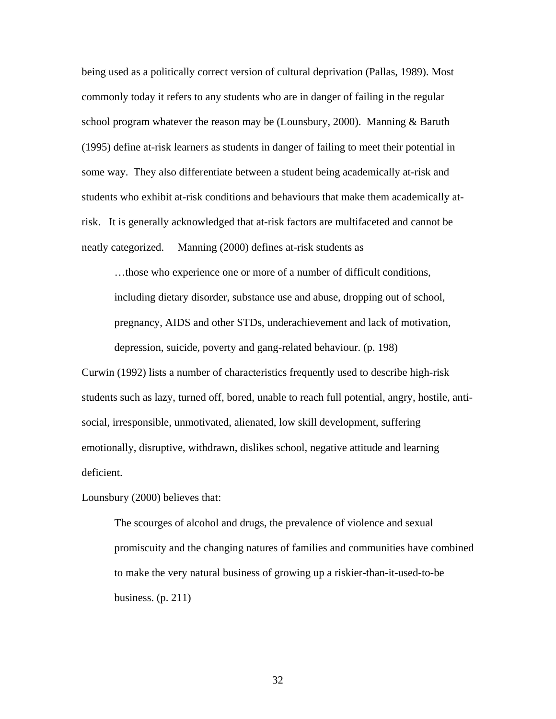being used as a politically correct version of cultural deprivation (Pallas, 1989). Most commonly today it refers to any students who are in danger of failing in the regular school program whatever the reason may be (Lounsbury, 2000). Manning & Baruth (1995) define at-risk learners as students in danger of failing to meet their potential in some way. They also differentiate between a student being academically at-risk and students who exhibit at-risk conditions and behaviours that make them academically atrisk. It is generally acknowledged that at-risk factors are multifaceted and cannot be neatly categorized. Manning (2000) defines at-risk students as

…those who experience one or more of a number of difficult conditions, including dietary disorder, substance use and abuse, dropping out of school, pregnancy, AIDS and other STDs, underachievement and lack of motivation, depression, suicide, poverty and gang-related behaviour. (p. 198)

Curwin (1992) lists a number of characteristics frequently used to describe high-risk students such as lazy, turned off, bored, unable to reach full potential, angry, hostile, antisocial, irresponsible, unmotivated, alienated, low skill development, suffering emotionally, disruptive, withdrawn, dislikes school, negative attitude and learning deficient.

Lounsbury (2000) believes that:

The scourges of alcohol and drugs, the prevalence of violence and sexual promiscuity and the changing natures of families and communities have combined to make the very natural business of growing up a riskier-than-it-used-to-be business. (p. 211)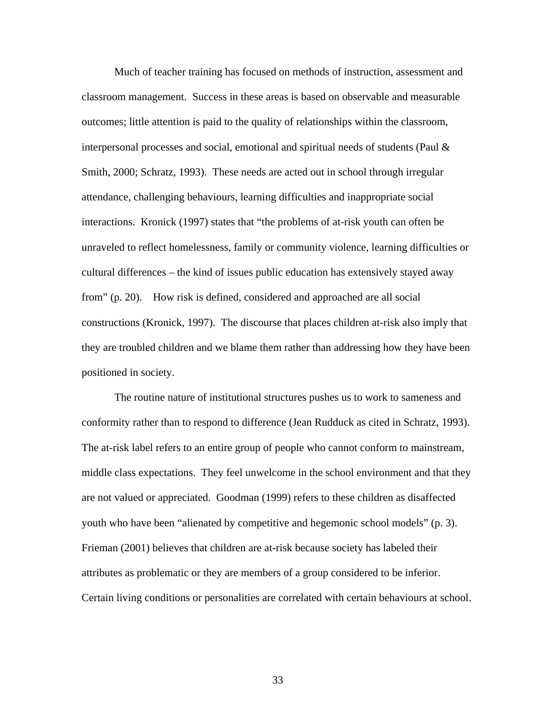Much of teacher training has focused on methods of instruction, assessment and classroom management. Success in these areas is based on observable and measurable outcomes; little attention is paid to the quality of relationships within the classroom, interpersonal processes and social, emotional and spiritual needs of students (Paul & Smith, 2000; Schratz, 1993). These needs are acted out in school through irregular attendance, challenging behaviours, learning difficulties and inappropriate social interactions. Kronick (1997) states that "the problems of at-risk youth can often be unraveled to reflect homelessness, family or community violence, learning difficulties or cultural differences – the kind of issues public education has extensively stayed away from" (p. 20). How risk is defined, considered and approached are all social constructions (Kronick, 1997). The discourse that places children at-risk also imply that they are troubled children and we blame them rather than addressing how they have been positioned in society.

The routine nature of institutional structures pushes us to work to sameness and conformity rather than to respond to difference (Jean Rudduck as cited in Schratz, 1993). The at-risk label refers to an entire group of people who cannot conform to mainstream, middle class expectations. They feel unwelcome in the school environment and that they are not valued or appreciated. Goodman (1999) refers to these children as disaffected youth who have been "alienated by competitive and hegemonic school models" (p. 3). Frieman (2001) believes that children are at-risk because society has labeled their attributes as problematic or they are members of a group considered to be inferior. Certain living conditions or personalities are correlated with certain behaviours at school.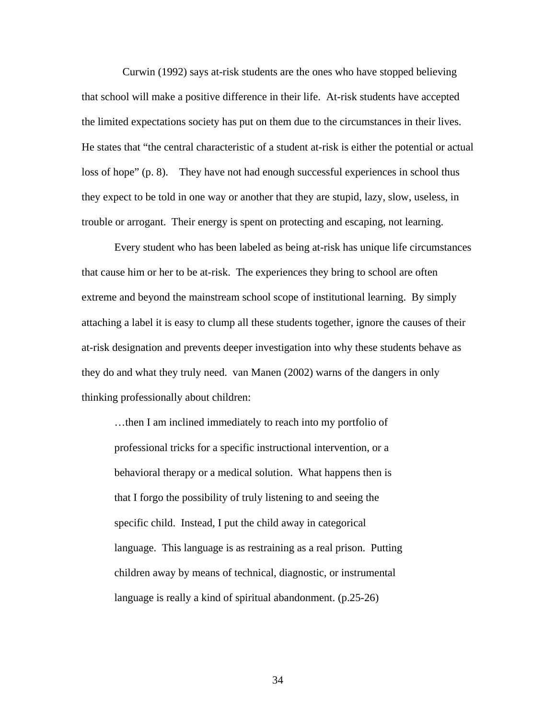Curwin (1992) says at-risk students are the ones who have stopped believing that school will make a positive difference in their life. At-risk students have accepted the limited expectations society has put on them due to the circumstances in their lives. He states that "the central characteristic of a student at-risk is either the potential or actual loss of hope" (p. 8). They have not had enough successful experiences in school thus they expect to be told in one way or another that they are stupid, lazy, slow, useless, in trouble or arrogant. Their energy is spent on protecting and escaping, not learning.

Every student who has been labeled as being at-risk has unique life circumstances that cause him or her to be at-risk. The experiences they bring to school are often extreme and beyond the mainstream school scope of institutional learning. By simply attaching a label it is easy to clump all these students together, ignore the causes of their at-risk designation and prevents deeper investigation into why these students behave as they do and what they truly need. van Manen (2002) warns of the dangers in only thinking professionally about children:

…then I am inclined immediately to reach into my portfolio of professional tricks for a specific instructional intervention, or a behavioral therapy or a medical solution. What happens then is that I forgo the possibility of truly listening to and seeing the specific child. Instead, I put the child away in categorical language. This language is as restraining as a real prison. Putting children away by means of technical, diagnostic, or instrumental language is really a kind of spiritual abandonment. (p.25-26)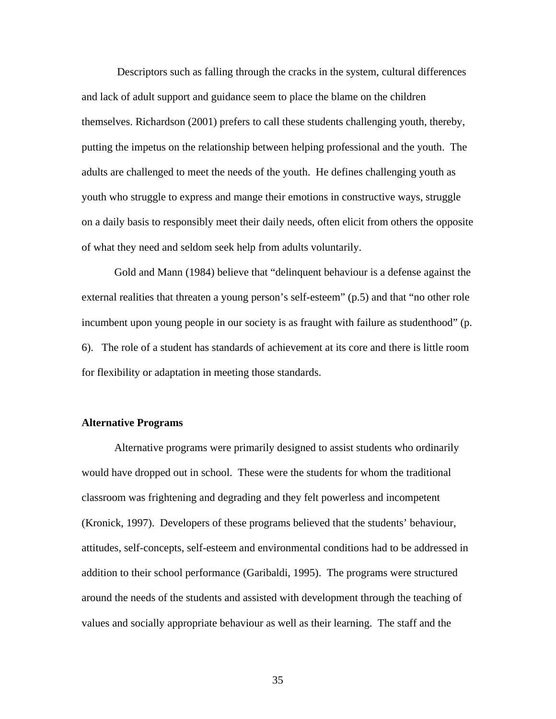Descriptors such as falling through the cracks in the system, cultural differences and lack of adult support and guidance seem to place the blame on the children themselves. Richardson (2001) prefers to call these students challenging youth, thereby, putting the impetus on the relationship between helping professional and the youth. The adults are challenged to meet the needs of the youth. He defines challenging youth as youth who struggle to express and mange their emotions in constructive ways, struggle on a daily basis to responsibly meet their daily needs, often elicit from others the opposite of what they need and seldom seek help from adults voluntarily.

Gold and Mann (1984) believe that "delinquent behaviour is a defense against the external realities that threaten a young person's self-esteem" (p.5) and that "no other role incumbent upon young people in our society is as fraught with failure as studenthood" (p. 6). The role of a student has standards of achievement at its core and there is little room for flexibility or adaptation in meeting those standards.

## **Alternative Programs**

Alternative programs were primarily designed to assist students who ordinarily would have dropped out in school. These were the students for whom the traditional classroom was frightening and degrading and they felt powerless and incompetent (Kronick, 1997). Developers of these programs believed that the students' behaviour, attitudes, self-concepts, self-esteem and environmental conditions had to be addressed in addition to their school performance (Garibaldi, 1995). The programs were structured around the needs of the students and assisted with development through the teaching of values and socially appropriate behaviour as well as their learning. The staff and the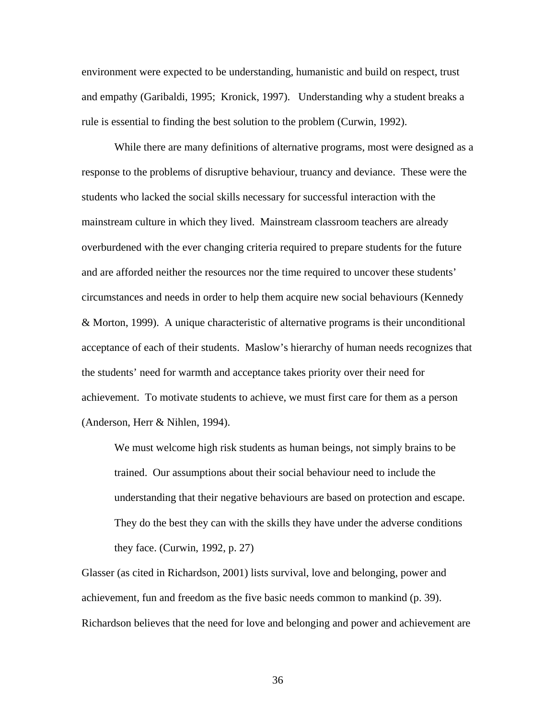environment were expected to be understanding, humanistic and build on respect, trust and empathy (Garibaldi, 1995; Kronick, 1997). Understanding why a student breaks a rule is essential to finding the best solution to the problem (Curwin, 1992).

While there are many definitions of alternative programs, most were designed as a response to the problems of disruptive behaviour, truancy and deviance. These were the students who lacked the social skills necessary for successful interaction with the mainstream culture in which they lived. Mainstream classroom teachers are already overburdened with the ever changing criteria required to prepare students for the future and are afforded neither the resources nor the time required to uncover these students' circumstances and needs in order to help them acquire new social behaviours (Kennedy & Morton, 1999). A unique characteristic of alternative programs is their unconditional acceptance of each of their students. Maslow's hierarchy of human needs recognizes that the students' need for warmth and acceptance takes priority over their need for achievement. To motivate students to achieve, we must first care for them as a person (Anderson, Herr & Nihlen, 1994).

We must welcome high risk students as human beings, not simply brains to be trained. Our assumptions about their social behaviour need to include the understanding that their negative behaviours are based on protection and escape. They do the best they can with the skills they have under the adverse conditions they face. (Curwin, 1992, p. 27)

Glasser (as cited in Richardson, 2001) lists survival, love and belonging, power and achievement, fun and freedom as the five basic needs common to mankind (p. 39). Richardson believes that the need for love and belonging and power and achievement are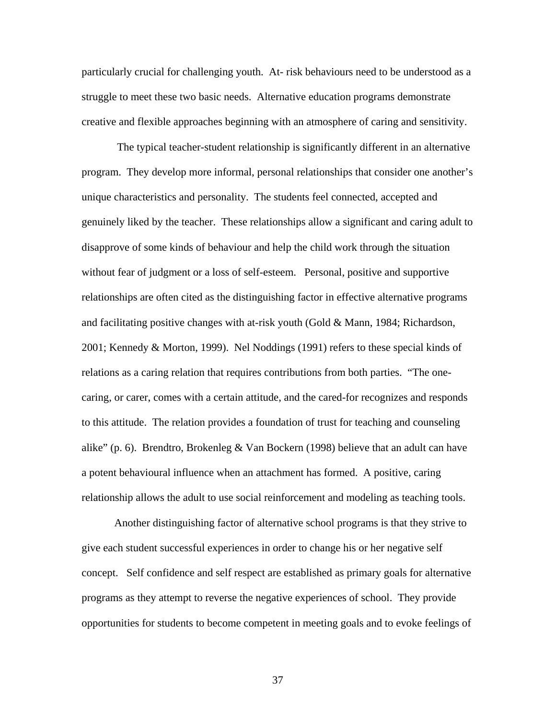particularly crucial for challenging youth. At- risk behaviours need to be understood as a struggle to meet these two basic needs. Alternative education programs demonstrate creative and flexible approaches beginning with an atmosphere of caring and sensitivity.

 The typical teacher-student relationship is significantly different in an alternative program. They develop more informal, personal relationships that consider one another's unique characteristics and personality. The students feel connected, accepted and genuinely liked by the teacher. These relationships allow a significant and caring adult to disapprove of some kinds of behaviour and help the child work through the situation without fear of judgment or a loss of self-esteem. Personal, positive and supportive relationships are often cited as the distinguishing factor in effective alternative programs and facilitating positive changes with at-risk youth (Gold  $&$  Mann, 1984; Richardson, 2001; Kennedy & Morton, 1999). Nel Noddings (1991) refers to these special kinds of relations as a caring relation that requires contributions from both parties. "The onecaring, or carer, comes with a certain attitude, and the cared-for recognizes and responds to this attitude. The relation provides a foundation of trust for teaching and counseling alike" (p. 6). Brendtro, Brokenleg & Van Bockern (1998) believe that an adult can have a potent behavioural influence when an attachment has formed. A positive, caring relationship allows the adult to use social reinforcement and modeling as teaching tools.

 Another distinguishing factor of alternative school programs is that they strive to give each student successful experiences in order to change his or her negative self concept. Self confidence and self respect are established as primary goals for alternative programs as they attempt to reverse the negative experiences of school. They provide opportunities for students to become competent in meeting goals and to evoke feelings of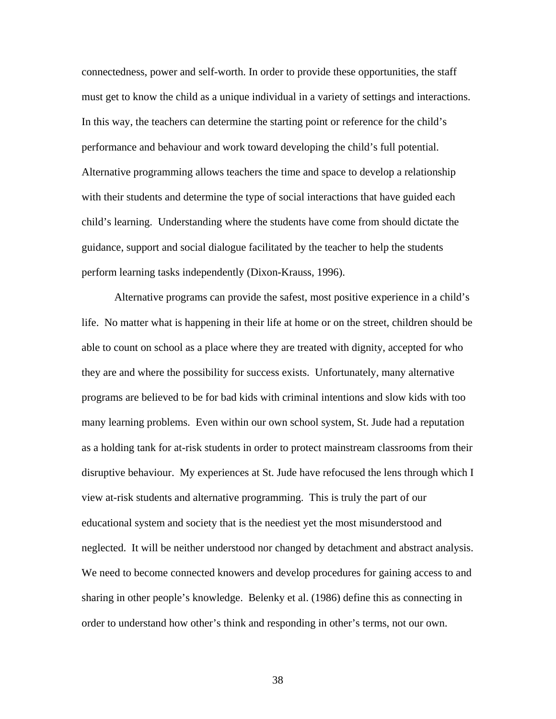connectedness, power and self-worth. In order to provide these opportunities, the staff must get to know the child as a unique individual in a variety of settings and interactions. In this way, the teachers can determine the starting point or reference for the child's performance and behaviour and work toward developing the child's full potential. Alternative programming allows teachers the time and space to develop a relationship with their students and determine the type of social interactions that have guided each child's learning. Understanding where the students have come from should dictate the guidance, support and social dialogue facilitated by the teacher to help the students perform learning tasks independently (Dixon-Krauss, 1996).

Alternative programs can provide the safest, most positive experience in a child's life. No matter what is happening in their life at home or on the street, children should be able to count on school as a place where they are treated with dignity, accepted for who they are and where the possibility for success exists. Unfortunately, many alternative programs are believed to be for bad kids with criminal intentions and slow kids with too many learning problems. Even within our own school system, St. Jude had a reputation as a holding tank for at-risk students in order to protect mainstream classrooms from their disruptive behaviour. My experiences at St. Jude have refocused the lens through which I view at-risk students and alternative programming. This is truly the part of our educational system and society that is the neediest yet the most misunderstood and neglected. It will be neither understood nor changed by detachment and abstract analysis. We need to become connected knowers and develop procedures for gaining access to and sharing in other people's knowledge. Belenky et al. (1986) define this as connecting in order to understand how other's think and responding in other's terms, not our own.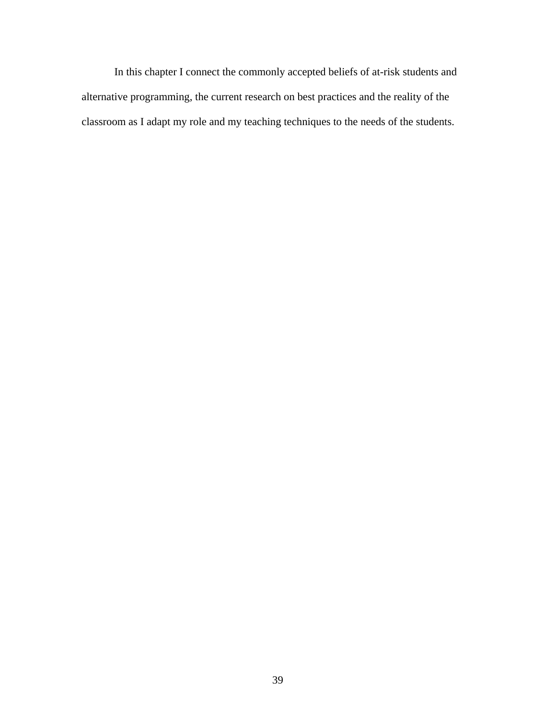In this chapter I connect the commonly accepted beliefs of at-risk students and alternative programming, the current research on best practices and the reality of the classroom as I adapt my role and my teaching techniques to the needs of the students.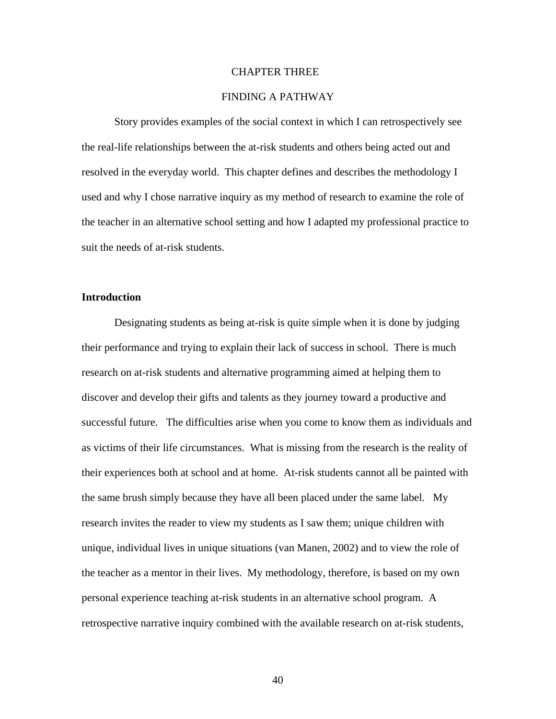### CHAPTER THREE

# FINDING A PATHWAY

 Story provides examples of the social context in which I can retrospectively see the real-life relationships between the at-risk students and others being acted out and resolved in the everyday world. This chapter defines and describes the methodology I used and why I chose narrative inquiry as my method of research to examine the role of the teacher in an alternative school setting and how I adapted my professional practice to suit the needs of at-risk students.

# **Introduction**

Designating students as being at-risk is quite simple when it is done by judging their performance and trying to explain their lack of success in school. There is much research on at-risk students and alternative programming aimed at helping them to discover and develop their gifts and talents as they journey toward a productive and successful future. The difficulties arise when you come to know them as individuals and as victims of their life circumstances. What is missing from the research is the reality of their experiences both at school and at home. At-risk students cannot all be painted with the same brush simply because they have all been placed under the same label. My research invites the reader to view my students as I saw them; unique children with unique, individual lives in unique situations (van Manen, 2002) and to view the role of the teacher as a mentor in their lives. My methodology, therefore, is based on my own personal experience teaching at-risk students in an alternative school program. A retrospective narrative inquiry combined with the available research on at-risk students,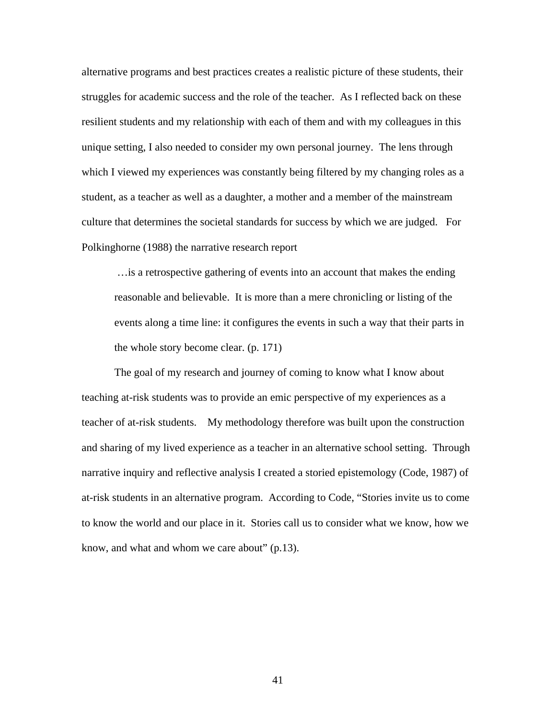alternative programs and best practices creates a realistic picture of these students, their struggles for academic success and the role of the teacher. As I reflected back on these resilient students and my relationship with each of them and with my colleagues in this unique setting, I also needed to consider my own personal journey. The lens through which I viewed my experiences was constantly being filtered by my changing roles as a student, as a teacher as well as a daughter, a mother and a member of the mainstream culture that determines the societal standards for success by which we are judged. For Polkinghorne (1988) the narrative research report

…is a retrospective gathering of events into an account that makes the ending reasonable and believable. It is more than a mere chronicling or listing of the events along a time line: it configures the events in such a way that their parts in the whole story become clear. (p. 171)

 The goal of my research and journey of coming to know what I know about teaching at-risk students was to provide an emic perspective of my experiences as a teacher of at-risk students. My methodology therefore was built upon the construction and sharing of my lived experience as a teacher in an alternative school setting. Through narrative inquiry and reflective analysis I created a storied epistemology (Code, 1987) of at-risk students in an alternative program. According to Code, "Stories invite us to come to know the world and our place in it. Stories call us to consider what we know, how we know, and what and whom we care about" (p.13).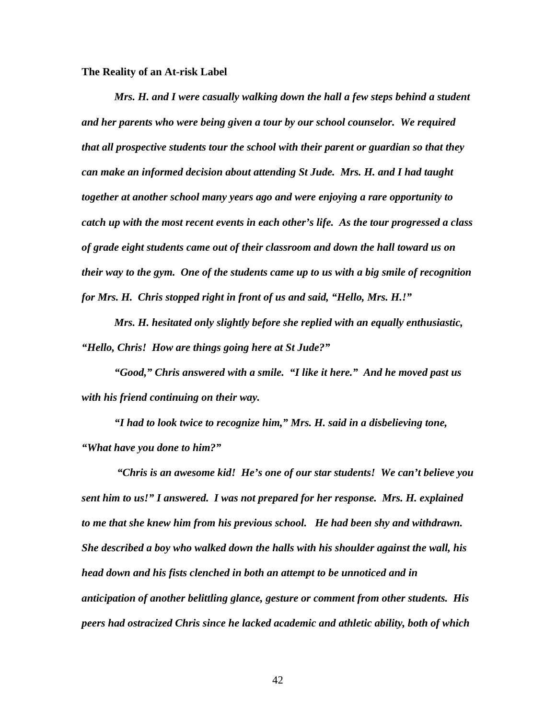**The Reality of an At-risk Label** 

*Mrs. H. and I were casually walking down the hall a few steps behind a student and her parents who were being given a tour by our school counselor. We required that all prospective students tour the school with their parent or guardian so that they can make an informed decision about attending St Jude. Mrs. H. and I had taught together at another school many years ago and were enjoying a rare opportunity to catch up with the most recent events in each other's life. As the tour progressed a class of grade eight students came out of their classroom and down the hall toward us on their way to the gym. One of the students came up to us with a big smile of recognition for Mrs. H. Chris stopped right in front of us and said, "Hello, Mrs. H.!"* 

*Mrs. H. hesitated only slightly before she replied with an equally enthusiastic, "Hello, Chris! How are things going here at St Jude?"* 

*"Good," Chris answered with a smile. "I like it here." And he moved past us with his friend continuing on their way.* 

*"I had to look twice to recognize him," Mrs. H. said in a disbelieving tone, "What have you done to him?"* 

 *"Chris is an awesome kid! He's one of our star students! We can't believe you sent him to us!" I answered. I was not prepared for her response. Mrs. H. explained to me that she knew him from his previous school. He had been shy and withdrawn. She described a boy who walked down the halls with his shoulder against the wall, his head down and his fists clenched in both an attempt to be unnoticed and in anticipation of another belittling glance, gesture or comment from other students. His peers had ostracized Chris since he lacked academic and athletic ability, both of which*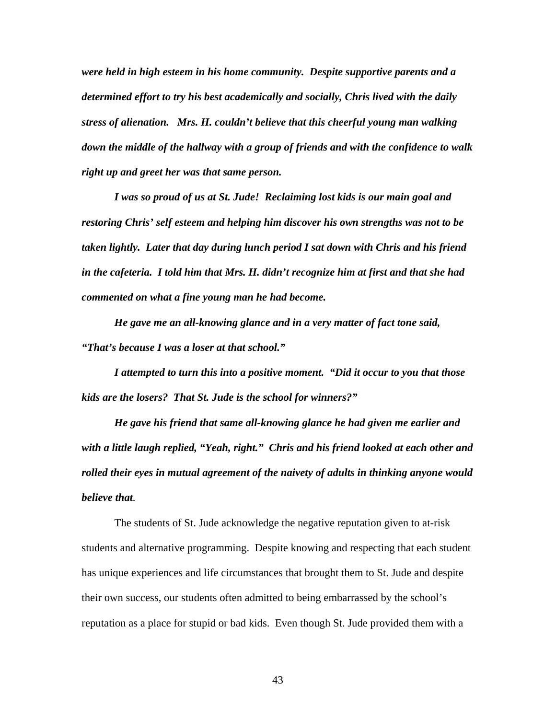*were held in high esteem in his home community. Despite supportive parents and a determined effort to try his best academically and socially, Chris lived with the daily stress of alienation. Mrs. H. couldn't believe that this cheerful young man walking down the middle of the hallway with a group of friends and with the confidence to walk right up and greet her was that same person.* 

 *I was so proud of us at St. Jude! Reclaiming lost kids is our main goal and restoring Chris' self esteem and helping him discover his own strengths was not to be taken lightly. Later that day during lunch period I sat down with Chris and his friend in the cafeteria. I told him that Mrs. H. didn't recognize him at first and that she had commented on what a fine young man he had become.* 

 *He gave me an all-knowing glance and in a very matter of fact tone said, "That's because I was a loser at that school."* 

 *I attempted to turn this into a positive moment. "Did it occur to you that those kids are the losers? That St. Jude is the school for winners?"* 

 *He gave his friend that same all-knowing glance he had given me earlier and with a little laugh replied, "Yeah, right." Chris and his friend looked at each other and rolled their eyes in mutual agreement of the naivety of adults in thinking anyone would believe that.*

 The students of St. Jude acknowledge the negative reputation given to at-risk students and alternative programming. Despite knowing and respecting that each student has unique experiences and life circumstances that brought them to St. Jude and despite their own success, our students often admitted to being embarrassed by the school's reputation as a place for stupid or bad kids. Even though St. Jude provided them with a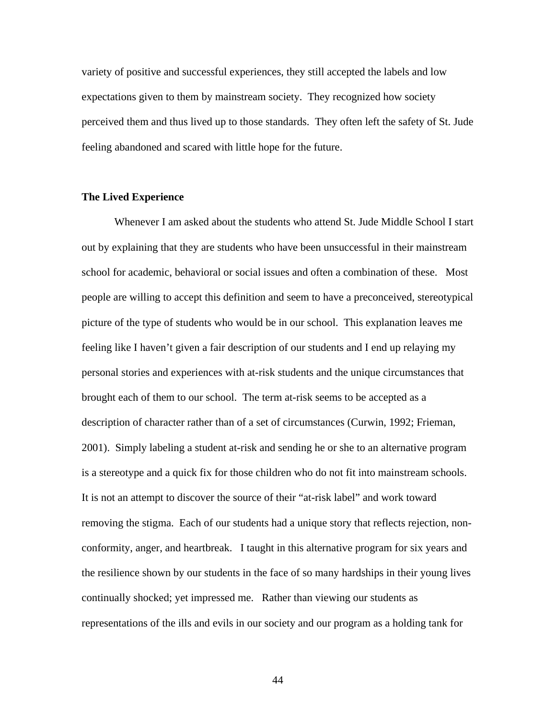variety of positive and successful experiences, they still accepted the labels and low expectations given to them by mainstream society. They recognized how society perceived them and thus lived up to those standards. They often left the safety of St. Jude feeling abandoned and scared with little hope for the future.

### **The Lived Experience**

 Whenever I am asked about the students who attend St. Jude Middle School I start out by explaining that they are students who have been unsuccessful in their mainstream school for academic, behavioral or social issues and often a combination of these. Most people are willing to accept this definition and seem to have a preconceived, stereotypical picture of the type of students who would be in our school. This explanation leaves me feeling like I haven't given a fair description of our students and I end up relaying my personal stories and experiences with at-risk students and the unique circumstances that brought each of them to our school. The term at-risk seems to be accepted as a description of character rather than of a set of circumstances (Curwin, 1992; Frieman, 2001). Simply labeling a student at-risk and sending he or she to an alternative program is a stereotype and a quick fix for those children who do not fit into mainstream schools. It is not an attempt to discover the source of their "at-risk label" and work toward removing the stigma. Each of our students had a unique story that reflects rejection, nonconformity, anger, and heartbreak. I taught in this alternative program for six years and the resilience shown by our students in the face of so many hardships in their young lives continually shocked; yet impressed me. Rather than viewing our students as representations of the ills and evils in our society and our program as a holding tank for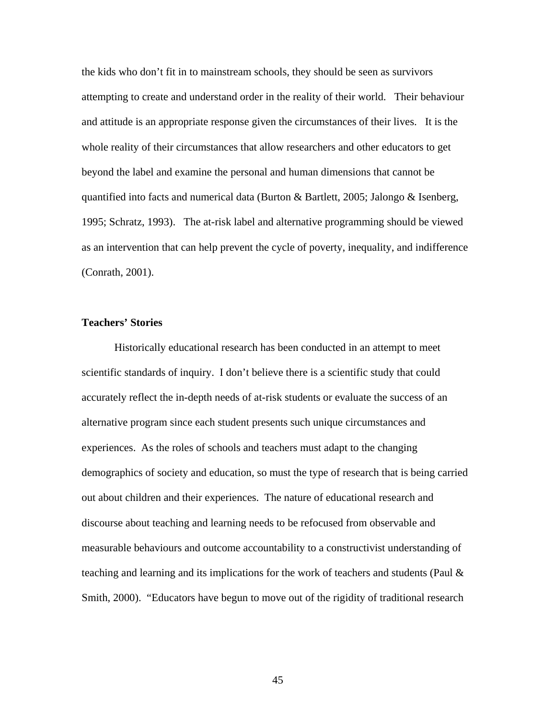the kids who don't fit in to mainstream schools, they should be seen as survivors attempting to create and understand order in the reality of their world. Their behaviour and attitude is an appropriate response given the circumstances of their lives. It is the whole reality of their circumstances that allow researchers and other educators to get beyond the label and examine the personal and human dimensions that cannot be quantified into facts and numerical data (Burton  $\&$  Bartlett, 2005; Jalongo  $\&$  Isenberg, 1995; Schratz, 1993). The at-risk label and alternative programming should be viewed as an intervention that can help prevent the cycle of poverty, inequality, and indifference (Conrath, 2001).

### **Teachers' Stories**

 Historically educational research has been conducted in an attempt to meet scientific standards of inquiry. I don't believe there is a scientific study that could accurately reflect the in-depth needs of at-risk students or evaluate the success of an alternative program since each student presents such unique circumstances and experiences. As the roles of schools and teachers must adapt to the changing demographics of society and education, so must the type of research that is being carried out about children and their experiences. The nature of educational research and discourse about teaching and learning needs to be refocused from observable and measurable behaviours and outcome accountability to a constructivist understanding of teaching and learning and its implications for the work of teachers and students (Paul  $\&$ Smith, 2000). "Educators have begun to move out of the rigidity of traditional research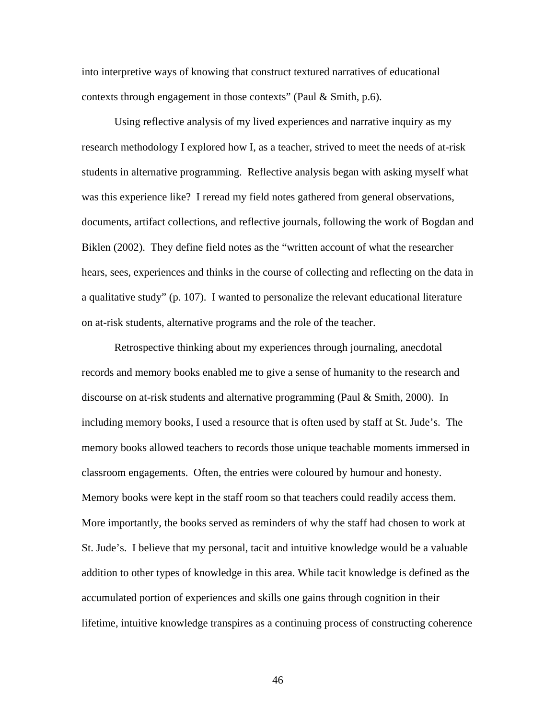into interpretive ways of knowing that construct textured narratives of educational contexts through engagement in those contexts" (Paul & Smith, p.6).

Using reflective analysis of my lived experiences and narrative inquiry as my research methodology I explored how I, as a teacher, strived to meet the needs of at-risk students in alternative programming. Reflective analysis began with asking myself what was this experience like? I reread my field notes gathered from general observations, documents, artifact collections, and reflective journals, following the work of Bogdan and Biklen (2002). They define field notes as the "written account of what the researcher hears, sees, experiences and thinks in the course of collecting and reflecting on the data in a qualitative study" (p. 107). I wanted to personalize the relevant educational literature on at-risk students, alternative programs and the role of the teacher.

 Retrospective thinking about my experiences through journaling, anecdotal records and memory books enabled me to give a sense of humanity to the research and discourse on at-risk students and alternative programming (Paul & Smith, 2000). In including memory books, I used a resource that is often used by staff at St. Jude's. The memory books allowed teachers to records those unique teachable moments immersed in classroom engagements. Often, the entries were coloured by humour and honesty. Memory books were kept in the staff room so that teachers could readily access them. More importantly, the books served as reminders of why the staff had chosen to work at St. Jude's. I believe that my personal, tacit and intuitive knowledge would be a valuable addition to other types of knowledge in this area. While tacit knowledge is defined as the accumulated portion of experiences and skills one gains through cognition in their lifetime, intuitive knowledge transpires as a continuing process of constructing coherence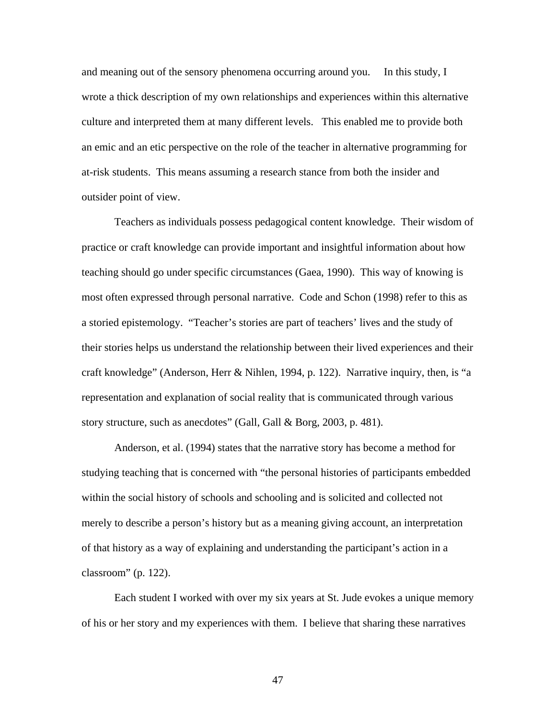and meaning out of the sensory phenomena occurring around you. In this study, I wrote a thick description of my own relationships and experiences within this alternative culture and interpreted them at many different levels. This enabled me to provide both an emic and an etic perspective on the role of the teacher in alternative programming for at-risk students. This means assuming a research stance from both the insider and outsider point of view.

 Teachers as individuals possess pedagogical content knowledge. Their wisdom of practice or craft knowledge can provide important and insightful information about how teaching should go under specific circumstances (Gaea, 1990). This way of knowing is most often expressed through personal narrative. Code and Schon (1998) refer to this as a storied epistemology. "Teacher's stories are part of teachers' lives and the study of their stories helps us understand the relationship between their lived experiences and their craft knowledge" (Anderson, Herr & Nihlen, 1994, p. 122). Narrative inquiry, then, is "a representation and explanation of social reality that is communicated through various story structure, such as anecdotes" (Gall, Gall & Borg, 2003, p. 481).

 Anderson, et al. (1994) states that the narrative story has become a method for studying teaching that is concerned with "the personal histories of participants embedded within the social history of schools and schooling and is solicited and collected not merely to describe a person's history but as a meaning giving account, an interpretation of that history as a way of explaining and understanding the participant's action in a classroom" (p. 122).

 Each student I worked with over my six years at St. Jude evokes a unique memory of his or her story and my experiences with them. I believe that sharing these narratives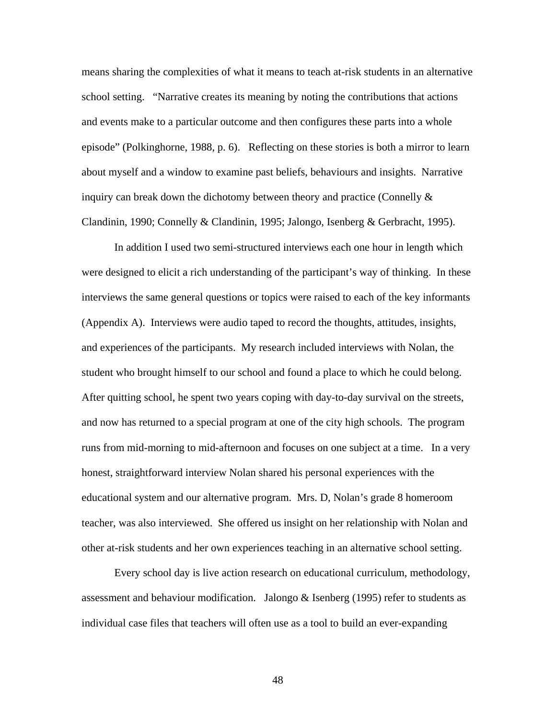means sharing the complexities of what it means to teach at-risk students in an alternative school setting. "Narrative creates its meaning by noting the contributions that actions and events make to a particular outcome and then configures these parts into a whole episode" (Polkinghorne, 1988, p. 6). Reflecting on these stories is both a mirror to learn about myself and a window to examine past beliefs, behaviours and insights. Narrative inquiry can break down the dichotomy between theory and practice (Connelly  $\&$ Clandinin, 1990; Connelly & Clandinin, 1995; Jalongo, Isenberg & Gerbracht, 1995).

In addition I used two semi-structured interviews each one hour in length which were designed to elicit a rich understanding of the participant's way of thinking. In these interviews the same general questions or topics were raised to each of the key informants (Appendix A).Interviews were audio taped to record the thoughts, attitudes, insights, and experiences of the participants. My research included interviews with Nolan, the student who brought himself to our school and found a place to which he could belong. After quitting school, he spent two years coping with day-to-day survival on the streets, and now has returned to a special program at one of the city high schools. The program runs from mid-morning to mid-afternoon and focuses on one subject at a time. In a very honest, straightforward interview Nolan shared his personal experiences with the educational system and our alternative program. Mrs. D, Nolan's grade 8 homeroom teacher, was also interviewed. She offered us insight on her relationship with Nolan and other at-risk students and her own experiences teaching in an alternative school setting.

Every school day is live action research on educational curriculum, methodology, assessment and behaviour modification. Jalongo  $\&$  Isenberg (1995) refer to students as individual case files that teachers will often use as a tool to build an ever-expanding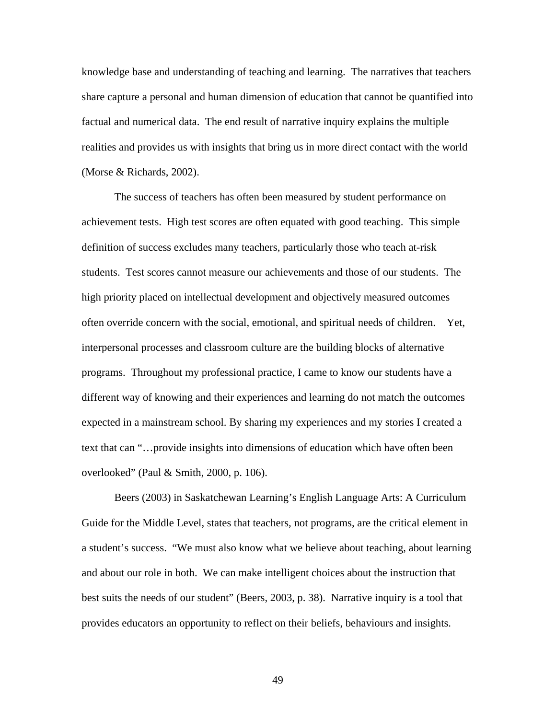knowledge base and understanding of teaching and learning. The narratives that teachers share capture a personal and human dimension of education that cannot be quantified into factual and numerical data. The end result of narrative inquiry explains the multiple realities and provides us with insights that bring us in more direct contact with the world (Morse & Richards, 2002).

The success of teachers has often been measured by student performance on achievement tests. High test scores are often equated with good teaching. This simple definition of success excludes many teachers, particularly those who teach at-risk students. Test scores cannot measure our achievements and those of our students. The high priority placed on intellectual development and objectively measured outcomes often override concern with the social, emotional, and spiritual needs of children. Yet, interpersonal processes and classroom culture are the building blocks of alternative programs. Throughout my professional practice, I came to know our students have a different way of knowing and their experiences and learning do not match the outcomes expected in a mainstream school. By sharing my experiences and my stories I created a text that can "…provide insights into dimensions of education which have often been overlooked" (Paul & Smith, 2000, p. 106).

Beers (2003) in Saskatchewan Learning's English Language Arts: A Curriculum Guide for the Middle Level, states that teachers, not programs, are the critical element in a student's success. "We must also know what we believe about teaching, about learning and about our role in both. We can make intelligent choices about the instruction that best suits the needs of our student" (Beers, 2003, p. 38). Narrative inquiry is a tool that provides educators an opportunity to reflect on their beliefs, behaviours and insights.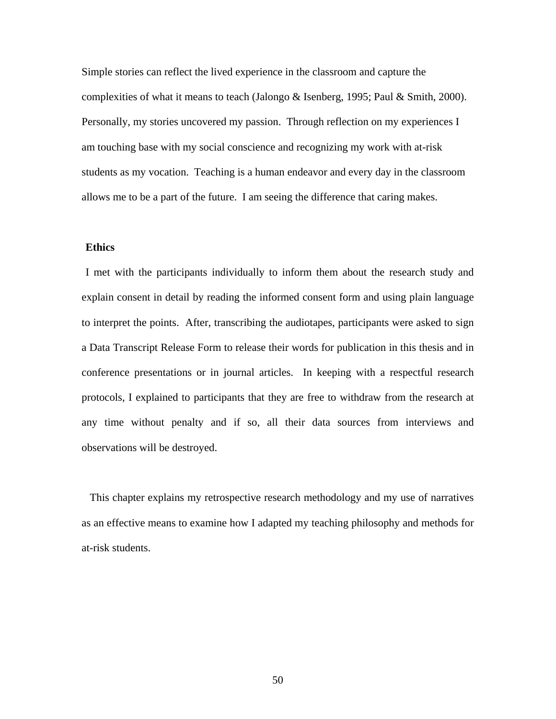Simple stories can reflect the lived experience in the classroom and capture the complexities of what it means to teach (Jalongo & Isenberg, 1995; Paul & Smith, 2000). Personally, my stories uncovered my passion. Through reflection on my experiences I am touching base with my social conscience and recognizing my work with at-risk students as my vocation. Teaching is a human endeavor and every day in the classroom allows me to be a part of the future. I am seeing the difference that caring makes.

# **Ethics**

I met with the participants individually to inform them about the research study and explain consent in detail by reading the informed consent form and using plain language to interpret the points. After, transcribing the audiotapes, participants were asked to sign a Data Transcript Release Form to release their words for publication in this thesis and in conference presentations or in journal articles. In keeping with a respectful research protocols, I explained to participants that they are free to withdraw from the research at any time without penalty and if so, all their data sources from interviews and observations will be destroyed.

 This chapter explains my retrospective research methodology and my use of narratives as an effective means to examine how I adapted my teaching philosophy and methods for at-risk students.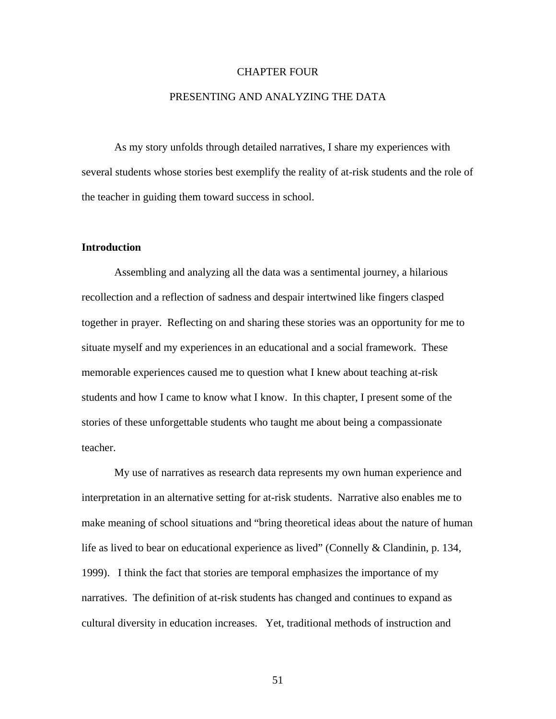### CHAPTER FOUR

# PRESENTING AND ANALYZING THE DATA

 As my story unfolds through detailed narratives, I share my experiences with several students whose stories best exemplify the reality of at-risk students and the role of the teacher in guiding them toward success in school.

### **Introduction**

 Assembling and analyzing all the data was a sentimental journey, a hilarious recollection and a reflection of sadness and despair intertwined like fingers clasped together in prayer. Reflecting on and sharing these stories was an opportunity for me to situate myself and my experiences in an educational and a social framework. These memorable experiences caused me to question what I knew about teaching at-risk students and how I came to know what I know. In this chapter, I present some of the stories of these unforgettable students who taught me about being a compassionate teacher.

 My use of narratives as research data represents my own human experience and interpretation in an alternative setting for at-risk students. Narrative also enables me to make meaning of school situations and "bring theoretical ideas about the nature of human life as lived to bear on educational experience as lived" (Connelly & Clandinin, p. 134, 1999). I think the fact that stories are temporal emphasizes the importance of my narratives. The definition of at-risk students has changed and continues to expand as cultural diversity in education increases. Yet, traditional methods of instruction and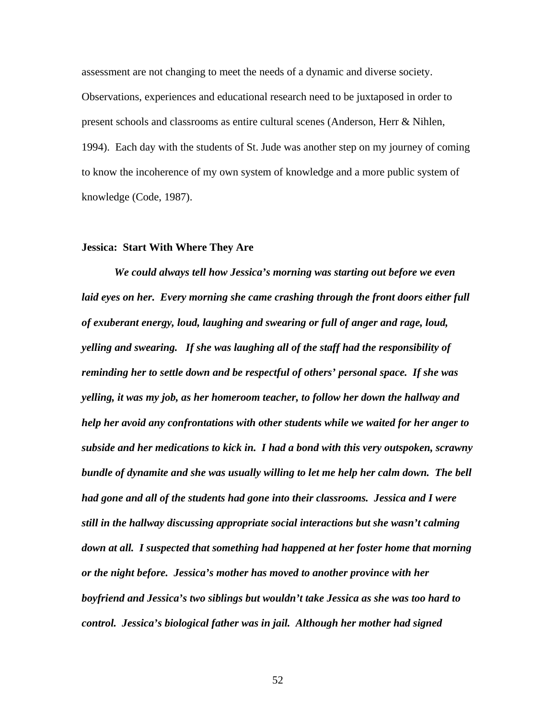assessment are not changing to meet the needs of a dynamic and diverse society. Observations, experiences and educational research need to be juxtaposed in order to present schools and classrooms as entire cultural scenes (Anderson, Herr & Nihlen, 1994). Each day with the students of St. Jude was another step on my journey of coming to know the incoherence of my own system of knowledge and a more public system of knowledge (Code, 1987).

#### **Jessica: Start With Where They Are**

*We could always tell how Jessica's morning was starting out before we even laid eyes on her. Every morning she came crashing through the front doors either full of exuberant energy, loud, laughing and swearing or full of anger and rage, loud, yelling and swearing. If she was laughing all of the staff had the responsibility of reminding her to settle down and be respectful of others' personal space. If she was yelling, it was my job, as her homeroom teacher, to follow her down the hallway and help her avoid any confrontations with other students while we waited for her anger to subside and her medications to kick in. I had a bond with this very outspoken, scrawny bundle of dynamite and she was usually willing to let me help her calm down. The bell had gone and all of the students had gone into their classrooms. Jessica and I were still in the hallway discussing appropriate social interactions but she wasn't calming down at all. I suspected that something had happened at her foster home that morning or the night before. Jessica's mother has moved to another province with her boyfriend and Jessica's two siblings but wouldn't take Jessica as she was too hard to control. Jessica's biological father was in jail. Although her mother had signed*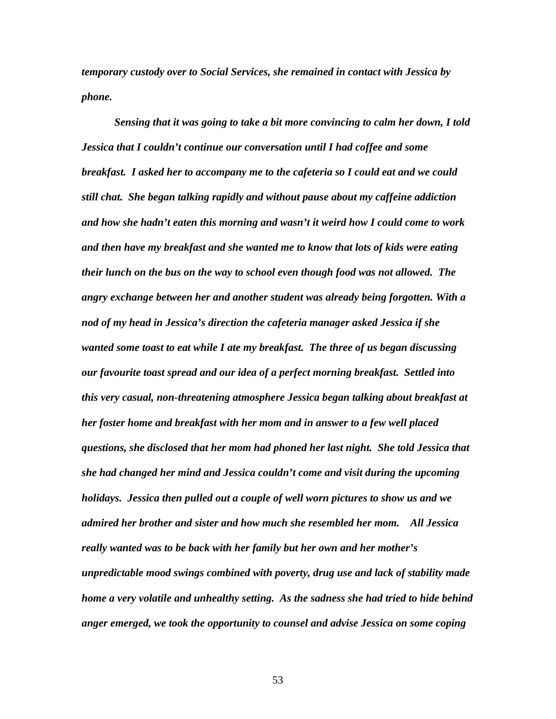*temporary custody over to Social Services, she remained in contact with Jessica by phone.* 

 *Sensing that it was going to take a bit more convincing to calm her down, I told Jessica that I couldn't continue our conversation until I had coffee and some breakfast. I asked her to accompany me to the cafeteria so I could eat and we could still chat. She began talking rapidly and without pause about my caffeine addiction and how she hadn't eaten this morning and wasn't it weird how I could come to work and then have my breakfast and she wanted me to know that lots of kids were eating their lunch on the bus on the way to school even though food was not allowed. The angry exchange between her and another student was already being forgotten. With a nod of my head in Jessica's direction the cafeteria manager asked Jessica if she wanted some toast to eat while I ate my breakfast. The three of us began discussing our favourite toast spread and our idea of a perfect morning breakfast. Settled into this very casual, non-threatening atmosphere Jessica began talking about breakfast at her foster home and breakfast with her mom and in answer to a few well placed questions, she disclosed that her mom had phoned her last night. She told Jessica that she had changed her mind and Jessica couldn't come and visit during the upcoming holidays. Jessica then pulled out a couple of well worn pictures to show us and we admired her brother and sister and how much she resembled her mom. All Jessica really wanted was to be back with her family but her own and her mother's unpredictable mood swings combined with poverty, drug use and lack of stability made home a very volatile and unhealthy setting. As the sadness she had tried to hide behind anger emerged, we took the opportunity to counsel and advise Jessica on some coping*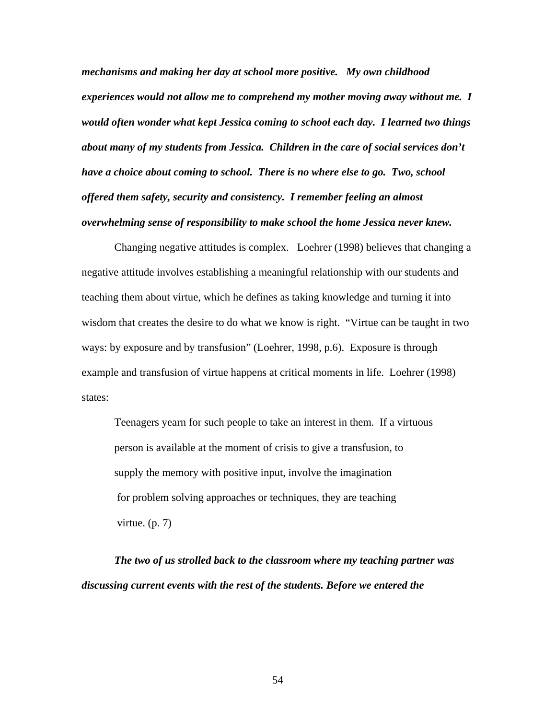*mechanisms and making her day at school more positive. My own childhood experiences would not allow me to comprehend my mother moving away without me. I would often wonder what kept Jessica coming to school each day. I learned two things about many of my students from Jessica. Children in the care of social services don't have a choice about coming to school. There is no where else to go. Two, school offered them safety, security and consistency. I remember feeling an almost overwhelming sense of responsibility to make school the home Jessica never knew.* 

Changing negative attitudes is complex. Loehrer (1998) believes that changing a negative attitude involves establishing a meaningful relationship with our students and teaching them about virtue, which he defines as taking knowledge and turning it into wisdom that creates the desire to do what we know is right. "Virtue can be taught in two ways: by exposure and by transfusion" (Loehrer, 1998, p.6). Exposure is through example and transfusion of virtue happens at critical moments in life. Loehrer (1998) states:

Teenagers yearn for such people to take an interest in them. If a virtuous person is available at the moment of crisis to give a transfusion, to supply the memory with positive input, involve the imagination for problem solving approaches or techniques, they are teaching virtue. (p. 7)

*The two of us strolled back to the classroom where my teaching partner was discussing current events with the rest of the students. Before we entered the*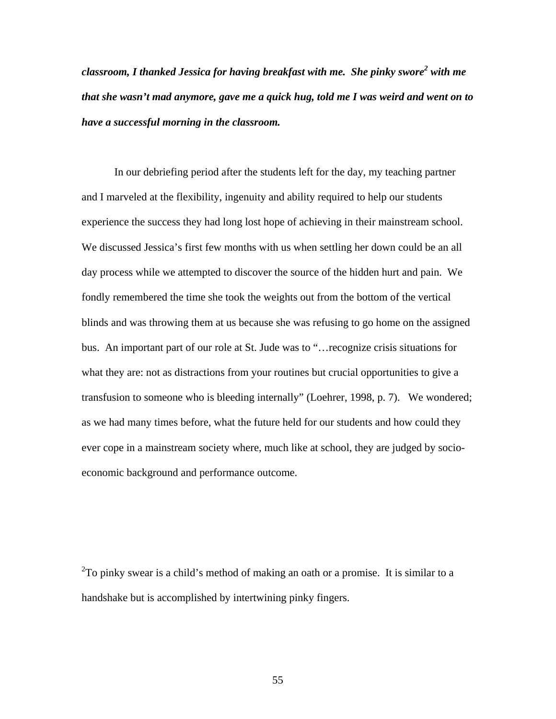classroom, I thanked Jessica for having breakfast with me. She pinky swore<sup>2</sup> with me *that she wasn't mad anymore, gave me a quick hug, told me I was weird and went on to have a successful morning in the classroom.* 

In our debriefing period after the students left for the day, my teaching partner and I marveled at the flexibility, ingenuity and ability required to help our students experience the success they had long lost hope of achieving in their mainstream school. We discussed Jessica's first few months with us when settling her down could be an all day process while we attempted to discover the source of the hidden hurt and pain. We fondly remembered the time she took the weights out from the bottom of the vertical blinds and was throwing them at us because she was refusing to go home on the assigned bus. An important part of our role at St. Jude was to "…recognize crisis situations for what they are: not as distractions from your routines but crucial opportunities to give a transfusion to someone who is bleeding internally" (Loehrer, 1998, p. 7). We wondered; as we had many times before, what the future held for our students and how could they ever cope in a mainstream society where, much like at school, they are judged by socioeconomic background and performance outcome.

 $2$ To pinky swear is a child's method of making an oath or a promise. It is similar to a handshake but is accomplished by intertwining pinky fingers.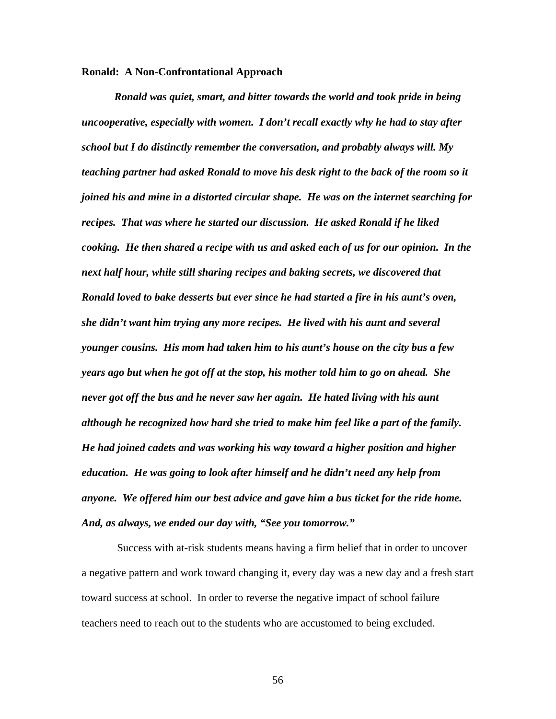### **Ronald: A Non-Confrontational Approach**

*Ronald was quiet, smart, and bitter towards the world and took pride in being uncooperative, especially with women. I don't recall exactly why he had to stay after school but I do distinctly remember the conversation, and probably always will. My teaching partner had asked Ronald to move his desk right to the back of the room so it joined his and mine in a distorted circular shape. He was on the internet searching for recipes. That was where he started our discussion. He asked Ronald if he liked cooking. He then shared a recipe with us and asked each of us for our opinion. In the next half hour, while still sharing recipes and baking secrets, we discovered that Ronald loved to bake desserts but ever since he had started a fire in his aunt's oven, she didn't want him trying any more recipes. He lived with his aunt and several younger cousins. His mom had taken him to his aunt's house on the city bus a few years ago but when he got off at the stop, his mother told him to go on ahead. She never got off the bus and he never saw her again. He hated living with his aunt although he recognized how hard she tried to make him feel like a part of the family. He had joined cadets and was working his way toward a higher position and higher education. He was going to look after himself and he didn't need any help from anyone. We offered him our best advice and gave him a bus ticket for the ride home. And, as always, we ended our day with, "See you tomorrow."* 

 Success with at-risk students means having a firm belief that in order to uncover a negative pattern and work toward changing it, every day was a new day and a fresh start toward success at school. In order to reverse the negative impact of school failure teachers need to reach out to the students who are accustomed to being excluded.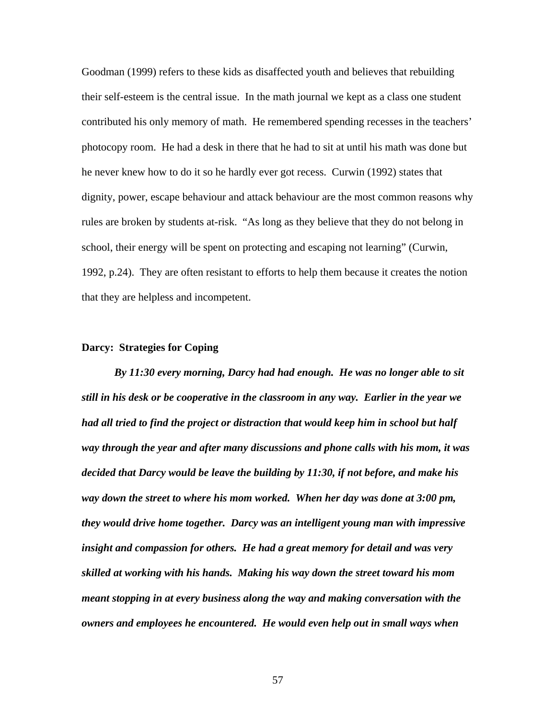Goodman (1999) refers to these kids as disaffected youth and believes that rebuilding their self-esteem is the central issue. In the math journal we kept as a class one student contributed his only memory of math. He remembered spending recesses in the teachers' photocopy room. He had a desk in there that he had to sit at until his math was done but he never knew how to do it so he hardly ever got recess. Curwin (1992) states that dignity, power, escape behaviour and attack behaviour are the most common reasons why rules are broken by students at-risk. "As long as they believe that they do not belong in school, their energy will be spent on protecting and escaping not learning" (Curwin, 1992, p.24). They are often resistant to efforts to help them because it creates the notion that they are helpless and incompetent.

### **Darcy: Strategies for Coping**

*By 11:30 every morning, Darcy had had enough. He was no longer able to sit still in his desk or be cooperative in the classroom in any way. Earlier in the year we had all tried to find the project or distraction that would keep him in school but half way through the year and after many discussions and phone calls with his mom, it was decided that Darcy would be leave the building by 11:30, if not before, and make his way down the street to where his mom worked. When her day was done at 3:00 pm, they would drive home together. Darcy was an intelligent young man with impressive insight and compassion for others. He had a great memory for detail and was very skilled at working with his hands. Making his way down the street toward his mom meant stopping in at every business along the way and making conversation with the owners and employees he encountered. He would even help out in small ways when*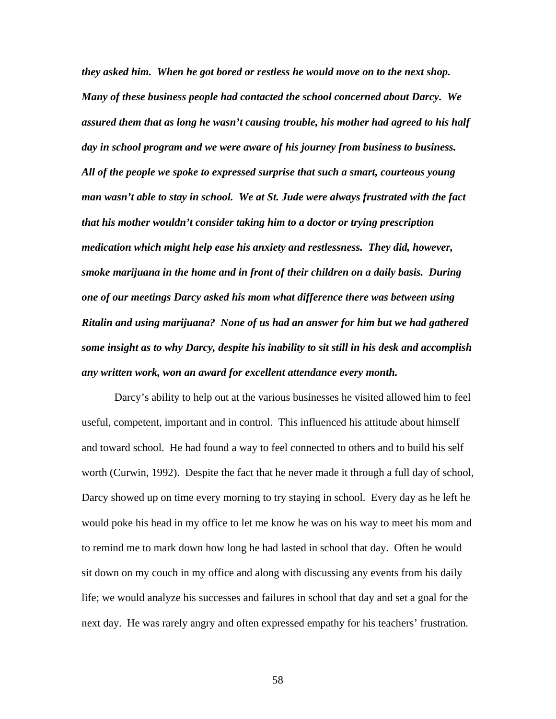*they asked him. When he got bored or restless he would move on to the next shop. Many of these business people had contacted the school concerned about Darcy. We assured them that as long he wasn't causing trouble, his mother had agreed to his half day in school program and we were aware of his journey from business to business. All of the people we spoke to expressed surprise that such a smart, courteous young man wasn't able to stay in school. We at St. Jude were always frustrated with the fact that his mother wouldn't consider taking him to a doctor or trying prescription medication which might help ease his anxiety and restlessness. They did, however, smoke marijuana in the home and in front of their children on a daily basis. During one of our meetings Darcy asked his mom what difference there was between using Ritalin and using marijuana? None of us had an answer for him but we had gathered some insight as to why Darcy, despite his inability to sit still in his desk and accomplish any written work, won an award for excellent attendance every month.* 

Darcy's ability to help out at the various businesses he visited allowed him to feel useful, competent, important and in control. This influenced his attitude about himself and toward school. He had found a way to feel connected to others and to build his self worth (Curwin, 1992). Despite the fact that he never made it through a full day of school, Darcy showed up on time every morning to try staying in school. Every day as he left he would poke his head in my office to let me know he was on his way to meet his mom and to remind me to mark down how long he had lasted in school that day. Often he would sit down on my couch in my office and along with discussing any events from his daily life; we would analyze his successes and failures in school that day and set a goal for the next day. He was rarely angry and often expressed empathy for his teachers' frustration.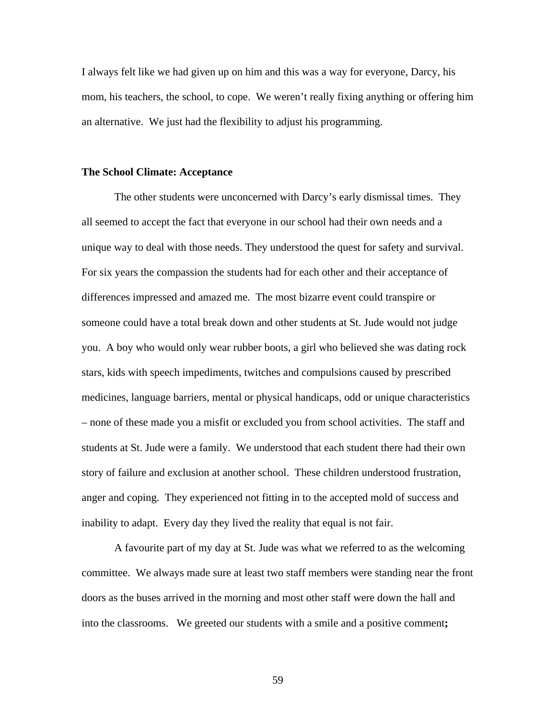I always felt like we had given up on him and this was a way for everyone, Darcy, his mom, his teachers, the school, to cope. We weren't really fixing anything or offering him an alternative. We just had the flexibility to adjust his programming.

#### **The School Climate: Acceptance**

The other students were unconcerned with Darcy's early dismissal times. They all seemed to accept the fact that everyone in our school had their own needs and a unique way to deal with those needs. They understood the quest for safety and survival. For six years the compassion the students had for each other and their acceptance of differences impressed and amazed me. The most bizarre event could transpire or someone could have a total break down and other students at St. Jude would not judge you. A boy who would only wear rubber boots, a girl who believed she was dating rock stars, kids with speech impediments, twitches and compulsions caused by prescribed medicines, language barriers, mental or physical handicaps, odd or unique characteristics – none of these made you a misfit or excluded you from school activities. The staff and students at St. Jude were a family. We understood that each student there had their own story of failure and exclusion at another school. These children understood frustration, anger and coping. They experienced not fitting in to the accepted mold of success and inability to adapt. Every day they lived the reality that equal is not fair.

A favourite part of my day at St. Jude was what we referred to as the welcoming committee. We always made sure at least two staff members were standing near the front doors as the buses arrived in the morning and most other staff were down the hall and into the classrooms. We greeted our students with a smile and a positive comment**;**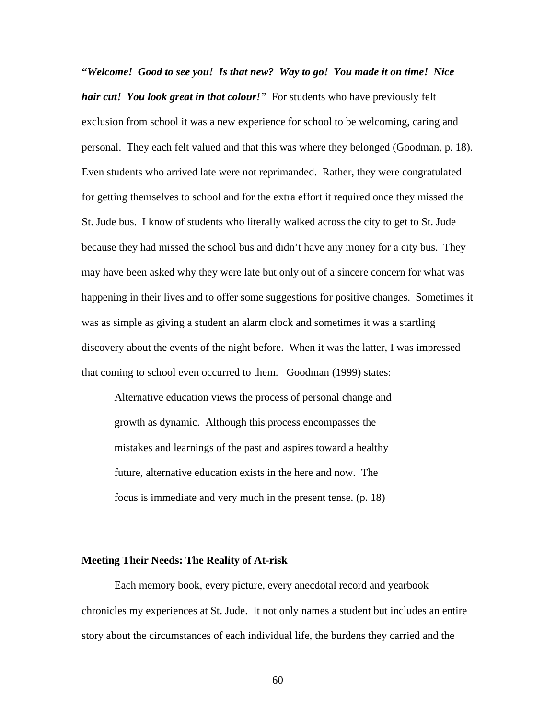**"***Welcome! Good to see you! Is that new? Way to go! You made it on time! Nice hair cut! You look great in that colour!"* For students who have previously felt exclusion from school it was a new experience for school to be welcoming, caring and personal. They each felt valued and that this was where they belonged (Goodman, p. 18). Even students who arrived late were not reprimanded. Rather, they were congratulated for getting themselves to school and for the extra effort it required once they missed the St. Jude bus. I know of students who literally walked across the city to get to St. Jude because they had missed the school bus and didn't have any money for a city bus. They may have been asked why they were late but only out of a sincere concern for what was happening in their lives and to offer some suggestions for positive changes. Sometimes it was as simple as giving a student an alarm clock and sometimes it was a startling discovery about the events of the night before. When it was the latter, I was impressed that coming to school even occurred to them. Goodman (1999) states:

 Alternative education views the process of personal change and growth as dynamic. Although this process encompasses the mistakes and learnings of the past and aspires toward a healthy future, alternative education exists in the here and now. The focus is immediate and very much in the present tense. (p. 18)

### **Meeting Their Needs: The Reality of At-risk**

Each memory book, every picture, every anecdotal record and yearbook chronicles my experiences at St. Jude. It not only names a student but includes an entire story about the circumstances of each individual life, the burdens they carried and the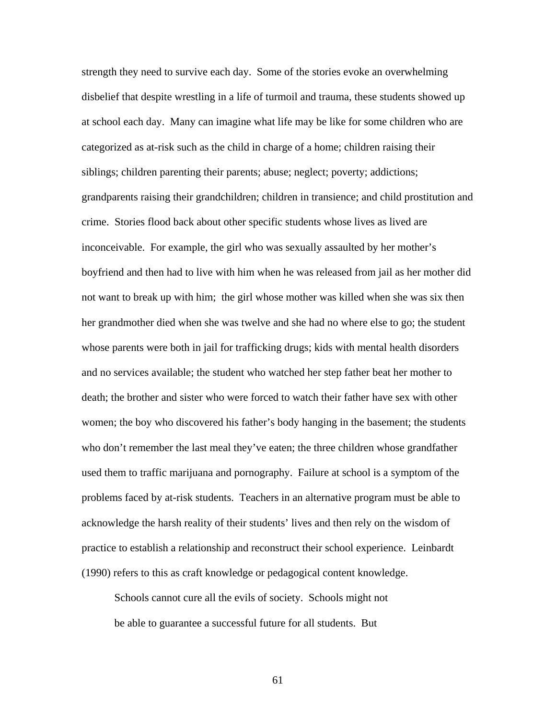strength they need to survive each day. Some of the stories evoke an overwhelming disbelief that despite wrestling in a life of turmoil and trauma, these students showed up at school each day. Many can imagine what life may be like for some children who are categorized as at-risk such as the child in charge of a home; children raising their siblings; children parenting their parents; abuse; neglect; poverty; addictions; grandparents raising their grandchildren; children in transience; and child prostitution and crime. Stories flood back about other specific students whose lives as lived are inconceivable. For example, the girl who was sexually assaulted by her mother's boyfriend and then had to live with him when he was released from jail as her mother did not want to break up with him; the girl whose mother was killed when she was six then her grandmother died when she was twelve and she had no where else to go; the student whose parents were both in jail for trafficking drugs; kids with mental health disorders and no services available; the student who watched her step father beat her mother to death; the brother and sister who were forced to watch their father have sex with other women; the boy who discovered his father's body hanging in the basement; the students who don't remember the last meal they've eaten; the three children whose grandfather used them to traffic marijuana and pornography. Failure at school is a symptom of the problems faced by at-risk students. Teachers in an alternative program must be able to acknowledge the harsh reality of their students' lives and then rely on the wisdom of practice to establish a relationship and reconstruct their school experience. Leinbardt (1990) refers to this as craft knowledge or pedagogical content knowledge.

Schools cannot cure all the evils of society. Schools might not be able to guarantee a successful future for all students. But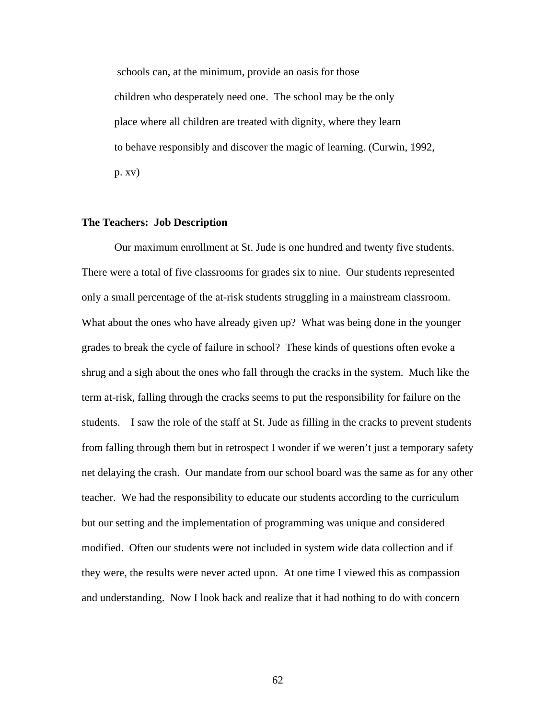schools can, at the minimum, provide an oasis for those children who desperately need one. The school may be the only place where all children are treated with dignity, where they learn to behave responsibly and discover the magic of learning. (Curwin, 1992, p. xv)

### **The Teachers: Job Description**

Our maximum enrollment at St. Jude is one hundred and twenty five students. There were a total of five classrooms for grades six to nine. Our students represented only a small percentage of the at-risk students struggling in a mainstream classroom. What about the ones who have already given up? What was being done in the younger grades to break the cycle of failure in school? These kinds of questions often evoke a shrug and a sigh about the ones who fall through the cracks in the system. Much like the term at-risk, falling through the cracks seems to put the responsibility for failure on the students. I saw the role of the staff at St. Jude as filling in the cracks to prevent students from falling through them but in retrospect I wonder if we weren't just a temporary safety net delaying the crash. Our mandate from our school board was the same as for any other teacher. We had the responsibility to educate our students according to the curriculum but our setting and the implementation of programming was unique and considered modified. Often our students were not included in system wide data collection and if they were, the results were never acted upon. At one time I viewed this as compassion and understanding. Now I look back and realize that it had nothing to do with concern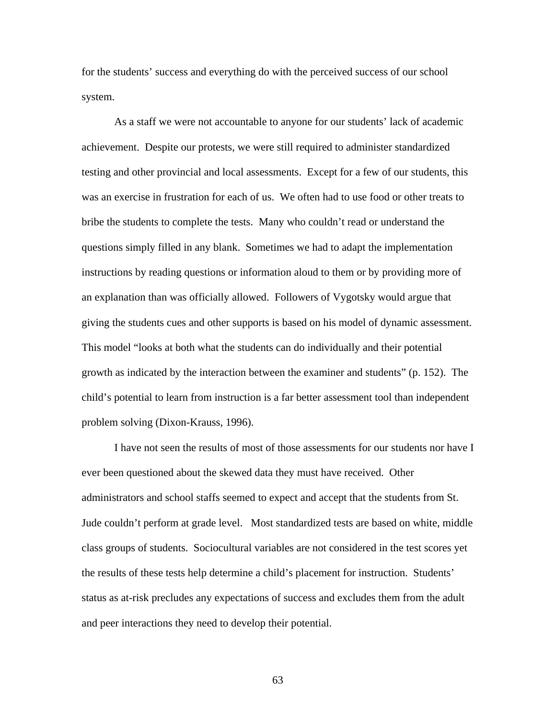for the students' success and everything do with the perceived success of our school system.

 As a staff we were not accountable to anyone for our students' lack of academic achievement. Despite our protests, we were still required to administer standardized testing and other provincial and local assessments. Except for a few of our students, this was an exercise in frustration for each of us. We often had to use food or other treats to bribe the students to complete the tests. Many who couldn't read or understand the questions simply filled in any blank. Sometimes we had to adapt the implementation instructions by reading questions or information aloud to them or by providing more of an explanation than was officially allowed. Followers of Vygotsky would argue that giving the students cues and other supports is based on his model of dynamic assessment. This model "looks at both what the students can do individually and their potential growth as indicated by the interaction between the examiner and students" (p. 152). The child's potential to learn from instruction is a far better assessment tool than independent problem solving (Dixon-Krauss, 1996).

I have not seen the results of most of those assessments for our students nor have I ever been questioned about the skewed data they must have received. Other administrators and school staffs seemed to expect and accept that the students from St. Jude couldn't perform at grade level. Most standardized tests are based on white, middle class groups of students. Sociocultural variables are not considered in the test scores yet the results of these tests help determine a child's placement for instruction. Students' status as at-risk precludes any expectations of success and excludes them from the adult and peer interactions they need to develop their potential.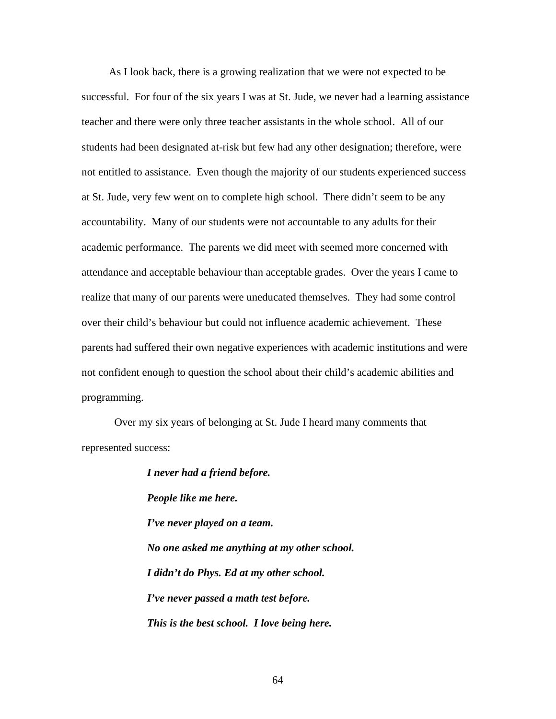As I look back, there is a growing realization that we were not expected to be successful. For four of the six years I was at St. Jude, we never had a learning assistance teacher and there were only three teacher assistants in the whole school. All of our students had been designated at-risk but few had any other designation; therefore, were not entitled to assistance. Even though the majority of our students experienced success at St. Jude, very few went on to complete high school. There didn't seem to be any accountability. Many of our students were not accountable to any adults for their academic performance. The parents we did meet with seemed more concerned with attendance and acceptable behaviour than acceptable grades. Over the years I came to realize that many of our parents were uneducated themselves. They had some control over their child's behaviour but could not influence academic achievement. These parents had suffered their own negative experiences with academic institutions and were not confident enough to question the school about their child's academic abilities and programming.

Over my six years of belonging at St. Jude I heard many comments that represented success:

> *I never had a friend before. People like me here. I've never played on a team. No one asked me anything at my other school. I didn't do Phys. Ed at my other school. I've never passed a math test before. This is the best school. I love being here.*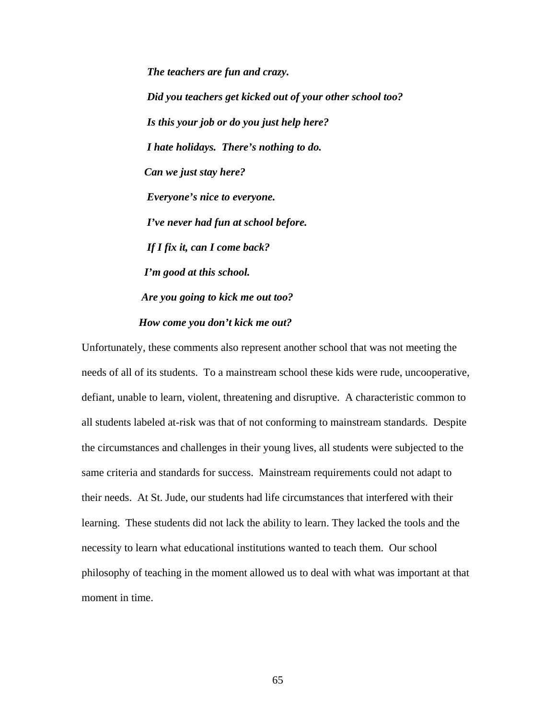*The teachers are fun and crazy. Did you teachers get kicked out of your other school too? Is this your job or do you just help here? I hate holidays. There's nothing to do. Can we just stay here? Everyone's nice to everyone. I've never had fun at school before. If I fix it, can I come back? I'm good at this school. Are you going to kick me out too? How come you don't kick me out?* 

Unfortunately, these comments also represent another school that was not meeting the needs of all of its students. To a mainstream school these kids were rude, uncooperative, defiant, unable to learn, violent, threatening and disruptive. A characteristic common to all students labeled at-risk was that of not conforming to mainstream standards. Despite the circumstances and challenges in their young lives, all students were subjected to the same criteria and standards for success. Mainstream requirements could not adapt to their needs. At St. Jude, our students had life circumstances that interfered with their learning. These students did not lack the ability to learn. They lacked the tools and the necessity to learn what educational institutions wanted to teach them. Our school philosophy of teaching in the moment allowed us to deal with what was important at that moment in time.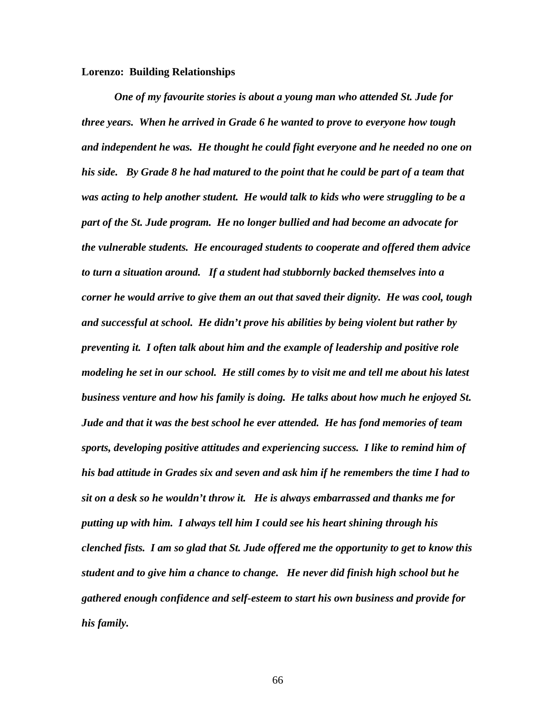### **Lorenzo: Building Relationships**

*One of my favourite stories is about a young man who attended St. Jude for three years. When he arrived in Grade 6 he wanted to prove to everyone how tough and independent he was. He thought he could fight everyone and he needed no one on his side. By Grade 8 he had matured to the point that he could be part of a team that was acting to help another student. He would talk to kids who were struggling to be a part of the St. Jude program. He no longer bullied and had become an advocate for the vulnerable students. He encouraged students to cooperate and offered them advice to turn a situation around. If a student had stubbornly backed themselves into a corner he would arrive to give them an out that saved their dignity. He was cool, tough and successful at school. He didn't prove his abilities by being violent but rather by preventing it. I often talk about him and the example of leadership and positive role modeling he set in our school. He still comes by to visit me and tell me about his latest business venture and how his family is doing. He talks about how much he enjoyed St. Jude and that it was the best school he ever attended. He has fond memories of team sports, developing positive attitudes and experiencing success. I like to remind him of his bad attitude in Grades six and seven and ask him if he remembers the time I had to sit on a desk so he wouldn't throw it. He is always embarrassed and thanks me for putting up with him. I always tell him I could see his heart shining through his clenched fists. I am so glad that St. Jude offered me the opportunity to get to know this student and to give him a chance to change. He never did finish high school but he gathered enough confidence and self-esteem to start his own business and provide for his family.*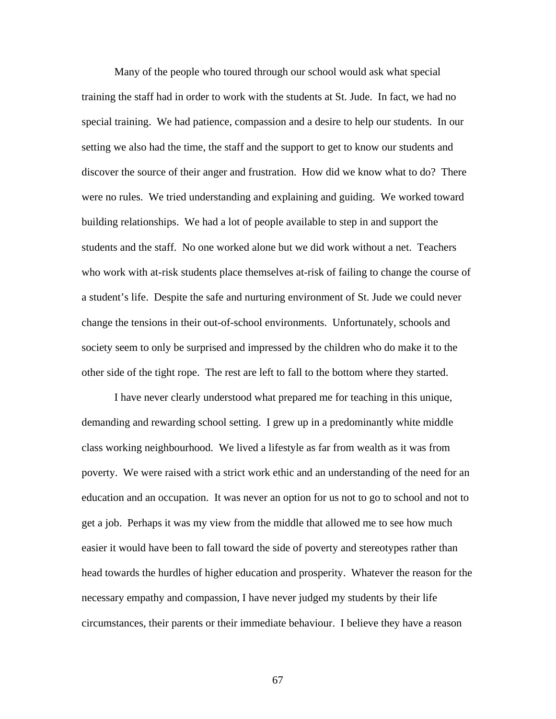Many of the people who toured through our school would ask what special training the staff had in order to work with the students at St. Jude. In fact, we had no special training. We had patience, compassion and a desire to help our students. In our setting we also had the time, the staff and the support to get to know our students and discover the source of their anger and frustration. How did we know what to do? There were no rules. We tried understanding and explaining and guiding. We worked toward building relationships. We had a lot of people available to step in and support the students and the staff. No one worked alone but we did work without a net. Teachers who work with at-risk students place themselves at-risk of failing to change the course of a student's life. Despite the safe and nurturing environment of St. Jude we could never change the tensions in their out-of-school environments. Unfortunately, schools and society seem to only be surprised and impressed by the children who do make it to the other side of the tight rope. The rest are left to fall to the bottom where they started.

 I have never clearly understood what prepared me for teaching in this unique, demanding and rewarding school setting. I grew up in a predominantly white middle class working neighbourhood. We lived a lifestyle as far from wealth as it was from poverty. We were raised with a strict work ethic and an understanding of the need for an education and an occupation. It was never an option for us not to go to school and not to get a job. Perhaps it was my view from the middle that allowed me to see how much easier it would have been to fall toward the side of poverty and stereotypes rather than head towards the hurdles of higher education and prosperity. Whatever the reason for the necessary empathy and compassion, I have never judged my students by their life circumstances, their parents or their immediate behaviour. I believe they have a reason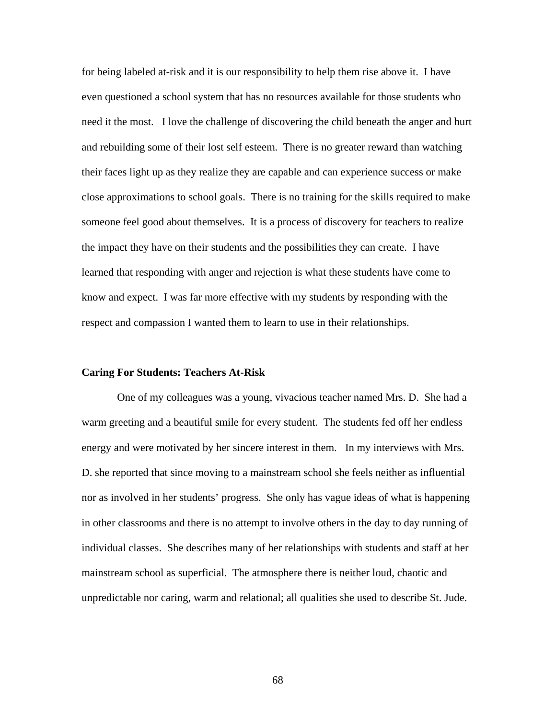for being labeled at-risk and it is our responsibility to help them rise above it. I have even questioned a school system that has no resources available for those students who need it the most. I love the challenge of discovering the child beneath the anger and hurt and rebuilding some of their lost self esteem. There is no greater reward than watching their faces light up as they realize they are capable and can experience success or make close approximations to school goals. There is no training for the skills required to make someone feel good about themselves. It is a process of discovery for teachers to realize the impact they have on their students and the possibilities they can create. I have learned that responding with anger and rejection is what these students have come to know and expect. I was far more effective with my students by responding with the respect and compassion I wanted them to learn to use in their relationships.

## **Caring For Students: Teachers At-Risk**

 One of my colleagues was a young, vivacious teacher named Mrs. D. She had a warm greeting and a beautiful smile for every student. The students fed off her endless energy and were motivated by her sincere interest in them. In my interviews with Mrs. D. she reported that since moving to a mainstream school she feels neither as influential nor as involved in her students' progress. She only has vague ideas of what is happening in other classrooms and there is no attempt to involve others in the day to day running of individual classes. She describes many of her relationships with students and staff at her mainstream school as superficial. The atmosphere there is neither loud, chaotic and unpredictable nor caring, warm and relational; all qualities she used to describe St. Jude.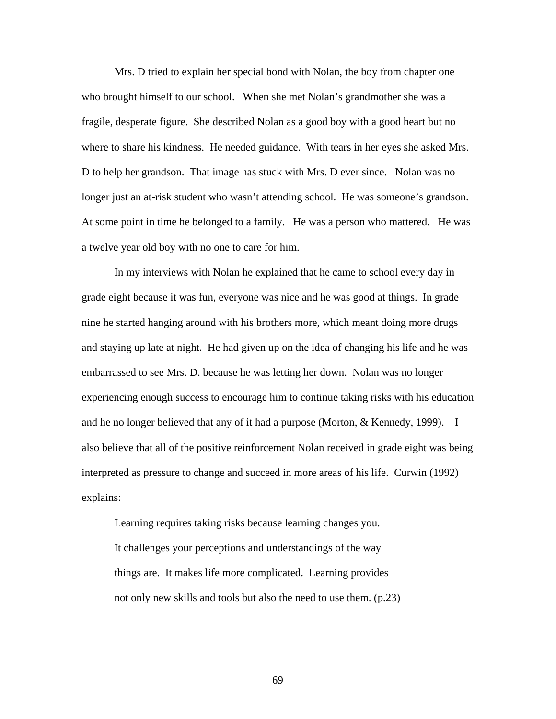Mrs. D tried to explain her special bond with Nolan, the boy from chapter one who brought himself to our school. When she met Nolan's grandmother she was a fragile, desperate figure. She described Nolan as a good boy with a good heart but no where to share his kindness. He needed guidance. With tears in her eyes she asked Mrs. D to help her grandson. That image has stuck with Mrs. D ever since. Nolan was no longer just an at-risk student who wasn't attending school. He was someone's grandson. At some point in time he belonged to a family. He was a person who mattered. He was a twelve year old boy with no one to care for him.

 In my interviews with Nolan he explained that he came to school every day in grade eight because it was fun, everyone was nice and he was good at things. In grade nine he started hanging around with his brothers more, which meant doing more drugs and staying up late at night. He had given up on the idea of changing his life and he was embarrassed to see Mrs. D. because he was letting her down. Nolan was no longer experiencing enough success to encourage him to continue taking risks with his education and he no longer believed that any of it had a purpose (Morton, & Kennedy, 1999). I also believe that all of the positive reinforcement Nolan received in grade eight was being interpreted as pressure to change and succeed in more areas of his life. Curwin (1992) explains:

 Learning requires taking risks because learning changes you. It challenges your perceptions and understandings of the way things are. It makes life more complicated. Learning provides not only new skills and tools but also the need to use them. (p.23)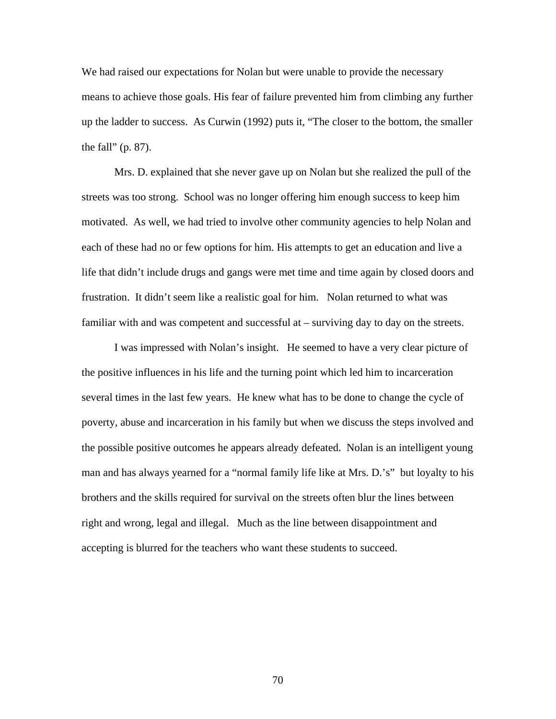We had raised our expectations for Nolan but were unable to provide the necessary means to achieve those goals. His fear of failure prevented him from climbing any further up the ladder to success. As Curwin (1992) puts it, "The closer to the bottom, the smaller the fall" (p. 87).

 Mrs. D. explained that she never gave up on Nolan but she realized the pull of the streets was too strong. School was no longer offering him enough success to keep him motivated. As well, we had tried to involve other community agencies to help Nolan and each of these had no or few options for him. His attempts to get an education and live a life that didn't include drugs and gangs were met time and time again by closed doors and frustration. It didn't seem like a realistic goal for him. Nolan returned to what was familiar with and was competent and successful at – surviving day to day on the streets.

 I was impressed with Nolan's insight. He seemed to have a very clear picture of the positive influences in his life and the turning point which led him to incarceration several times in the last few years. He knew what has to be done to change the cycle of poverty, abuse and incarceration in his family but when we discuss the steps involved and the possible positive outcomes he appears already defeated. Nolan is an intelligent young man and has always yearned for a "normal family life like at Mrs. D.'s" but loyalty to his brothers and the skills required for survival on the streets often blur the lines between right and wrong, legal and illegal. Much as the line between disappointment and accepting is blurred for the teachers who want these students to succeed.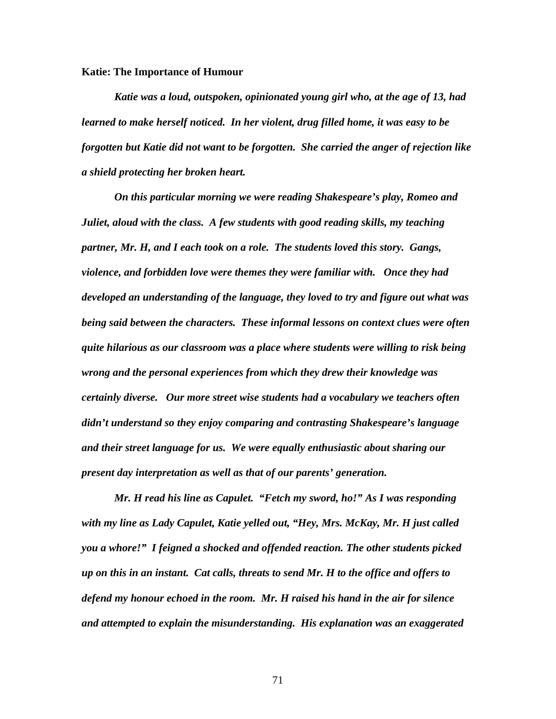### **Katie: The Importance of Humour**

*Katie was a loud, outspoken, opinionated young girl who, at the age of 13, had learned to make herself noticed. In her violent, drug filled home, it was easy to be forgotten but Katie did not want to be forgotten. She carried the anger of rejection like a shield protecting her broken heart.* 

 *On this particular morning we were reading Shakespeare's play, Romeo and Juliet, aloud with the class. A few students with good reading skills, my teaching partner, Mr. H, and I each took on a role. The students loved this story. Gangs, violence, and forbidden love were themes they were familiar with. Once they had developed an understanding of the language, they loved to try and figure out what was being said between the characters. These informal lessons on context clues were often quite hilarious as our classroom was a place where students were willing to risk being wrong and the personal experiences from which they drew their knowledge was certainly diverse. Our more street wise students had a vocabulary we teachers often didn't understand so they enjoy comparing and contrasting Shakespeare's language and their street language for us. We were equally enthusiastic about sharing our present day interpretation as well as that of our parents' generation.* 

 *Mr. H read his line as Capulet. "Fetch my sword, ho!" As I was responding with my line as Lady Capulet, Katie yelled out, "Hey, Mrs. McKay, Mr. H just called you a whore!" I feigned a shocked and offended reaction. The other students picked up on this in an instant. Cat calls, threats to send Mr. H to the office and offers to defend my honour echoed in the room. Mr. H raised his hand in the air for silence and attempted to explain the misunderstanding. His explanation was an exaggerated*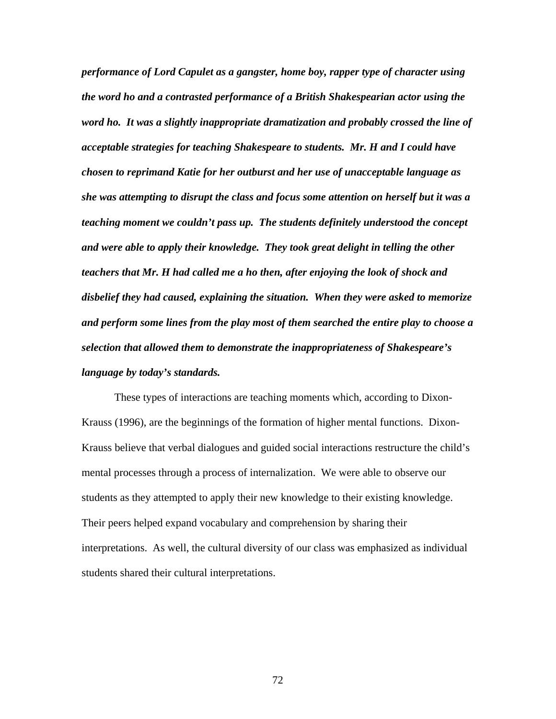*performance of Lord Capulet as a gangster, home boy, rapper type of character using the word ho and a contrasted performance of a British Shakespearian actor using the word ho. It was a slightly inappropriate dramatization and probably crossed the line of acceptable strategies for teaching Shakespeare to students. Mr. H and I could have chosen to reprimand Katie for her outburst and her use of unacceptable language as she was attempting to disrupt the class and focus some attention on herself but it was a teaching moment we couldn't pass up. The students definitely understood the concept and were able to apply their knowledge. They took great delight in telling the other teachers that Mr. H had called me a ho then, after enjoying the look of shock and disbelief they had caused, explaining the situation. When they were asked to memorize and perform some lines from the play most of them searched the entire play to choose a selection that allowed them to demonstrate the inappropriateness of Shakespeare's language by today's standards.* 

 These types of interactions are teaching moments which, according to Dixon-Krauss (1996), are the beginnings of the formation of higher mental functions. Dixon-Krauss believe that verbal dialogues and guided social interactions restructure the child's mental processes through a process of internalization. We were able to observe our students as they attempted to apply their new knowledge to their existing knowledge. Their peers helped expand vocabulary and comprehension by sharing their interpretations. As well, the cultural diversity of our class was emphasized as individual students shared their cultural interpretations.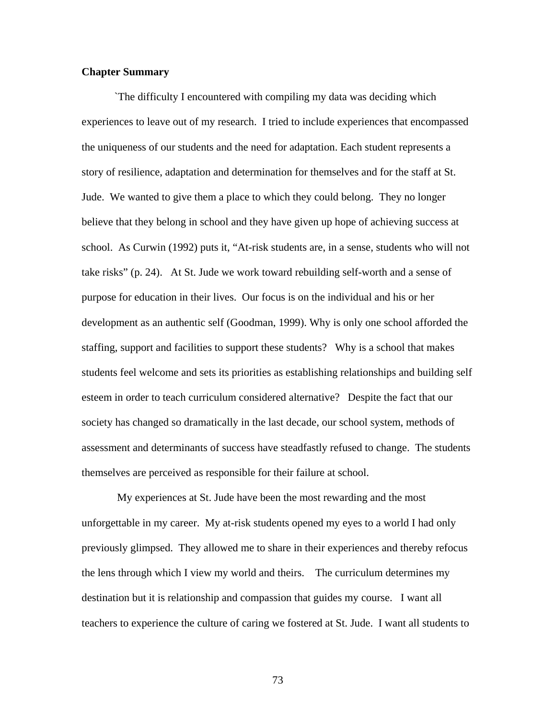## **Chapter Summary**

 `The difficulty I encountered with compiling my data was deciding which experiences to leave out of my research. I tried to include experiences that encompassed the uniqueness of our students and the need for adaptation. Each student represents a story of resilience, adaptation and determination for themselves and for the staff at St. Jude. We wanted to give them a place to which they could belong. They no longer believe that they belong in school and they have given up hope of achieving success at school. As Curwin (1992) puts it, "At-risk students are, in a sense, students who will not take risks" (p. 24). At St. Jude we work toward rebuilding self-worth and a sense of purpose for education in their lives. Our focus is on the individual and his or her development as an authentic self (Goodman, 1999). Why is only one school afforded the staffing, support and facilities to support these students? Why is a school that makes students feel welcome and sets its priorities as establishing relationships and building self esteem in order to teach curriculum considered alternative? Despite the fact that our society has changed so dramatically in the last decade, our school system, methods of assessment and determinants of success have steadfastly refused to change. The students themselves are perceived as responsible for their failure at school.

 My experiences at St. Jude have been the most rewarding and the most unforgettable in my career. My at-risk students opened my eyes to a world I had only previously glimpsed. They allowed me to share in their experiences and thereby refocus the lens through which I view my world and theirs. The curriculum determines my destination but it is relationship and compassion that guides my course. I want all teachers to experience the culture of caring we fostered at St. Jude. I want all students to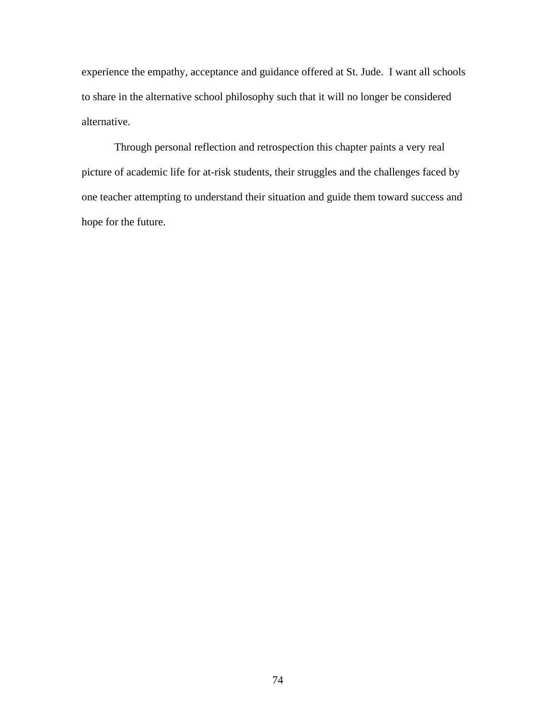experience the empathy, acceptance and guidance offered at St. Jude. I want all schools to share in the alternative school philosophy such that it will no longer be considered alternative.

Through personal reflection and retrospection this chapter paints a very real picture of academic life for at-risk students, their struggles and the challenges faced by one teacher attempting to understand their situation and guide them toward success and hope for the future.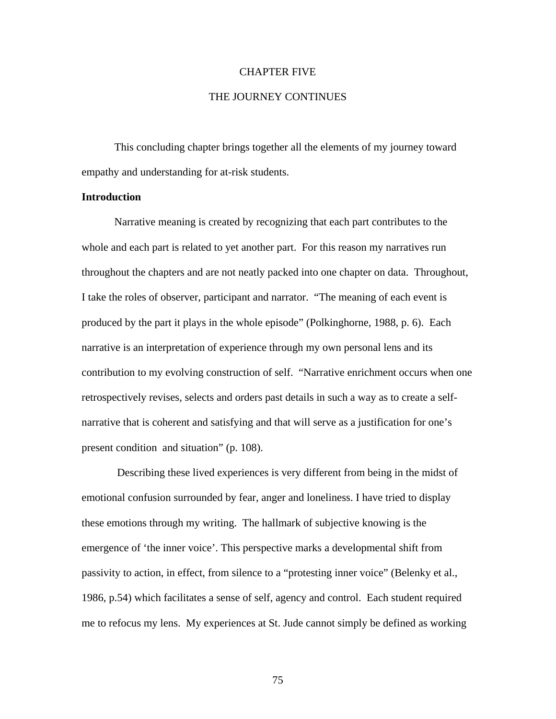#### CHAPTER FIVE

## THE JOURNEY CONTINUES

 This concluding chapter brings together all the elements of my journey toward empathy and understanding for at-risk students.

## **Introduction**

 Narrative meaning is created by recognizing that each part contributes to the whole and each part is related to yet another part. For this reason my narratives run throughout the chapters and are not neatly packed into one chapter on data. Throughout, I take the roles of observer, participant and narrator. "The meaning of each event is produced by the part it plays in the whole episode" (Polkinghorne, 1988, p. 6). Each narrative is an interpretation of experience through my own personal lens and its contribution to my evolving construction of self. "Narrative enrichment occurs when one retrospectively revises, selects and orders past details in such a way as to create a selfnarrative that is coherent and satisfying and that will serve as a justification for one's present condition and situation" (p. 108).

 Describing these lived experiences is very different from being in the midst of emotional confusion surrounded by fear, anger and loneliness. I have tried to display these emotions through my writing. The hallmark of subjective knowing is the emergence of 'the inner voice'. This perspective marks a developmental shift from passivity to action, in effect, from silence to a "protesting inner voice" (Belenky et al., 1986, p.54) which facilitates a sense of self, agency and control. Each student required me to refocus my lens. My experiences at St. Jude cannot simply be defined as working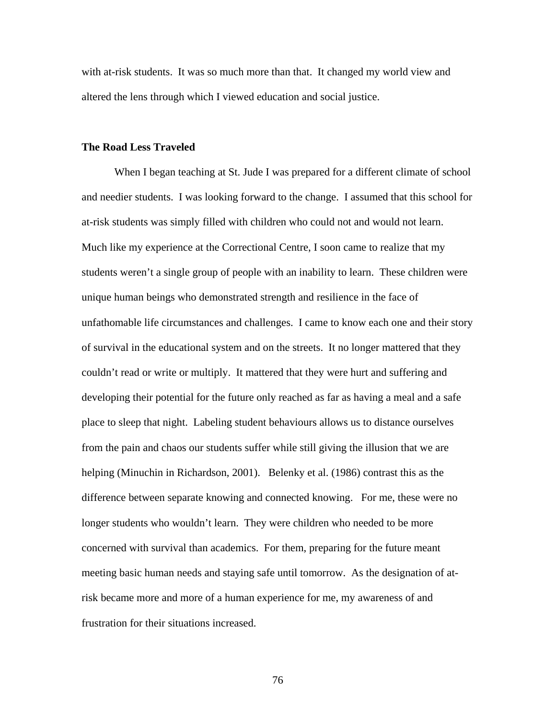with at-risk students. It was so much more than that. It changed my world view and altered the lens through which I viewed education and social justice.

### **The Road Less Traveled**

When I began teaching at St. Jude I was prepared for a different climate of school and needier students. I was looking forward to the change. I assumed that this school for at-risk students was simply filled with children who could not and would not learn. Much like my experience at the Correctional Centre, I soon came to realize that my students weren't a single group of people with an inability to learn. These children were unique human beings who demonstrated strength and resilience in the face of unfathomable life circumstances and challenges. I came to know each one and their story of survival in the educational system and on the streets. It no longer mattered that they couldn't read or write or multiply. It mattered that they were hurt and suffering and developing their potential for the future only reached as far as having a meal and a safe place to sleep that night. Labeling student behaviours allows us to distance ourselves from the pain and chaos our students suffer while still giving the illusion that we are helping (Minuchin in Richardson, 2001). Belenky et al. (1986) contrast this as the difference between separate knowing and connected knowing. For me, these were no longer students who wouldn't learn. They were children who needed to be more concerned with survival than academics. For them, preparing for the future meant meeting basic human needs and staying safe until tomorrow. As the designation of atrisk became more and more of a human experience for me, my awareness of and frustration for their situations increased.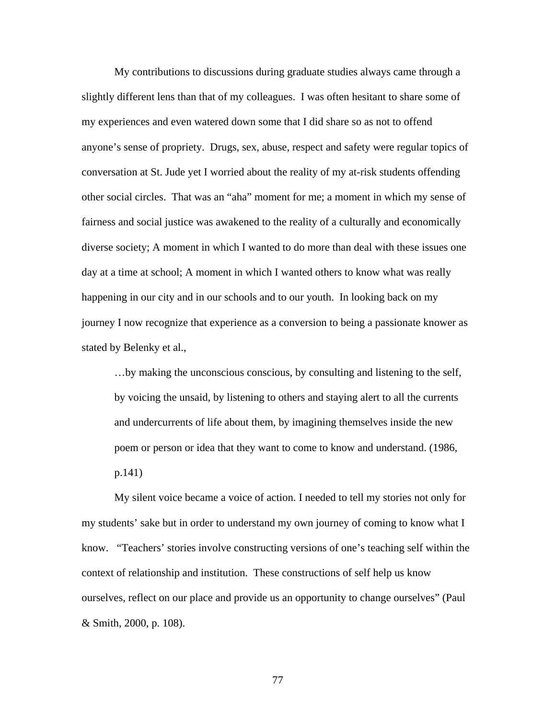My contributions to discussions during graduate studies always came through a slightly different lens than that of my colleagues. I was often hesitant to share some of my experiences and even watered down some that I did share so as not to offend anyone's sense of propriety. Drugs, sex, abuse, respect and safety were regular topics of conversation at St. Jude yet I worried about the reality of my at-risk students offending other social circles. That was an "aha" moment for me; a moment in which my sense of fairness and social justice was awakened to the reality of a culturally and economically diverse society; A moment in which I wanted to do more than deal with these issues one day at a time at school; A moment in which I wanted others to know what was really happening in our city and in our schools and to our youth. In looking back on my journey I now recognize that experience as a conversion to being a passionate knower as stated by Belenky et al.,

…by making the unconscious conscious, by consulting and listening to the self, by voicing the unsaid, by listening to others and staying alert to all the currents and undercurrents of life about them, by imagining themselves inside the new poem or person or idea that they want to come to know and understand. (1986, p.141)

My silent voice became a voice of action. I needed to tell my stories not only for my students' sake but in order to understand my own journey of coming to know what I know. "Teachers' stories involve constructing versions of one's teaching self within the context of relationship and institution. These constructions of self help us know ourselves, reflect on our place and provide us an opportunity to change ourselves" (Paul & Smith, 2000, p. 108).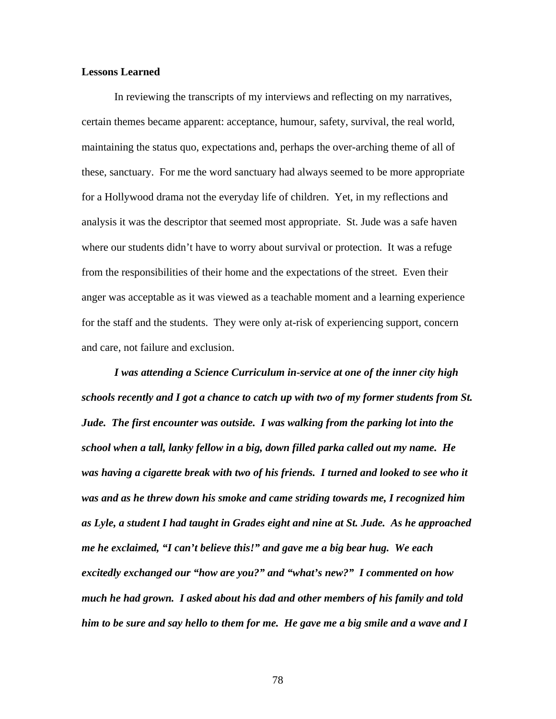## **Lessons Learned**

In reviewing the transcripts of my interviews and reflecting on my narratives, certain themes became apparent: acceptance, humour, safety, survival, the real world, maintaining the status quo, expectations and, perhaps the over-arching theme of all of these, sanctuary. For me the word sanctuary had always seemed to be more appropriate for a Hollywood drama not the everyday life of children. Yet, in my reflections and analysis it was the descriptor that seemed most appropriate. St. Jude was a safe haven where our students didn't have to worry about survival or protection. It was a refuge from the responsibilities of their home and the expectations of the street. Even their anger was acceptable as it was viewed as a teachable moment and a learning experience for the staff and the students. They were only at-risk of experiencing support, concern and care, not failure and exclusion.

*I was attending a Science Curriculum in-service at one of the inner city high schools recently and I got a chance to catch up with two of my former students from St. Jude. The first encounter was outside. I was walking from the parking lot into the school when a tall, lanky fellow in a big, down filled parka called out my name. He*  was having a cigarette break with two of his friends. I turned and looked to see who it *was and as he threw down his smoke and came striding towards me, I recognized him as Lyle, a student I had taught in Grades eight and nine at St. Jude. As he approached me he exclaimed, "I can't believe this!" and gave me a big bear hug. We each excitedly exchanged our "how are you?" and "what's new?" I commented on how much he had grown. I asked about his dad and other members of his family and told him to be sure and say hello to them for me. He gave me a big smile and a wave and I*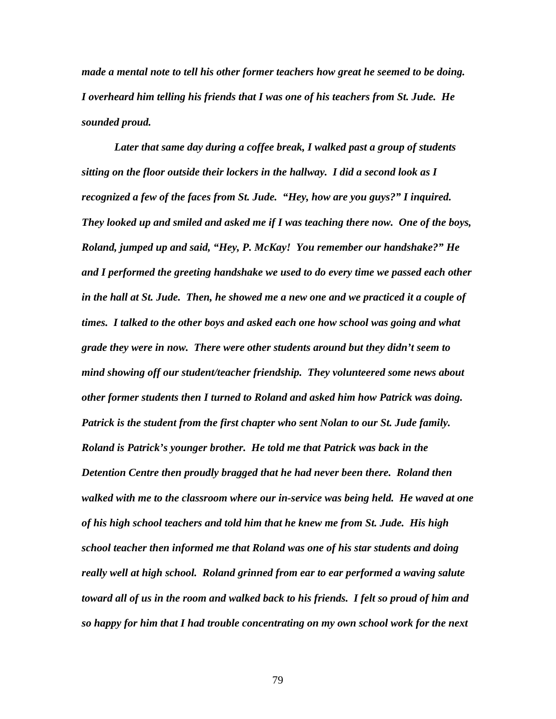*made a mental note to tell his other former teachers how great he seemed to be doing. I overheard him telling his friends that I was one of his teachers from St. Jude. He sounded proud.* 

 *Later that same day during a coffee break, I walked past a group of students sitting on the floor outside their lockers in the hallway. I did a second look as I recognized a few of the faces from St. Jude. "Hey, how are you guys?" I inquired. They looked up and smiled and asked me if I was teaching there now. One of the boys, Roland, jumped up and said, "Hey, P. McKay! You remember our handshake?" He and I performed the greeting handshake we used to do every time we passed each other in the hall at St. Jude. Then, he showed me a new one and we practiced it a couple of times. I talked to the other boys and asked each one how school was going and what grade they were in now. There were other students around but they didn't seem to mind showing off our student/teacher friendship. They volunteered some news about other former students then I turned to Roland and asked him how Patrick was doing. Patrick is the student from the first chapter who sent Nolan to our St. Jude family. Roland is Patrick's younger brother. He told me that Patrick was back in the Detention Centre then proudly bragged that he had never been there. Roland then walked with me to the classroom where our in-service was being held. He waved at one of his high school teachers and told him that he knew me from St. Jude. His high school teacher then informed me that Roland was one of his star students and doing really well at high school. Roland grinned from ear to ear performed a waving salute toward all of us in the room and walked back to his friends. I felt so proud of him and so happy for him that I had trouble concentrating on my own school work for the next*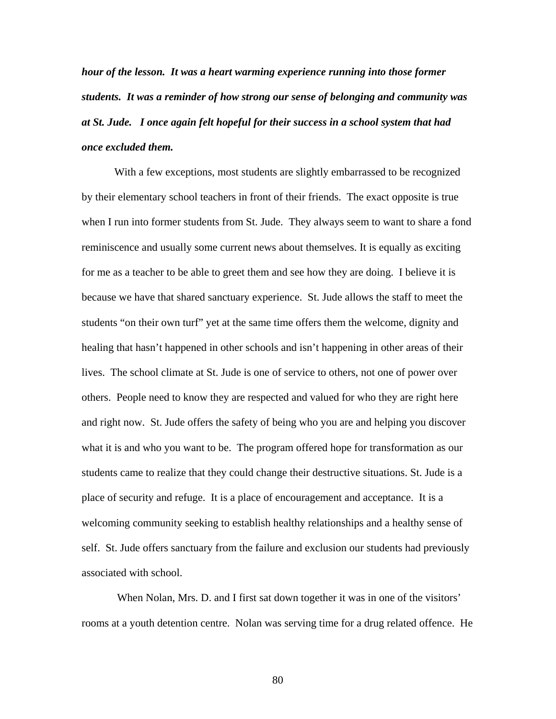*hour of the lesson. It was a heart warming experience running into those former students. It was a reminder of how strong our sense of belonging and community was at St. Jude. I once again felt hopeful for their success in a school system that had once excluded them.* 

 With a few exceptions, most students are slightly embarrassed to be recognized by their elementary school teachers in front of their friends. The exact opposite is true when I run into former students from St. Jude. They always seem to want to share a fond reminiscence and usually some current news about themselves. It is equally as exciting for me as a teacher to be able to greet them and see how they are doing. I believe it is because we have that shared sanctuary experience. St. Jude allows the staff to meet the students "on their own turf" yet at the same time offers them the welcome, dignity and healing that hasn't happened in other schools and isn't happening in other areas of their lives. The school climate at St. Jude is one of service to others, not one of power over others. People need to know they are respected and valued for who they are right here and right now. St. Jude offers the safety of being who you are and helping you discover what it is and who you want to be. The program offered hope for transformation as our students came to realize that they could change their destructive situations. St. Jude is a place of security and refuge. It is a place of encouragement and acceptance. It is a welcoming community seeking to establish healthy relationships and a healthy sense of self. St. Jude offers sanctuary from the failure and exclusion our students had previously associated with school.

When Nolan, Mrs. D. and I first sat down together it was in one of the visitors' rooms at a youth detention centre. Nolan was serving time for a drug related offence. He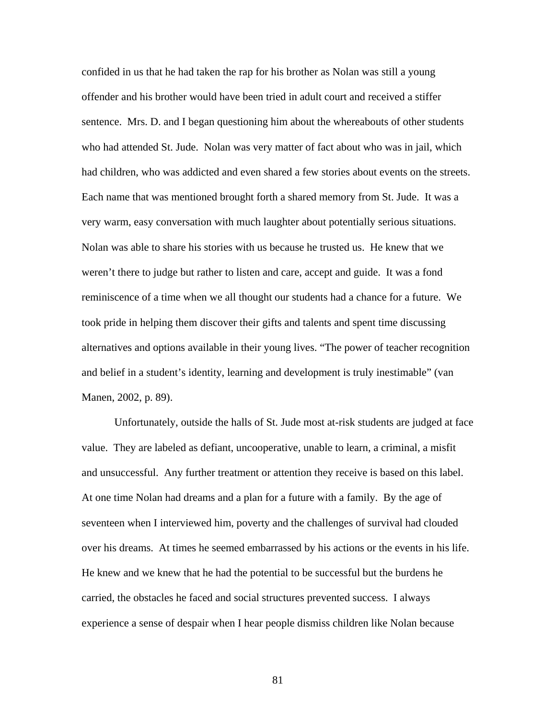confided in us that he had taken the rap for his brother as Nolan was still a young offender and his brother would have been tried in adult court and received a stiffer sentence. Mrs. D. and I began questioning him about the whereabouts of other students who had attended St. Jude. Nolan was very matter of fact about who was in jail, which had children, who was addicted and even shared a few stories about events on the streets. Each name that was mentioned brought forth a shared memory from St. Jude. It was a very warm, easy conversation with much laughter about potentially serious situations. Nolan was able to share his stories with us because he trusted us. He knew that we weren't there to judge but rather to listen and care, accept and guide. It was a fond reminiscence of a time when we all thought our students had a chance for a future. We took pride in helping them discover their gifts and talents and spent time discussing alternatives and options available in their young lives. "The power of teacher recognition and belief in a student's identity, learning and development is truly inestimable" (van Manen, 2002, p. 89).

Unfortunately, outside the halls of St. Jude most at-risk students are judged at face value. They are labeled as defiant, uncooperative, unable to learn, a criminal, a misfit and unsuccessful. Any further treatment or attention they receive is based on this label. At one time Nolan had dreams and a plan for a future with a family. By the age of seventeen when I interviewed him, poverty and the challenges of survival had clouded over his dreams. At times he seemed embarrassed by his actions or the events in his life. He knew and we knew that he had the potential to be successful but the burdens he carried, the obstacles he faced and social structures prevented success. I always experience a sense of despair when I hear people dismiss children like Nolan because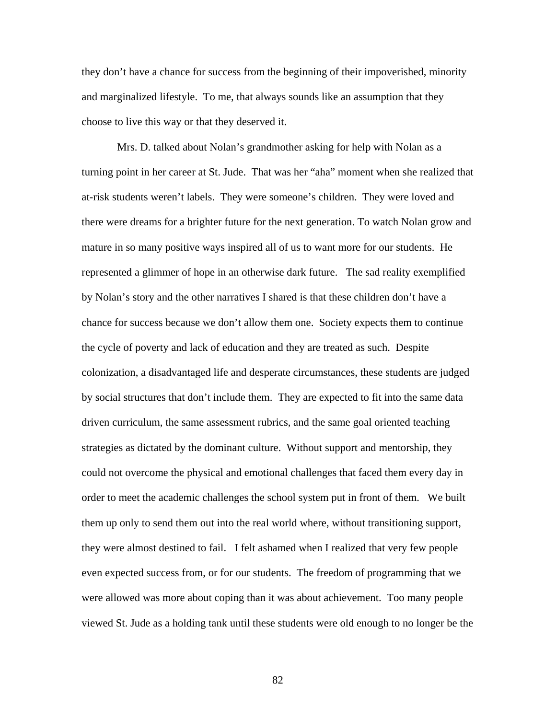they don't have a chance for success from the beginning of their impoverished, minority and marginalized lifestyle. To me, that always sounds like an assumption that they choose to live this way or that they deserved it.

 Mrs. D. talked about Nolan's grandmother asking for help with Nolan as a turning point in her career at St. Jude. That was her "aha" moment when she realized that at-risk students weren't labels. They were someone's children. They were loved and there were dreams for a brighter future for the next generation. To watch Nolan grow and mature in so many positive ways inspired all of us to want more for our students. He represented a glimmer of hope in an otherwise dark future. The sad reality exemplified by Nolan's story and the other narratives I shared is that these children don't have a chance for success because we don't allow them one. Society expects them to continue the cycle of poverty and lack of education and they are treated as such. Despite colonization, a disadvantaged life and desperate circumstances, these students are judged by social structures that don't include them. They are expected to fit into the same data driven curriculum, the same assessment rubrics, and the same goal oriented teaching strategies as dictated by the dominant culture. Without support and mentorship, they could not overcome the physical and emotional challenges that faced them every day in order to meet the academic challenges the school system put in front of them. We built them up only to send them out into the real world where, without transitioning support, they were almost destined to fail. I felt ashamed when I realized that very few people even expected success from, or for our students. The freedom of programming that we were allowed was more about coping than it was about achievement. Too many people viewed St. Jude as a holding tank until these students were old enough to no longer be the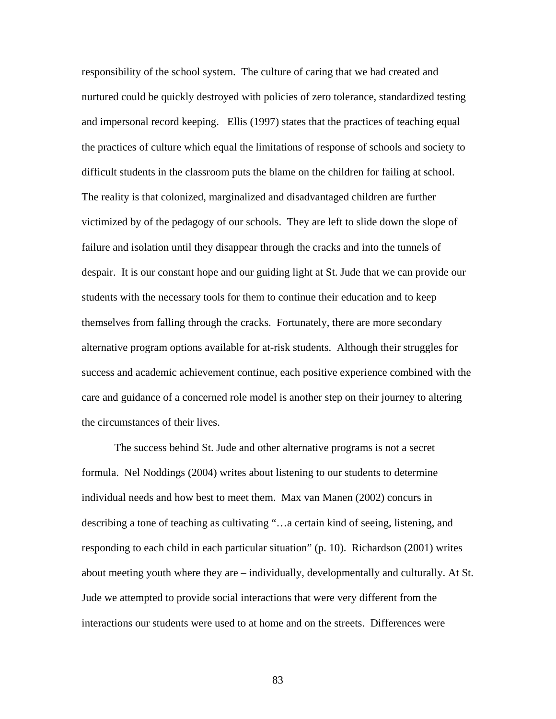responsibility of the school system. The culture of caring that we had created and nurtured could be quickly destroyed with policies of zero tolerance, standardized testing and impersonal record keeping. Ellis (1997) states that the practices of teaching equal the practices of culture which equal the limitations of response of schools and society to difficult students in the classroom puts the blame on the children for failing at school. The reality is that colonized, marginalized and disadvantaged children are further victimized by of the pedagogy of our schools. They are left to slide down the slope of failure and isolation until they disappear through the cracks and into the tunnels of despair. It is our constant hope and our guiding light at St. Jude that we can provide our students with the necessary tools for them to continue their education and to keep themselves from falling through the cracks. Fortunately, there are more secondary alternative program options available for at-risk students. Although their struggles for success and academic achievement continue, each positive experience combined with the care and guidance of a concerned role model is another step on their journey to altering the circumstances of their lives.

The success behind St. Jude and other alternative programs is not a secret formula. Nel Noddings (2004) writes about listening to our students to determine individual needs and how best to meet them. Max van Manen (2002) concurs in describing a tone of teaching as cultivating "…a certain kind of seeing, listening, and responding to each child in each particular situation" (p. 10). Richardson (2001) writes about meeting youth where they are – individually, developmentally and culturally. At St. Jude we attempted to provide social interactions that were very different from the interactions our students were used to at home and on the streets. Differences were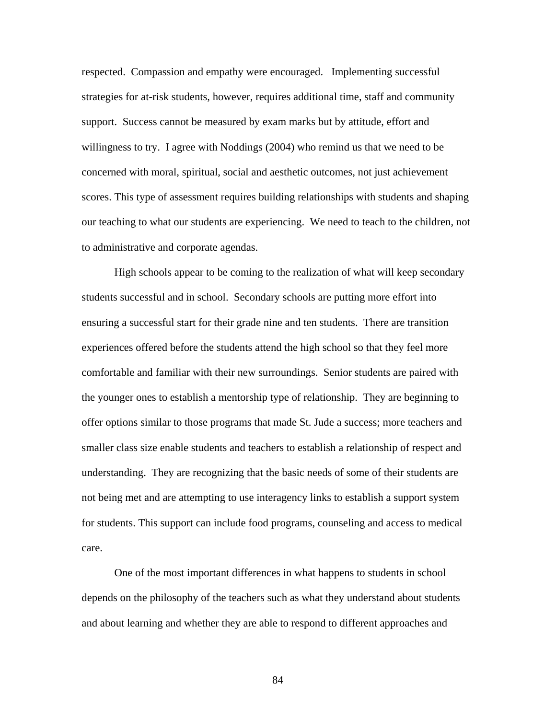respected. Compassion and empathy were encouraged. Implementing successful strategies for at-risk students, however, requires additional time, staff and community support. Success cannot be measured by exam marks but by attitude, effort and willingness to try. I agree with Noddings (2004) who remind us that we need to be concerned with moral, spiritual, social and aesthetic outcomes, not just achievement scores. This type of assessment requires building relationships with students and shaping our teaching to what our students are experiencing. We need to teach to the children, not to administrative and corporate agendas.

High schools appear to be coming to the realization of what will keep secondary students successful and in school. Secondary schools are putting more effort into ensuring a successful start for their grade nine and ten students. There are transition experiences offered before the students attend the high school so that they feel more comfortable and familiar with their new surroundings. Senior students are paired with the younger ones to establish a mentorship type of relationship. They are beginning to offer options similar to those programs that made St. Jude a success; more teachers and smaller class size enable students and teachers to establish a relationship of respect and understanding. They are recognizing that the basic needs of some of their students are not being met and are attempting to use interagency links to establish a support system for students. This support can include food programs, counseling and access to medical care.

One of the most important differences in what happens to students in school depends on the philosophy of the teachers such as what they understand about students and about learning and whether they are able to respond to different approaches and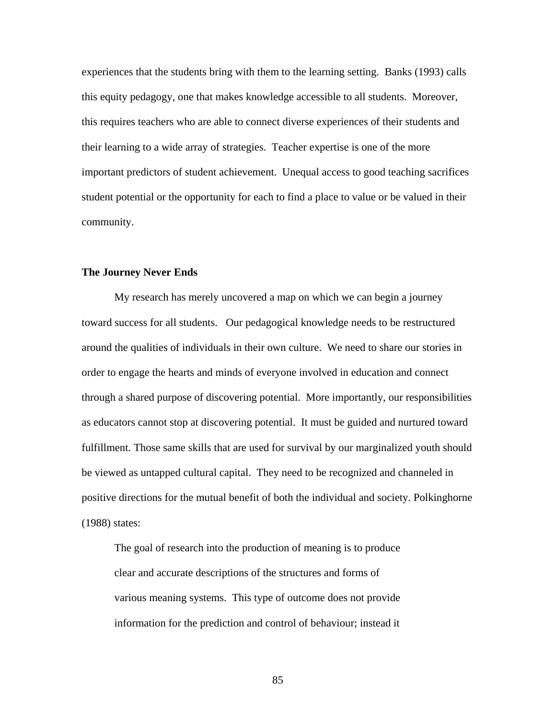experiences that the students bring with them to the learning setting. Banks (1993) calls this equity pedagogy, one that makes knowledge accessible to all students. Moreover, this requires teachers who are able to connect diverse experiences of their students and their learning to a wide array of strategies. Teacher expertise is one of the more important predictors of student achievement. Unequal access to good teaching sacrifices student potential or the opportunity for each to find a place to value or be valued in their community.

## **The Journey Never Ends**

My research has merely uncovered a map on which we can begin a journey toward success for all students. Our pedagogical knowledge needs to be restructured around the qualities of individuals in their own culture. We need to share our stories in order to engage the hearts and minds of everyone involved in education and connect through a shared purpose of discovering potential. More importantly, our responsibilities as educators cannot stop at discovering potential. It must be guided and nurtured toward fulfillment. Those same skills that are used for survival by our marginalized youth should be viewed as untapped cultural capital. They need to be recognized and channeled in positive directions for the mutual benefit of both the individual and society. Polkinghorne (1988) states:

The goal of research into the production of meaning is to produce clear and accurate descriptions of the structures and forms of various meaning systems. This type of outcome does not provide information for the prediction and control of behaviour; instead it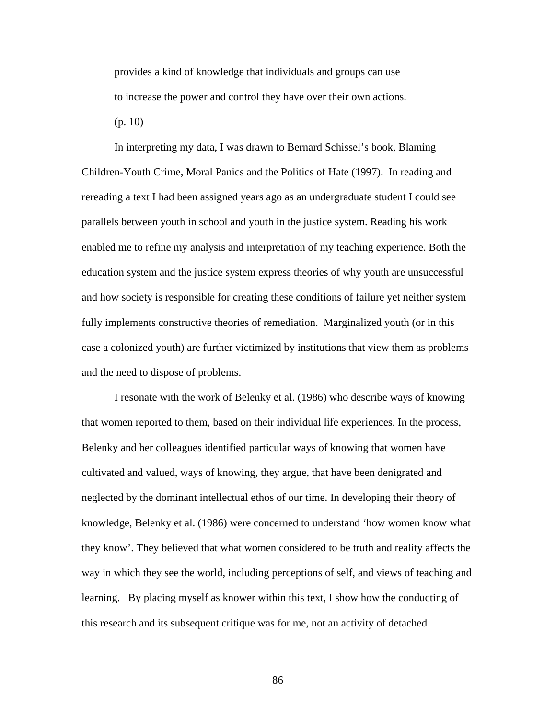provides a kind of knowledge that individuals and groups can use to increase the power and control they have over their own actions. (p. 10)

In interpreting my data, I was drawn to Bernard Schissel's book, Blaming Children-Youth Crime, Moral Panics and the Politics of Hate (1997). In reading and rereading a text I had been assigned years ago as an undergraduate student I could see parallels between youth in school and youth in the justice system. Reading his work enabled me to refine my analysis and interpretation of my teaching experience. Both the education system and the justice system express theories of why youth are unsuccessful and how society is responsible for creating these conditions of failure yet neither system fully implements constructive theories of remediation. Marginalized youth (or in this case a colonized youth) are further victimized by institutions that view them as problems and the need to dispose of problems.

 I resonate with the work of Belenky et al. (1986) who describe ways of knowing that women reported to them, based on their individual life experiences. In the process, Belenky and her colleagues identified particular ways of knowing that women have cultivated and valued, ways of knowing, they argue, that have been denigrated and neglected by the dominant intellectual ethos of our time. In developing their theory of knowledge, Belenky et al. (1986) were concerned to understand 'how women know what they know'. They believed that what women considered to be truth and reality affects the way in which they see the world, including perceptions of self, and views of teaching and learning. By placing myself as knower within this text, I show how the conducting of this research and its subsequent critique was for me, not an activity of detached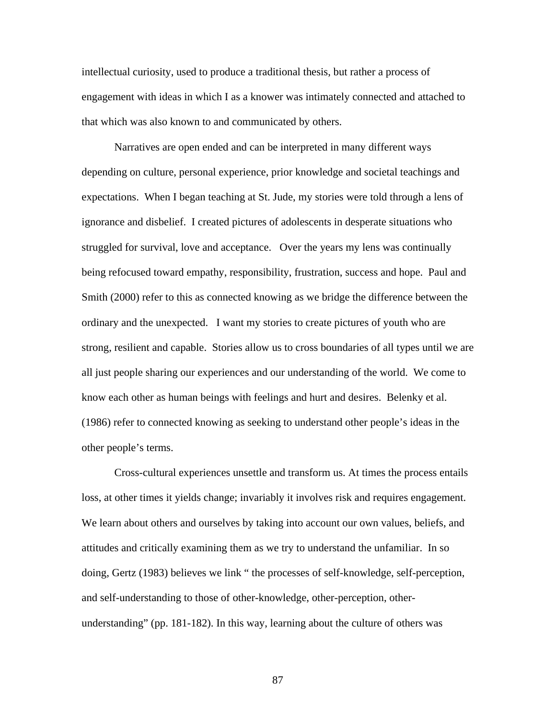intellectual curiosity, used to produce a traditional thesis, but rather a process of engagement with ideas in which I as a knower was intimately connected and attached to that which was also known to and communicated by others.

Narratives are open ended and can be interpreted in many different ways depending on culture, personal experience, prior knowledge and societal teachings and expectations. When I began teaching at St. Jude, my stories were told through a lens of ignorance and disbelief. I created pictures of adolescents in desperate situations who struggled for survival, love and acceptance. Over the years my lens was continually being refocused toward empathy, responsibility, frustration, success and hope. Paul and Smith (2000) refer to this as connected knowing as we bridge the difference between the ordinary and the unexpected. I want my stories to create pictures of youth who are strong, resilient and capable. Stories allow us to cross boundaries of all types until we are all just people sharing our experiences and our understanding of the world. We come to know each other as human beings with feelings and hurt and desires. Belenky et al. (1986) refer to connected knowing as seeking to understand other people's ideas in the other people's terms.

Cross-cultural experiences unsettle and transform us. At times the process entails loss, at other times it yields change; invariably it involves risk and requires engagement. We learn about others and ourselves by taking into account our own values, beliefs, and attitudes and critically examining them as we try to understand the unfamiliar. In so doing, Gertz (1983) believes we link " the processes of self-knowledge, self-perception, and self-understanding to those of other-knowledge, other-perception, otherunderstanding" (pp. 181-182). In this way, learning about the culture of others was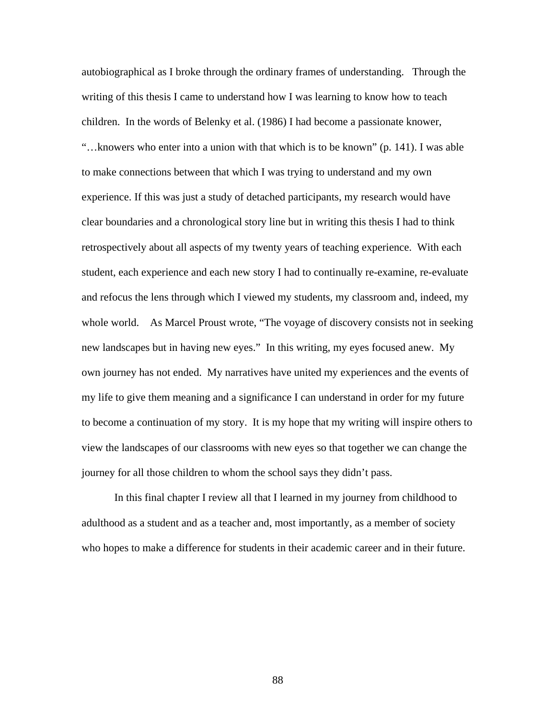autobiographical as I broke through the ordinary frames of understanding. Through the writing of this thesis I came to understand how I was learning to know how to teach children. In the words of Belenky et al. (1986) I had become a passionate knower, "…knowers who enter into a union with that which is to be known" (p. 141). I was able to make connections between that which I was trying to understand and my own experience. If this was just a study of detached participants, my research would have clear boundaries and a chronological story line but in writing this thesis I had to think retrospectively about all aspects of my twenty years of teaching experience. With each student, each experience and each new story I had to continually re-examine, re-evaluate and refocus the lens through which I viewed my students, my classroom and, indeed, my whole world. As Marcel Proust wrote, "The voyage of discovery consists not in seeking new landscapes but in having new eyes." In this writing, my eyes focused anew. My own journey has not ended. My narratives have united my experiences and the events of my life to give them meaning and a significance I can understand in order for my future to become a continuation of my story. It is my hope that my writing will inspire others to view the landscapes of our classrooms with new eyes so that together we can change the journey for all those children to whom the school says they didn't pass.

In this final chapter I review all that I learned in my journey from childhood to adulthood as a student and as a teacher and, most importantly, as a member of society who hopes to make a difference for students in their academic career and in their future.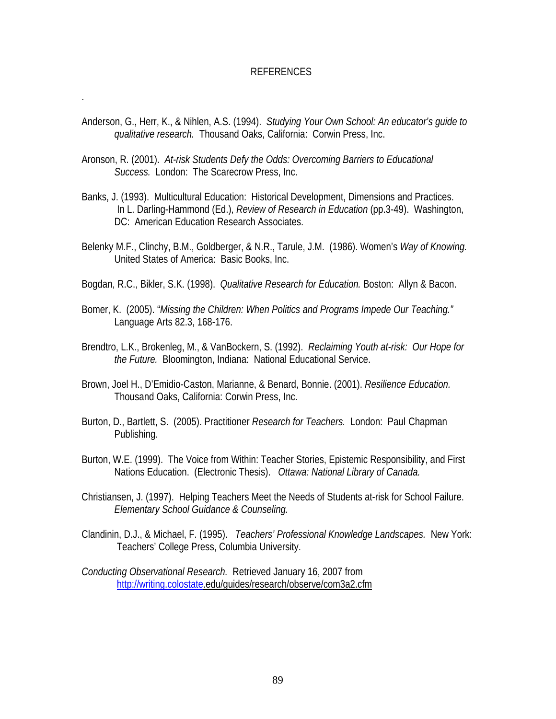## REFERENCES

- Anderson, G., Herr, K., & Nihlen, A.S. (1994). *Studying Your Own School: An educator's guide to qualitative research.* Thousand Oaks, California: Corwin Press, Inc.
- Aronson, R. (2001). *At-risk Students Defy the Odds: Overcoming Barriers to Educational Success.* London: The Scarecrow Press, Inc.

.

- Banks, J. (1993). Multicultural Education: Historical Development, Dimensions and Practices. In L. Darling-Hammond (Ed.), *Review of Research in Education* (pp.3-49).Washington, DC: American Education Research Associates.
- Belenky M.F., Clinchy, B.M., Goldberger, & N.R., Tarule, J.M. (1986). Women's *Way of Knowing.* United States of America: Basic Books, Inc.
- Bogdan, R.C., Bikler, S.K. (1998). *Qualitative Research for Education.* Boston: Allyn & Bacon.
- Bomer, K. (2005). "*Missing the Children: When Politics and Programs Impede Our Teaching."*  Language Arts 82.3, 168-176.
- Brendtro, L.K., Brokenleg, M., & VanBockern, S. (1992). *Reclaiming Youth at-risk: Our Hope for the Future.* Bloomington, Indiana: National Educational Service.
- Brown, Joel H., D'Emidio-Caston, Marianne, & Benard, Bonnie. (2001). *Resilience Education.*  Thousand Oaks, California: Corwin Press, Inc.
- Burton, D., Bartlett, S. (2005). Practitioner *Research for Teachers.* London: Paul Chapman Publishing.
- Burton, W.E. (1999). The Voice from Within: Teacher Stories, Epistemic Responsibility, and First Nations Education.(Electronic Thesis). *Ottawa: National Library of Canada.*
- Christiansen, J. (1997). Helping Teachers Meet the Needs of Students at-risk for School Failure. *Elementary School Guidance & Counseling.*
- Clandinin, D.J., & Michael, F. (1995). *Teachers' Professional Knowledge Landscapes.* New York: Teachers' College Press, Columbia University.
- *Conducting Observational Research.* Retrieved January 16, 2007 from [http://writing.colostate.](http://writing.colostate/)edu/guides/research/observe/com3a2.cfm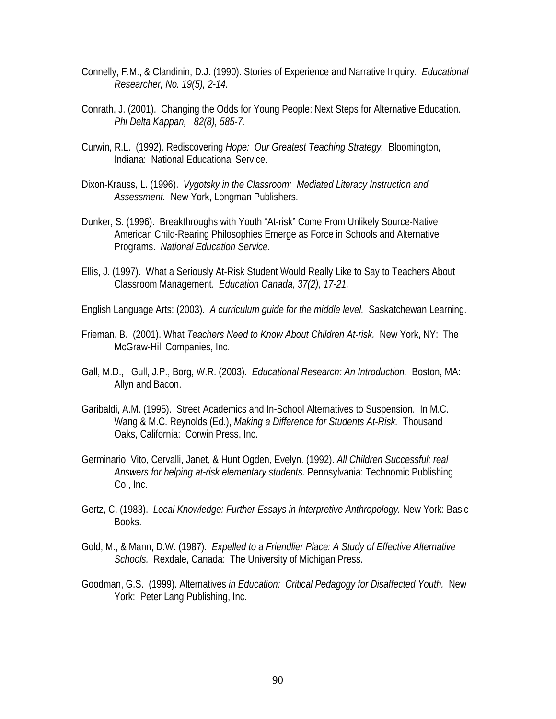- Connelly, F.M., & Clandinin, D.J. (1990). Stories of Experience and Narrative Inquiry. *Educational Researcher, No. 19(5), 2-14.*
- Conrath, J. (2001). Changing the Odds for Young People: Next Steps for Alternative Education. *Phi Delta Kappan, 82(8), 585-7.*
- Curwin, R.L. (1992). Rediscovering *Hope: Our Greatest Teaching Strategy.* Bloomington, Indiana: National Educational Service.
- Dixon-Krauss, L. (1996). *Vygotsky in the Classroom: Mediated Literacy Instruction and Assessment.* New York, Longman Publishers.
- Dunker, S. (1996). Breakthroughs with Youth "At-risk" Come From Unlikely Source-Native American Child-Rearing Philosophies Emerge as Force in Schools and Alternative Programs. *National Education Service.*
- Ellis, J. (1997). What a Seriously At-Risk Student Would Really Like to Say to Teachers About Classroom Management. *Education Canada, 37(2), 17-21.*
- English Language Arts: (2003). *A curriculum guide for the middle level.* Saskatchewan Learning.
- Frieman, B. (2001). What *Teachers Need to Know About Children At-risk.* New York, NY: The McGraw-Hill Companies, Inc.
- Gall, M.D., Gull, J.P., Borg, W.R. (2003). *Educational Research: An Introduction.* Boston, MA: Allyn and Bacon.
- Garibaldi, A.M. (1995). Street Academics and In-School Alternatives to Suspension. In M.C. Wang & M.C. Reynolds (Ed.), *Making a Difference for Students At-Risk.* Thousand Oaks, California: Corwin Press, Inc.
- Germinario, Vito, Cervalli, Janet, & Hunt Ogden, Evelyn. (1992). *All Children Successful: real Answers for helping at-risk elementary students.* Pennsylvania: Technomic Publishing Co., Inc.
- Gertz, C. (1983). *Local Knowledge: Further Essays in Interpretive Anthropology.* New York: Basic Books.
- Gold, M., & Mann, D.W. (1987). *Expelled to a Friendlier Place: A Study of Effective Alternative Schools.* Rexdale, Canada: The University of Michigan Press.
- Goodman, G.S. (1999). Alternatives *in Education: Critical Pedagogy for Disaffected Youth.* New York: Peter Lang Publishing, Inc.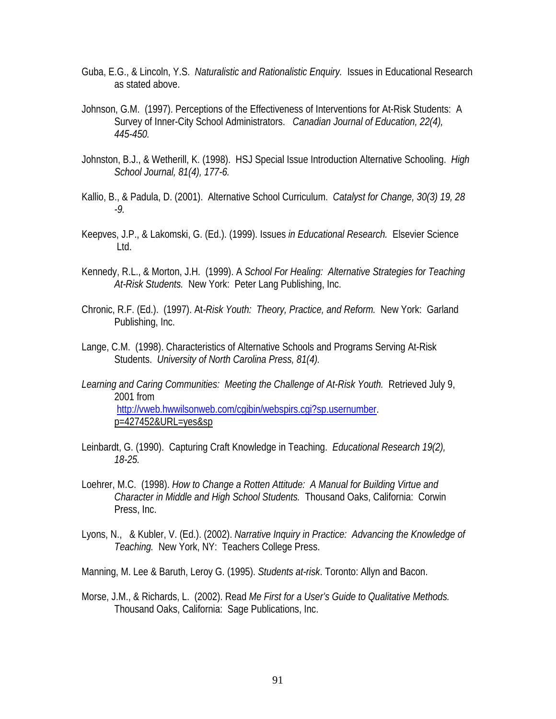- Guba, E.G., & Lincoln, Y.S. *Naturalistic and Rationalistic Enquiry.* Issues in Educational Research as stated above.
- Johnson, G.M. (1997). Perceptions of the Effectiveness of Interventions for At-Risk Students: A Survey of Inner-City School Administrators. *Canadian Journal of Education, 22(4), 445-450.*
- Johnston, B.J., & Wetherill, K. (1998). HSJ Special Issue Introduction Alternative Schooling. *High School Journal, 81(4), 177-6.*
- Kallio, B., & Padula, D. (2001). Alternative School Curriculum. *Catalyst for Change, 30(3) 19, 28 -9.*
- Keepves, J.P., & Lakomski, G. (Ed.). (1999). Issues *in Educational Research.* Elsevier Science Ltd.
- Kennedy, R.L., & Morton, J.H. (1999). A *School For Healing: Alternative Strategies for Teaching At-Risk Students.* New York: Peter Lang Publishing, Inc.
- Chronic, R.F. (Ed.). (1997). At*-Risk Youth: Theory, Practice, and Reform.* New York: Garland Publishing, Inc.
- Lange, C.M. (1998). Characteristics of Alternative Schools and Programs Serving At-Risk Students. *University of North Carolina Press, 81(4).*
- *Learning and Caring Communities: Meeting the Challenge of At-Risk Youth.* Retrieved July 9, 2001 from [http://vweb.hwwilsonweb.com/cgibin/webspirs.cgi?sp.usernumber.](http://vweb.hwwilsonweb.com/cgibin/webspirs.cgi?sp.usernumber) p=427452&URL=yes&sp
- Leinbardt, G. (1990). Capturing Craft Knowledge in Teaching. *Educational Research 19(2), 18-25.*
- Loehrer, M.C. (1998). *How to Change a Rotten Attitude: A Manual for Building Virtue and Character in Middle and High School Students.* Thousand Oaks, California: Corwin Press, Inc.
- Lyons, N., & Kubler, V. (Ed.). (2002). *Narrative Inquiry in Practice: Advancing the Knowledge of Teaching.* New York, NY: Teachers College Press.

Manning, M. Lee & Baruth, Leroy G. (1995). *Students at-risk*. Toronto: Allyn and Bacon.

Morse, J.M., & Richards, L. (2002). Read *Me First for a User's Guide to Qualitative Methods.* Thousand Oaks, California: Sage Publications, Inc.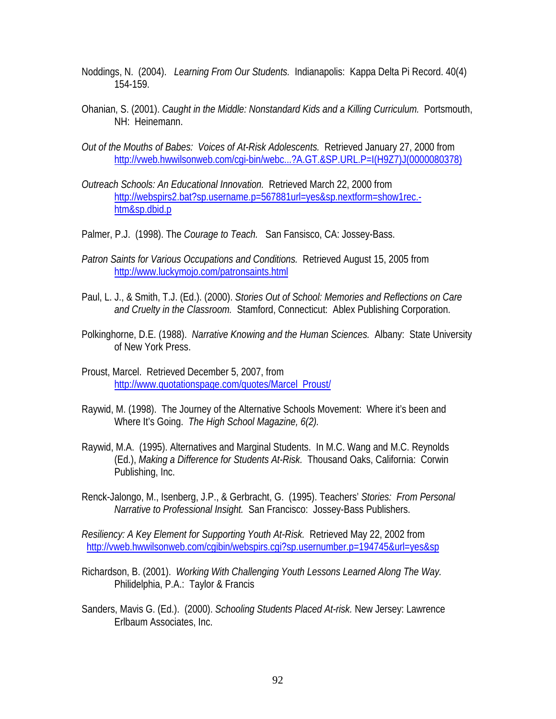- Noddings, N. (2004). *Learning From Our Students.* Indianapolis: Kappa Delta Pi Record. 40(4) 154-159.
- Ohanian, S. (2001). *Caught in the Middle: Nonstandard Kids and a Killing Curriculum.* Portsmouth, NH: Heinemann.
- *Out of the Mouths of Babes: Voices of At-Risk Adolescents.* Retrieved January 27, 2000 from [http://vweb.hwwilsonweb.com/cgi-bin/webc...?A.GT.&SP.URL.P=I\(H9Z7\)J\(0000080378\)](http://vweb.hwwilsonweb.com/cgi-bin/webc...?A.GT.&SP.URL.P=I(H9Z7)J(0000080378))
- *Outreach Schools: An Educational Innovation.* Retrieved March 22, 2000 from [http://webspirs2.bat?sp.username.p=567881url=yes&sp.nextform=show1rec.](http://webspirs2.bat/?sp.username.p=567881url=yes&sp.nextform=show1rec.-htm&sp.dbid.p) [htm&sp.dbid.p](http://webspirs2.bat/?sp.username.p=567881url=yes&sp.nextform=show1rec.-htm&sp.dbid.p)
- Palmer, P.J. (1998). The *Courage to Teach.* San Fansisco, CA: Jossey-Bass.
- *Patron Saints for Various Occupations and Conditions.* Retrieved August 15, 2005 from <http://www.luckymojo.com/patronsaints.html>
- Paul, L. J., & Smith, T.J. (Ed.). (2000). *Stories Out of School: Memories and Reflections on Care and Cruelty in the Classroom.* Stamford, Connecticut: Ablex Publishing Corporation.
- Polkinghorne, D.E. (1988). *Narrative Knowing and the Human Sciences.* Albany: State University of New York Press.
- Proust, Marcel. Retrieved December 5, 2007, from [http://www.quotationspage.com/quotes/Marcel\\_Proust/](http://www.quotationspage.com/quotes/Marcel_Proust/)
- Raywid, M. (1998). The Journey of the Alternative Schools Movement: Where it's been and Where It's Going. *The High School Magazine, 6(2).*
- Raywid, M.A. (1995). Alternatives and Marginal Students. In M.C. Wang and M.C. Reynolds (Ed.), *Making a Difference for Students At-Risk.* Thousand Oaks, California: Corwin Publishing, Inc.
- Renck-Jalongo, M., Isenberg, J.P., & Gerbracht, G. (1995). Teachers' *Stories: From Personal Narrative to Professional Insight.* San Francisco: Jossey-Bass Publishers.

*Resiliency: A Key Element for Supporting Youth At-Risk.* Retrieved May 22, 2002 from <http://vweb.hwwilsonweb.com/cgibin/webspirs.cgi?sp.usernumber.p=194745&url=yes&sp>

- Richardson, B. (2001). *Working With Challenging Youth Lessons Learned Along The Way.*  Philidelphia, P.A.: Taylor & Francis
- Sanders, Mavis G. (Ed.). (2000). *Schooling Students Placed At-risk.* New Jersey: Lawrence Erlbaum Associates, Inc.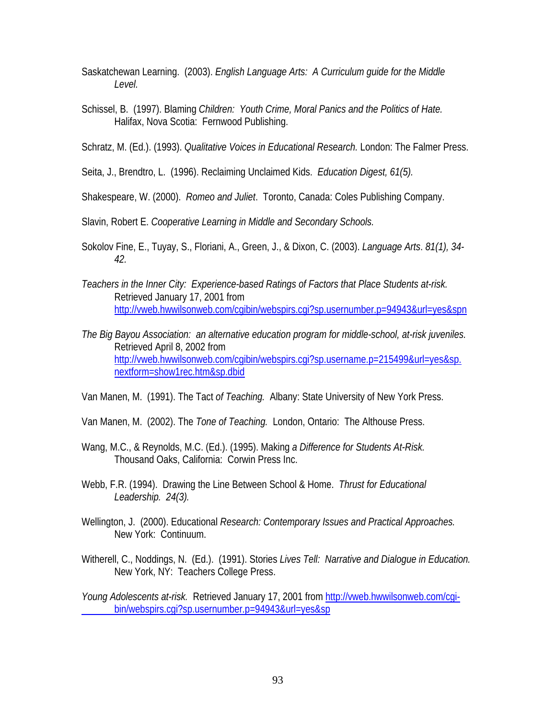- Saskatchewan Learning. (2003). *English Language Arts: A Curriculum guide for the Middle Level.*
- Schissel, B. (1997). Blaming *Children: Youth Crime, Moral Panics and the Politics of Hate.* Halifax, Nova Scotia: Fernwood Publishing.

Schratz, M. (Ed.). (1993). *Qualitative Voices in Educational Research.* London: The Falmer Press.

Seita, J., Brendtro, L. (1996). Reclaiming Unclaimed Kids. *Education Digest, 61(5).* 

Shakespeare, W. (2000). *Romeo and Juliet*. Toronto, Canada: Coles Publishing Company.

Slavin, Robert E. *Cooperative Learning in Middle and Secondary Schools.* 

- Sokolov Fine, E., Tuyay, S., Floriani, A., Green, J., & Dixon, C. (2003). *Language Arts*. *81(1), 34- 42.*
- *Teachers in the Inner City: Experience-based Ratings of Factors that Place Students at-risk.*  Retrieved January 17, 2001 from <http://vweb.hwwilsonweb.com/cgibin/webspirs.cgi?sp.usernumber.p=94943&url=yes&spn>
- *The Big Bayou Association: an alternative education program for middle-school, at-risk juveniles.*  Retrieved April 8, 2002 from [http://vweb.hwwilsonweb.com/cgibin/webspirs.cgi?sp.username.p=215499&url=yes&sp.](http://vweb.hwwilsonweb.com/cgibin/webspirs.cgi?sp.username.p=215499&url=yes&sp.nextform=show1rec.htm&sp.dbid) [nextform=show1rec.htm&sp.dbid](http://vweb.hwwilsonweb.com/cgibin/webspirs.cgi?sp.username.p=215499&url=yes&sp.nextform=show1rec.htm&sp.dbid)

Van Manen, M. (1991). The Tact *of Teaching.* Albany: State University of New York Press.

- Van Manen, M. (2002). The *Tone of Teaching.* London, Ontario: The Althouse Press.
- Wang, M.C., & Reynolds, M.C. (Ed.). (1995). Making *a Difference for Students At-Risk.* Thousand Oaks, California: Corwin Press Inc.
- Webb, F.R. (1994). Drawing the Line Between School & Home. *Thrust for Educational Leadership. 24(3).*
- Wellington, J. (2000). Educational *Research: Contemporary Issues and Practical Approaches.*  New York: Continuum.
- Witherell, C., Noddings, N. (Ed.). (1991). Stories *Lives Tell: Narrative and Dialogue in Education.* New York, NY: Teachers College Press.
- Young Adolescents at-risk. Retrieved January 17, 2001 from http://wweb.hwwilsonweb.com/cqi [bin/webspirs.cgi?sp.usernumber.p=94943&url=yes&sp](http://vweb.hwwilsonweb.com/cgi-bin/webspirs.cgi?sp.usernumber.p=94943&url=yes&sp)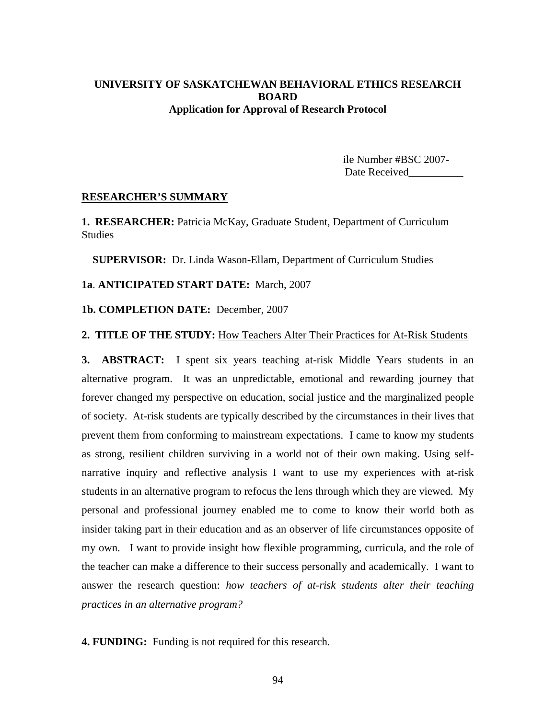## **UNIVERSITY OF SASKATCHEWAN BEHAVIORAL ETHICS RESEARCH BOARD Application for Approval of Research Protocol**

ile Number #BSC 2007- Date Received

### **RESEARCHER'S SUMMARY**

**1. RESEARCHER:** Patricia McKay, Graduate Student, Department of Curriculum **Studies** 

 **SUPERVISOR:** Dr. Linda Wason-Ellam, Department of Curriculum Studies

**1a**. **ANTICIPATED START DATE:** March, 2007

**1b. COMPLETION DATE:** December, 2007

## **2. TITLE OF THE STUDY:** How Teachers Alter Their Practices for At-Risk Students

**3. ABSTRACT:** I spent six years teaching at-risk Middle Years students in an alternative program. It was an unpredictable, emotional and rewarding journey that forever changed my perspective on education, social justice and the marginalized people of society. At-risk students are typically described by the circumstances in their lives that prevent them from conforming to mainstream expectations. I came to know my students as strong, resilient children surviving in a world not of their own making. Using selfnarrative inquiry and reflective analysis I want to use my experiences with at-risk students in an alternative program to refocus the lens through which they are viewed. My personal and professional journey enabled me to come to know their world both as insider taking part in their education and as an observer of life circumstances opposite of my own. I want to provide insight how flexible programming, curricula, and the role of the teacher can make a difference to their success personally and academically. I want to answer the research question: *how teachers of at-risk students alter their teaching practices in an alternative program?* 

**4. FUNDING:** Funding is not required for this research.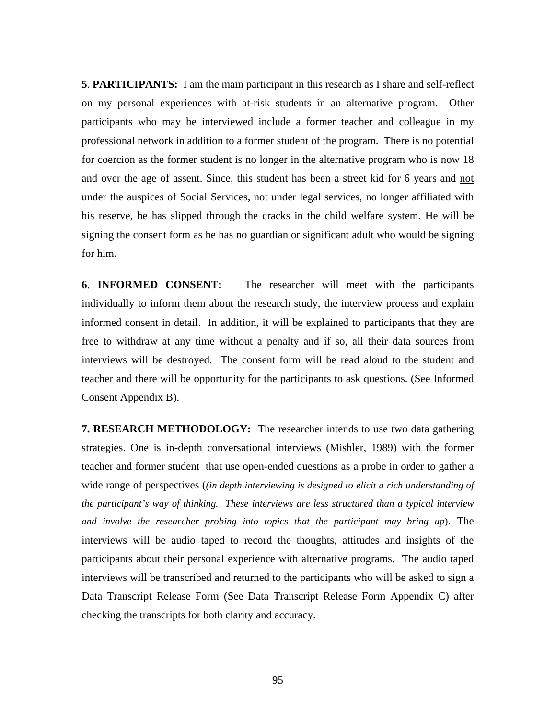**5**. **PARTICIPANTS:** I am the main participant in this research as I share and self-reflect on my personal experiences with at-risk students in an alternative program. Other participants who may be interviewed include a former teacher and colleague in my professional network in addition to a former student of the program. There is no potential for coercion as the former student is no longer in the alternative program who is now 18 and over the age of assent. Since, this student has been a street kid for 6 years and not under the auspices of Social Services, not under legal services, no longer affiliated with his reserve, he has slipped through the cracks in the child welfare system. He will be signing the consent form as he has no guardian or significant adult who would be signing for him.

**6**. **INFORMED CONSENT:** The researcher will meet with the participants individually to inform them about the research study, the interview process and explain informed consent in detail. In addition, it will be explained to participants that they are free to withdraw at any time without a penalty and if so, all their data sources from interviews will be destroyed. The consent form will be read aloud to the student and teacher and there will be opportunity for the participants to ask questions. (See Informed Consent Appendix B).

**7. RESEARCH METHODOLOGY:** The researcher intends to use two data gathering strategies. One is in-depth conversational interviews (Mishler, 1989) with the former teacher and former student that use open-ended questions as a probe in order to gather a wide range of perspectives (*(in depth interviewing is designed to elicit a rich understanding of the participant's way of thinking. These interviews are less structured than a typical interview and involve the researcher probing into topics that the participant may bring up*). The interviews will be audio taped to record the thoughts, attitudes and insights of the participants about their personal experience with alternative programs. The audio taped interviews will be transcribed and returned to the participants who will be asked to sign a Data Transcript Release Form (See Data Transcript Release Form Appendix C) after checking the transcripts for both clarity and accuracy.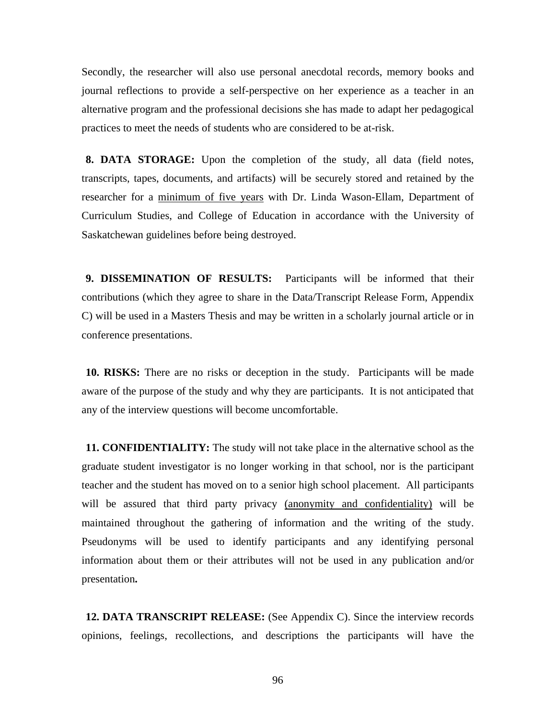Secondly, the researcher will also use personal anecdotal records, memory books and journal reflections to provide a self-perspective on her experience as a teacher in an alternative program and the professional decisions she has made to adapt her pedagogical practices to meet the needs of students who are considered to be at-risk.

**8. DATA STORAGE:** Upon the completion of the study, all data (field notes, transcripts, tapes, documents, and artifacts) will be securely stored and retained by the researcher for a minimum of five years with Dr. Linda Wason-Ellam, Department of Curriculum Studies, and College of Education in accordance with the University of Saskatchewan guidelines before being destroyed.

**9. DISSEMINATION OF RESULTS:** Participants will be informed that their contributions (which they agree to share in the Data/Transcript Release Form, Appendix C) will be used in a Masters Thesis and may be written in a scholarly journal article or in conference presentations.

**10. RISKS:** There are no risks or deception in the study. Participants will be made aware of the purpose of the study and why they are participants. It is not anticipated that any of the interview questions will become uncomfortable.

**11. CONFIDENTIALITY:** The study will not take place in the alternative school as the graduate student investigator is no longer working in that school, nor is the participant teacher and the student has moved on to a senior high school placement. All participants will be assured that third party privacy (anonymity and confidentiality) will be maintained throughout the gathering of information and the writing of the study. Pseudonyms will be used to identify participants and any identifying personal information about them or their attributes will not be used in any publication and/or presentation**.** 

**12. DATA TRANSCRIPT RELEASE:** (See Appendix C). Since the interview records opinions, feelings, recollections, and descriptions the participants will have the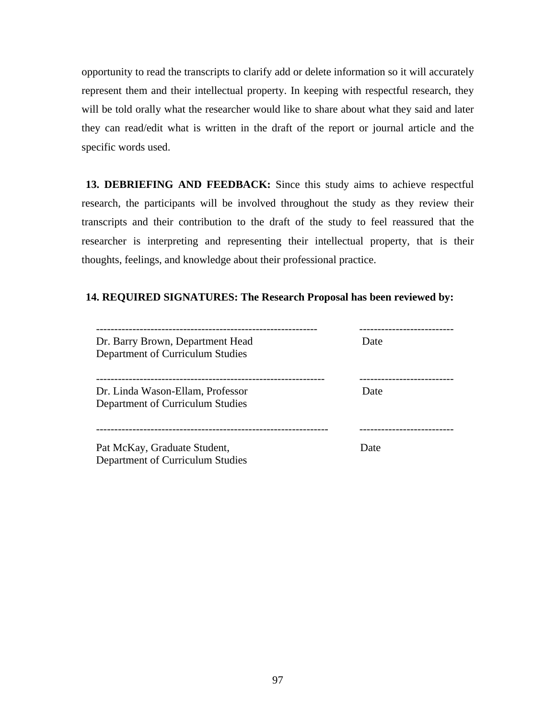opportunity to read the transcripts to clarify add or delete information so it will accurately represent them and their intellectual property. In keeping with respectful research, they will be told orally what the researcher would like to share about what they said and later they can read/edit what is written in the draft of the report or journal article and the specific words used.

**13. DEBRIEFING AND FEEDBACK:** Since this study aims to achieve respectful research, the participants will be involved throughout the study as they review their transcripts and their contribution to the draft of the study to feel reassured that the researcher is interpreting and representing their intellectual property, that is their thoughts, feelings, and knowledge about their professional practice.

## **14. REQUIRED SIGNATURES: The Research Proposal has been reviewed by:**

| Dr. Barry Brown, Department Head<br>Department of Curriculum Studies | Date |
|----------------------------------------------------------------------|------|
| Dr. Linda Wason-Ellam, Professor<br>Department of Curriculum Studies | Date |
| Pat McKay, Graduate Student,<br>Department of Curriculum Studies     | Date |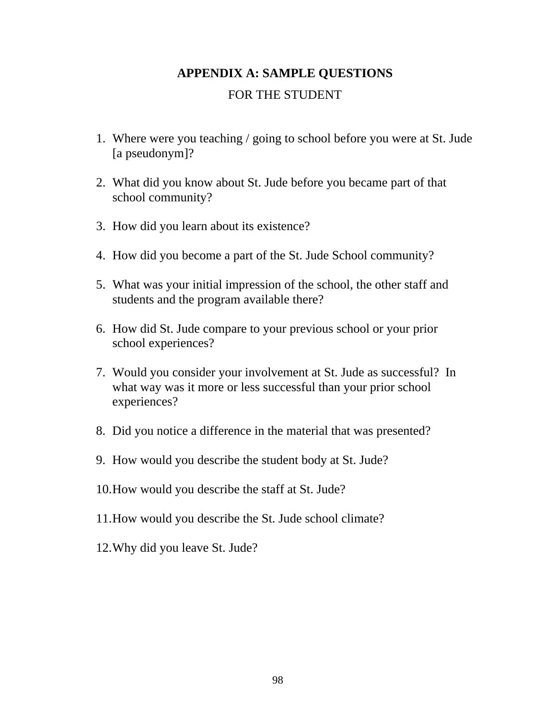# **APPENDIX A: SAMPLE QUESTIONS**

# FOR THE STUDENT

- 1. Where were you teaching / going to school before you were at St. Jude [a pseudonym]?
- 2. What did you know about St. Jude before you became part of that school community?
- 3. How did you learn about its existence?
- 4. How did you become a part of the St. Jude School community?
- 5. What was your initial impression of the school, the other staff and students and the program available there?
- 6. How did St. Jude compare to your previous school or your prior school experiences?
- 7. Would you consider your involvement at St. Jude as successful? In what way was it more or less successful than your prior school experiences?
- 8. Did you notice a difference in the material that was presented?
- 9. How would you describe the student body at St. Jude?
- 10.How would you describe the staff at St. Jude?
- 11.How would you describe the St. Jude school climate?
- 12.Why did you leave St. Jude?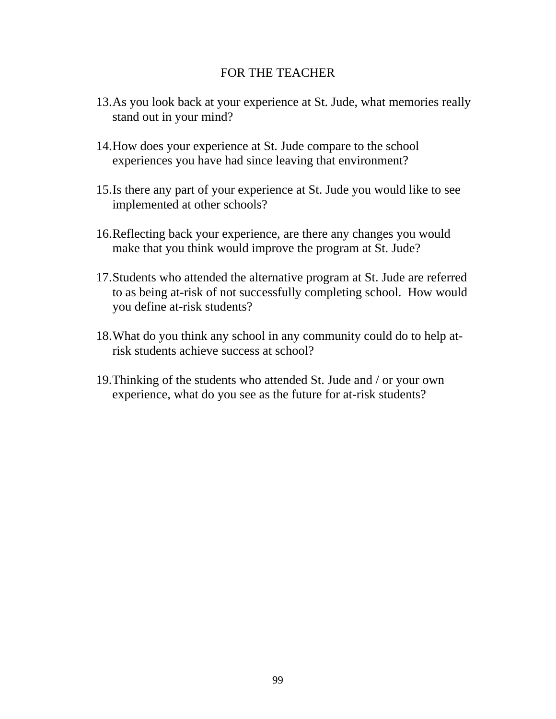## FOR THE TEACHER

- 13.As you look back at your experience at St. Jude, what memories really stand out in your mind?
- 14.How does your experience at St. Jude compare to the school experiences you have had since leaving that environment?
- 15.Is there any part of your experience at St. Jude you would like to see implemented at other schools?
- 16.Reflecting back your experience, are there any changes you would make that you think would improve the program at St. Jude?
- 17.Students who attended the alternative program at St. Jude are referred to as being at-risk of not successfully completing school. How would you define at-risk students?
- 18.What do you think any school in any community could do to help atrisk students achieve success at school?
- 19.Thinking of the students who attended St. Jude and / or your own experience, what do you see as the future for at-risk students?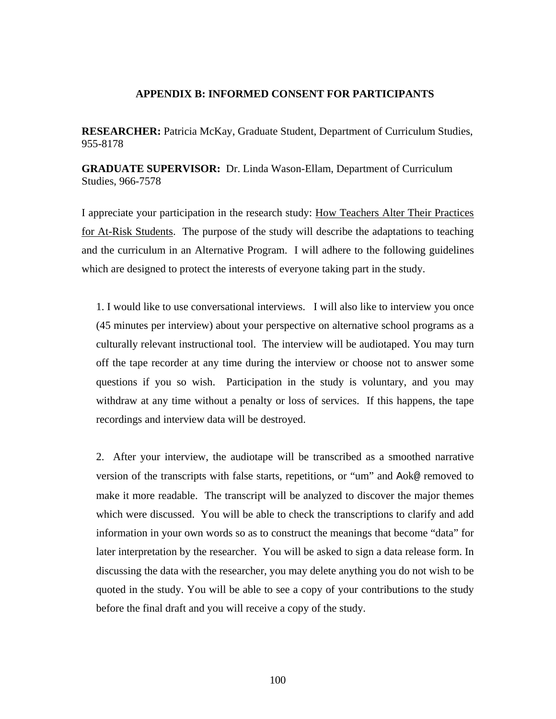## **APPENDIX B: INFORMED CONSENT FOR PARTICIPANTS**

**RESEARCHER:** Patricia McKay, Graduate Student, Department of Curriculum Studies, 955-8178

**GRADUATE SUPERVISOR:** Dr. Linda Wason-Ellam, Department of Curriculum Studies, 966-7578

I appreciate your participation in the research study: How Teachers Alter Their Practices for At-Risk Students. The purpose of the study will describe the adaptations to teaching and the curriculum in an Alternative Program. I will adhere to the following guidelines which are designed to protect the interests of everyone taking part in the study.

1. I would like to use conversational interviews. I will also like to interview you once (45 minutes per interview) about your perspective on alternative school programs as a culturally relevant instructional tool. The interview will be audiotaped. You may turn off the tape recorder at any time during the interview or choose not to answer some questions if you so wish. Participation in the study is voluntary, and you may withdraw at any time without a penalty or loss of services. If this happens, the tape recordings and interview data will be destroyed.

2. After your interview, the audiotape will be transcribed as a smoothed narrative version of the transcripts with false starts, repetitions, or "um" and Aok@ removed to make it more readable. The transcript will be analyzed to discover the major themes which were discussed. You will be able to check the transcriptions to clarify and add information in your own words so as to construct the meanings that become "data" for later interpretation by the researcher. You will be asked to sign a data release form. In discussing the data with the researcher, you may delete anything you do not wish to be quoted in the study. You will be able to see a copy of your contributions to the study before the final draft and you will receive a copy of the study.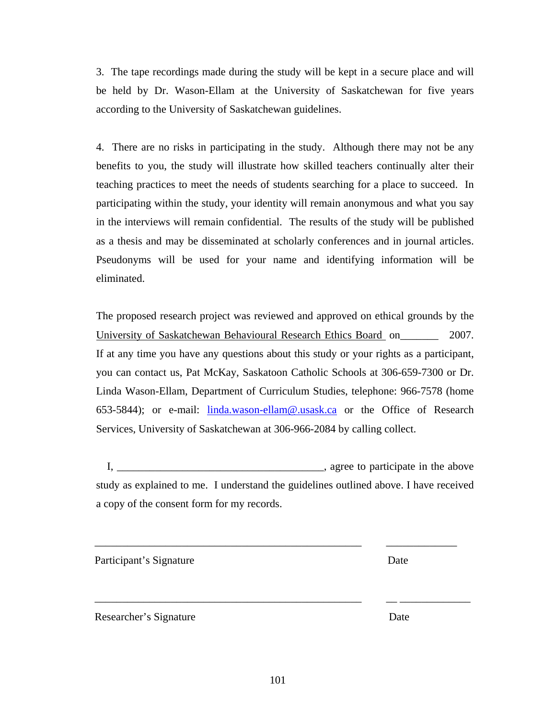101

Researcher's Signature Date

eliminated.

4. There are no risks in participating in the study. Although there may not be any benefits to you, the study will illustrate how skilled teachers continually alter their teaching practices to meet the needs of students searching for a place to succeed. In participating within the study, your identity will remain anonymous and what you say

3. The tape recordings made during the study will be kept in a secure place and will

be held by Dr. Wason-Ellam at the University of Saskatchewan for five years

according to the University of Saskatchewan guidelines.

in the interviews will remain confidential. The results of the study will be published as a thesis and may be disseminated at scholarly conferences and in journal articles. Pseudonyms will be used for your name and identifying information will be

The proposed research project was reviewed and approved on ethical grounds by the University of Saskatchewan Behavioural Research Ethics Board on 2007. If at any time you have any questions about this study or your rights as a participant, you can contact us, Pat McKay, Saskatoon Catholic Schools at 306-659-7300 or Dr. Linda Wason-Ellam, Department of Curriculum Studies, telephone: 966-7578 (home 653-5844); or e-mail: linda.wason-ellam@.usask.ca or the Office of Research Services, University of Saskatchewan at 306-966-2084 by calling collect.

I, \_\_\_\_\_\_\_\_\_\_\_\_\_\_\_\_\_\_\_\_\_\_\_\_\_\_\_\_\_\_\_\_\_\_\_\_\_\_, agree to participate in the above study as explained to me. I understand the guidelines outlined above. I have received a copy of the consent form for my records.

\_\_\_\_\_\_\_\_\_\_\_\_\_\_\_\_\_\_\_\_\_\_\_\_\_\_\_\_\_\_\_\_\_\_\_\_\_\_\_\_\_\_\_\_\_\_\_\_\_ \_\_\_\_\_\_\_\_\_\_\_\_\_

\_\_\_\_\_\_\_\_\_\_\_\_\_\_\_\_\_\_\_\_\_\_\_\_\_\_\_\_\_\_\_\_\_\_\_\_\_\_\_\_\_\_\_\_\_\_\_\_\_ \_\_ \_\_\_\_\_\_\_\_\_\_\_\_\_

Participant's Signature Date